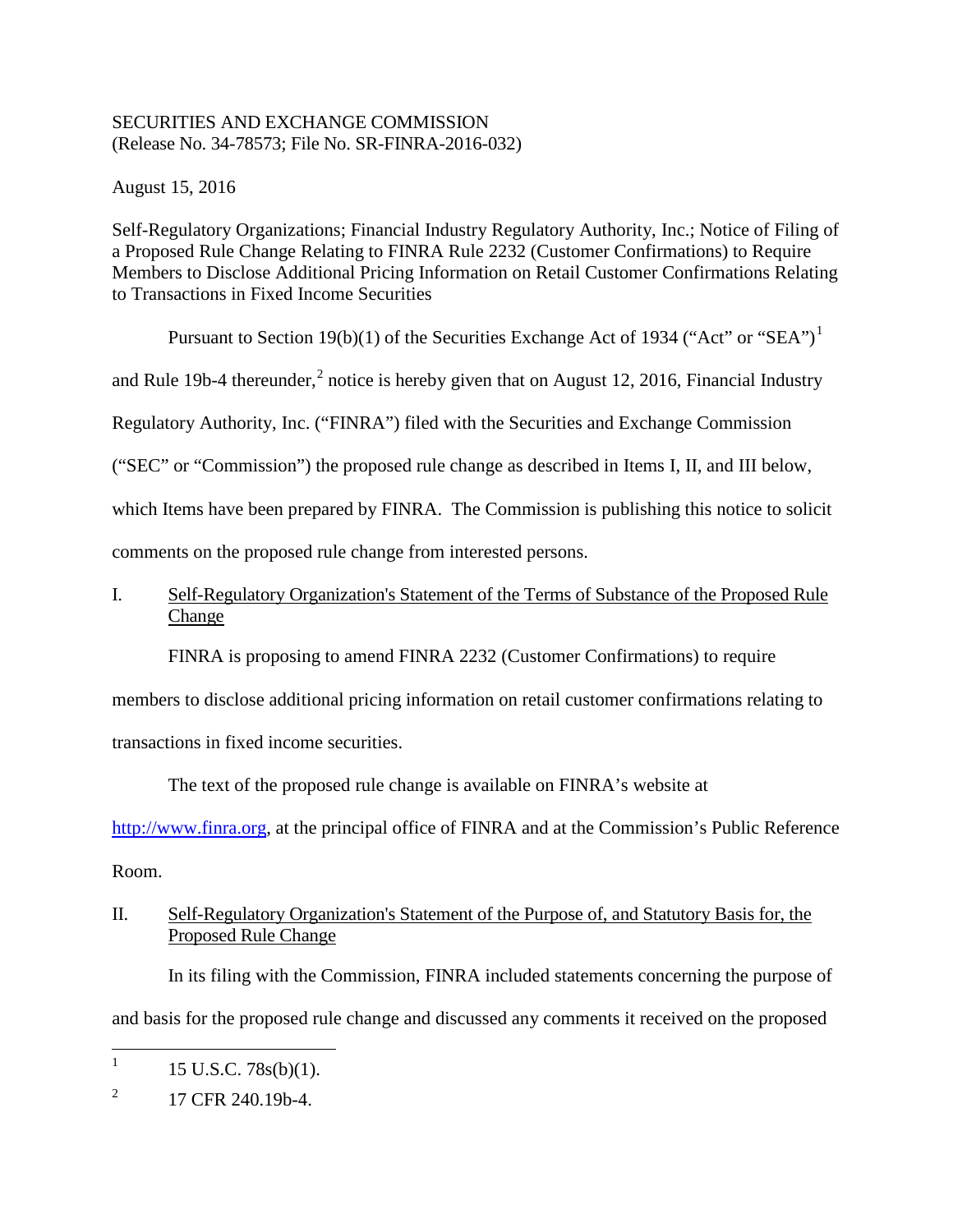# SECURITIES AND EXCHANGE COMMISSION (Release No. 34-78573; File No. SR-FINRA-2016-032)

August 15, 2016

Self-Regulatory Organizations; Financial Industry Regulatory Authority, Inc.; Notice of Filing of a Proposed Rule Change Relating to FINRA Rule 2232 (Customer Confirmations) to Require Members to Disclose Additional Pricing Information on Retail Customer Confirmations Relating to Transactions in Fixed Income Securities

Pursuant to Section 19(b)(1) of the Securities Exchange Act of 1934 ("Act" or "SEA")<sup>1</sup>

and Rule 19b-4 thereunder,<sup>2</sup> notice is hereby given that on August 12, 2016, Financial Industry

Regulatory Authority, Inc. ("FINRA") filed with the Securities and Exchange Commission

("SEC" or "Commission") the proposed rule change as described in Items I, II, and III below,

which Items have been prepared by FINRA. The Commission is publishing this notice to solicit

comments on the proposed rule change from interested persons.

# I. Self-Regulatory Organization's Statement of the Terms of Substance of the Proposed Rule Change

FINRA is proposing to amend FINRA 2232 (Customer Confirmations) to require

members to disclose additional pricing information on retail customer confirmations relating to

transactions in fixed income securities.

The text of the proposed rule change is available on FINRA's website at

http://www.finra.org, at the principal office of FINRA and at the Commission's Public Reference

Room.

# II. Self-Regulatory Organization's Statement of the Purpose of, and Statutory Basis for, the Proposed Rule Change

In its filing with the Commission, FINRA included statements concerning the purpose of and basis for the proposed rule change and discussed any comments it received on the proposed

<sup>&</sup>lt;sup>1</sup> 15 U.S.C. 78s(b)(1).

 $^{2}$  17 CFR 240.19b-4.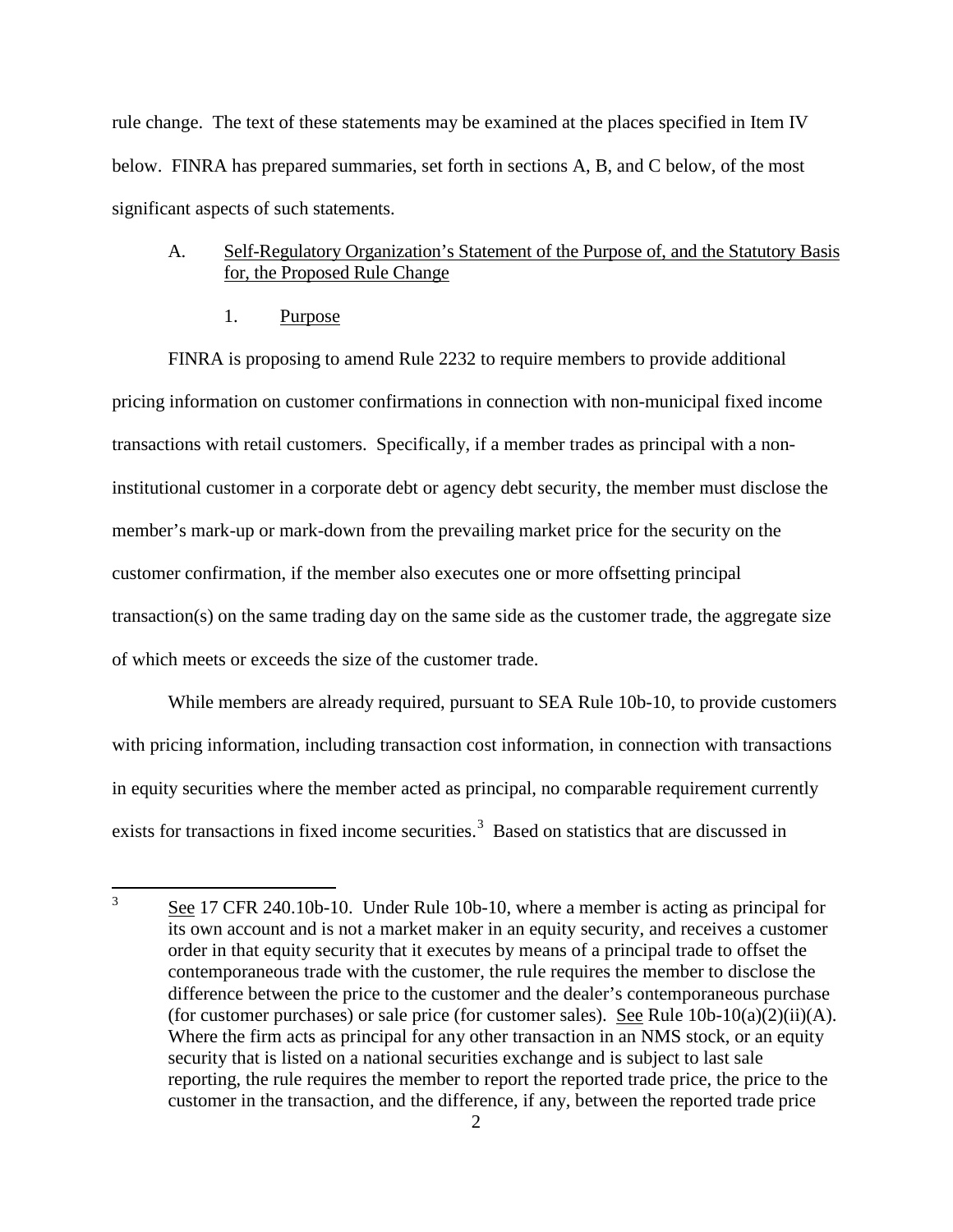rule change. The text of these statements may be examined at the places specified in Item IV below. FINRA has prepared summaries, set forth in sections A, B, and C below, of the most significant aspects of such statements.

## A. Self-Regulatory Organization's Statement of the Purpose of, and the Statutory Basis for, the Proposed Rule Change

1. Purpose

FINRA is proposing to amend Rule 2232 to require members to provide additional pricing information on customer confirmations in connection with non-municipal fixed income transactions with retail customers. Specifically, if a member trades as principal with a noninstitutional customer in a corporate debt or agency debt security, the member must disclose the member's mark-up or mark-down from the prevailing market price for the security on the customer confirmation, if the member also executes one or more offsetting principal transaction(s) on the same trading day on the same side as the customer trade, the aggregate size of which meets or exceeds the size of the customer trade.

While members are already required, pursuant to SEA Rule 10b-10, to provide customers with pricing information, including transaction cost information, in connection with transactions in equity securities where the member acted as principal, no comparable requirement currently exists for transactions in fixed income securities.<sup>3</sup> Based on statistics that are discussed in

 <sup>3</sup> See 17 CFR 240.10b-10. Under Rule 10b-10, where a member is acting as principal for its own account and is not a market maker in an equity security, and receives a customer order in that equity security that it executes by means of a principal trade to offset the contemporaneous trade with the customer, the rule requires the member to disclose the difference between the price to the customer and the dealer's contemporaneous purchase (for customer purchases) or sale price (for customer sales). See Rule  $10b-10(a)(2)(ii)(A)$ . Where the firm acts as principal for any other transaction in an NMS stock, or an equity security that is listed on a national securities exchange and is subject to last sale reporting, the rule requires the member to report the reported trade price, the price to the customer in the transaction, and the difference, if any, between the reported trade price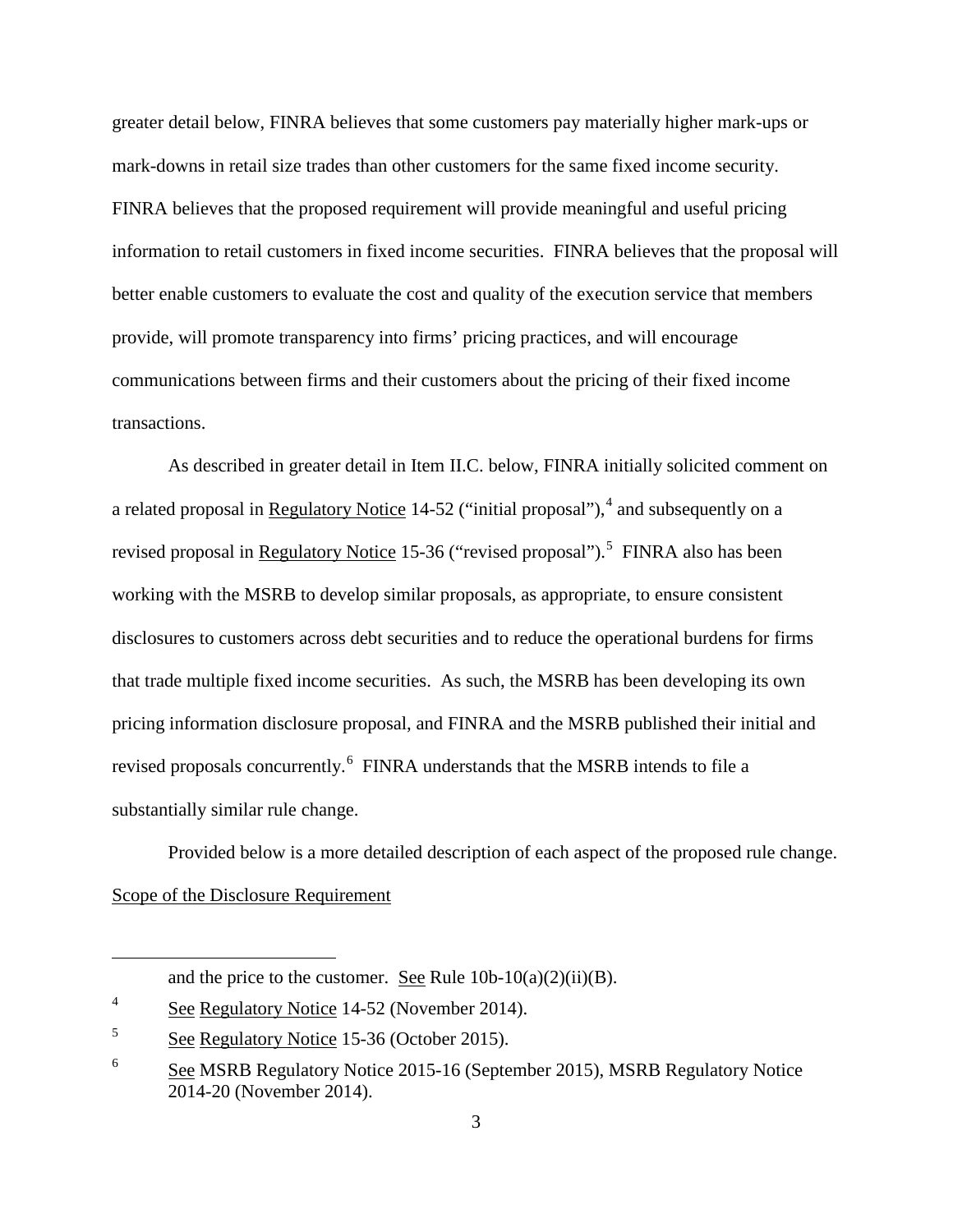greater detail below, FINRA believes that some customers pay materially higher mark-ups or mark-downs in retail size trades than other customers for the same fixed income security. FINRA believes that the proposed requirement will provide meaningful and useful pricing information to retail customers in fixed income securities. FINRA believes that the proposal will better enable customers to evaluate the cost and quality of the execution service that members provide, will promote transparency into firms' pricing practices, and will encourage communications between firms and their customers about the pricing of their fixed income transactions.

As described in greater detail in Item II.C. below, FINRA initially solicited comment on a related proposal in Regulatory Notice 14-52 ("initial proposal"), $4$  and subsequently on a revised proposal in Regulatory Notice 15-36 ("revised proposal").<sup>5</sup> FINRA also has been working with the MSRB to develop similar proposals, as appropriate, to ensure consistent disclosures to customers across debt securities and to reduce the operational burdens for firms that trade multiple fixed income securities. As such, the MSRB has been developing its own pricing information disclosure proposal, and FINRA and the MSRB published their initial and revised proposals concurrently.<sup>6</sup> FINRA understands that the MSRB intends to file a substantially similar rule change.

Provided below is a more detailed description of each aspect of the proposed rule change. Scope of the Disclosure Requirement

 $\overline{a}$ 

and the price to the customer. See Rule  $10b-10(a)(2)(ii)(B)$ .

<sup>&</sup>lt;sup>4</sup> See Regulatory Notice 14-52 (November 2014).

<sup>&</sup>lt;sup>5</sup> See Regulatory Notice 15-36 (October 2015).

<sup>&</sup>lt;sup>6</sup> See MSRB Regulatory Notice 2015-16 (September 2015), MSRB Regulatory Notice 2014-20 (November 2014).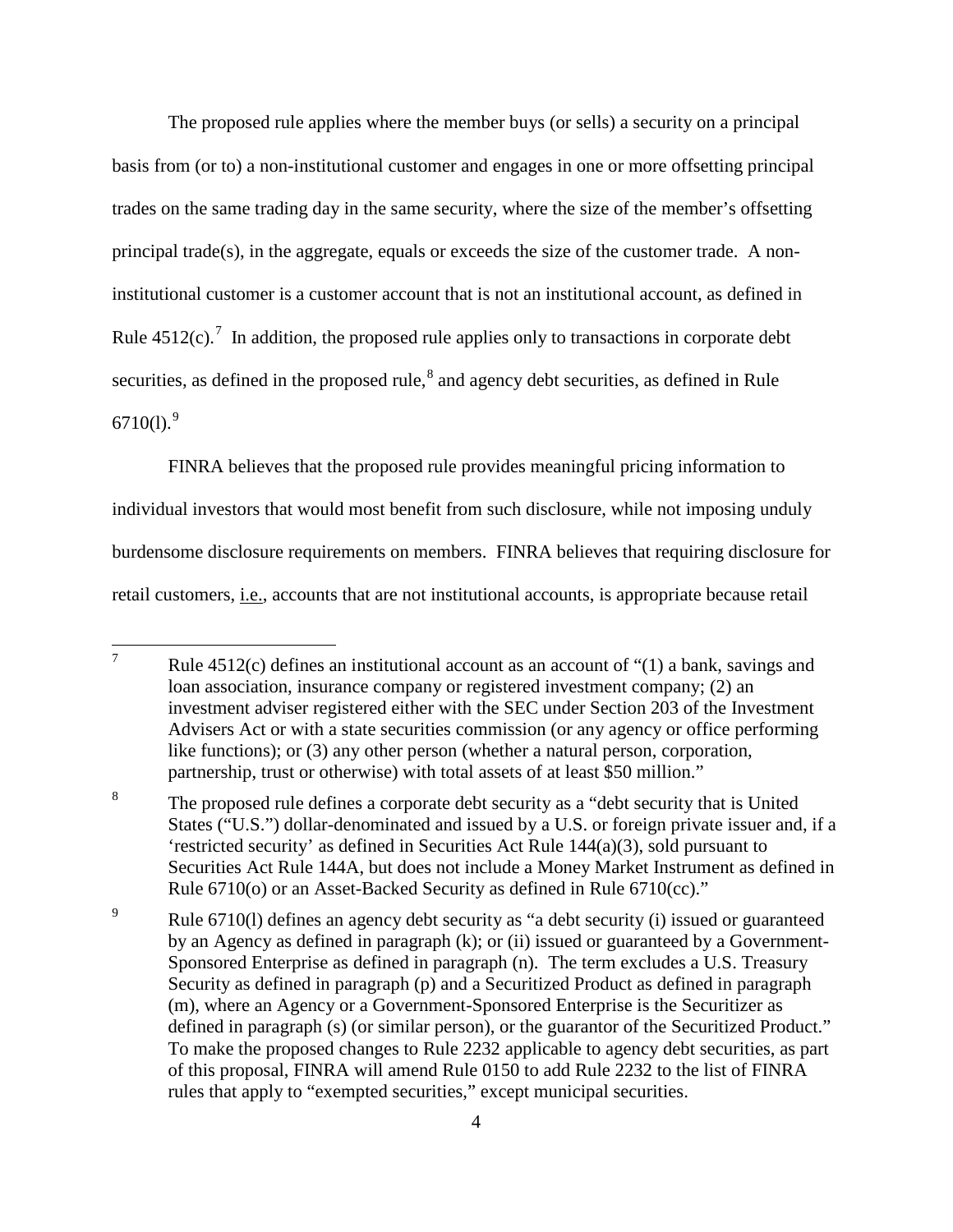The proposed rule applies where the member buys (or sells) a security on a principal basis from (or to) a non-institutional customer and engages in one or more offsetting principal trades on the same trading day in the same security, where the size of the member's offsetting principal trade(s), in the aggregate, equals or exceeds the size of the customer trade. A noninstitutional customer is a customer account that is not an institutional account, as defined in Rule  $4512(c)$ .<sup>7</sup> In addition, the proposed rule applies only to transactions in corporate debt securities, as defined in the proposed rule,<sup>8</sup> and agency debt securities, as defined in Rule 6710(1). $9$ 

FINRA believes that the proposed rule provides meaningful pricing information to individual investors that would most benefit from such disclosure, while not imposing unduly burdensome disclosure requirements on members. FINRA believes that requiring disclosure for retail customers, i.e., accounts that are not institutional accounts, is appropriate because retail

<sup>&</sup>lt;sup>7</sup> Rule 4512(c) defines an institutional account as an account of "(1) a bank, savings and loan association, insurance company or registered investment company; (2) an investment adviser registered either with the SEC under Section 203 of the Investment Advisers Act or with a state securities commission (or any agency or office performing like functions); or (3) any other person (whether a natural person, corporation, partnership, trust or otherwise) with total assets of at least \$50 million."

<sup>&</sup>lt;sup>8</sup> The proposed rule defines a corporate debt security as a "debt security that is United States ("U.S.") dollar-denominated and issued by a U.S. or foreign private issuer and, if a 'restricted security' as defined in Securities Act Rule 144(a)(3), sold pursuant to Securities Act Rule 144A, but does not include a Money Market Instrument as defined in Rule 6710(o) or an Asset-Backed Security as defined in Rule 6710(cc)."

<sup>&</sup>lt;sup>9</sup> Rule 6710(1) defines an agency debt security as "a debt security (i) issued or guaranteed by an Agency as defined in paragraph (k); or (ii) issued or guaranteed by a Government-Sponsored Enterprise as defined in paragraph (n). The term excludes a U.S. Treasury Security as defined in paragraph (p) and a Securitized Product as defined in paragraph (m), where an Agency or a Government-Sponsored Enterprise is the Securitizer as defined in paragraph (s) (or similar person), or the guarantor of the Securitized Product." To make the proposed changes to Rule 2232 applicable to agency debt securities, as part of this proposal, FINRA will amend Rule 0150 to add Rule 2232 to the list of FINRA rules that apply to "exempted securities," except municipal securities.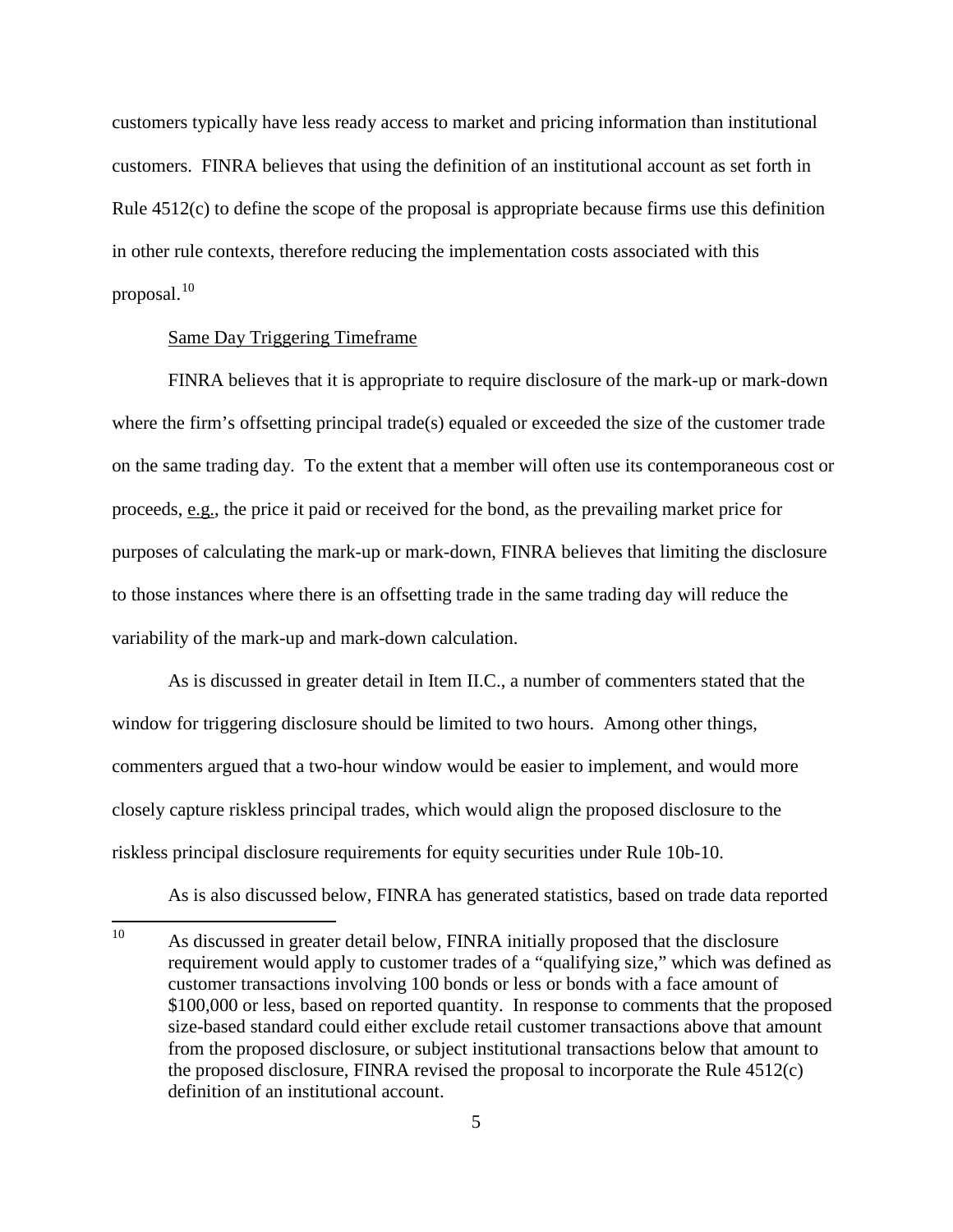customers typically have less ready access to market and pricing information than institutional customers. FINRA believes that using the definition of an institutional account as set forth in Rule 4512(c) to define the scope of the proposal is appropriate because firms use this definition in other rule contexts, therefore reducing the implementation costs associated with this proposal.<sup>10</sup>

### Same Day Triggering Timeframe

FINRA believes that it is appropriate to require disclosure of the mark-up or mark-down where the firm's offsetting principal trade(s) equaled or exceeded the size of the customer trade on the same trading day. To the extent that a member will often use its contemporaneous cost or proceeds, e.g., the price it paid or received for the bond, as the prevailing market price for purposes of calculating the mark-up or mark-down, FINRA believes that limiting the disclosure to those instances where there is an offsetting trade in the same trading day will reduce the variability of the mark-up and mark-down calculation.

As is discussed in greater detail in Item II.C., a number of commenters stated that the window for triggering disclosure should be limited to two hours. Among other things, commenters argued that a two-hour window would be easier to implement, and would more closely capture riskless principal trades, which would align the proposed disclosure to the riskless principal disclosure requirements for equity securities under Rule 10b-10.

As is also discussed below, FINRA has generated statistics, based on trade data reported

<sup>&</sup>lt;sup>10</sup> As discussed in greater detail below, FINRA initially proposed that the disclosure requirement would apply to customer trades of a "qualifying size," which was defined as customer transactions involving 100 bonds or less or bonds with a face amount of \$100,000 or less, based on reported quantity. In response to comments that the proposed size-based standard could either exclude retail customer transactions above that amount from the proposed disclosure, or subject institutional transactions below that amount to the proposed disclosure, FINRA revised the proposal to incorporate the Rule 4512(c) definition of an institutional account.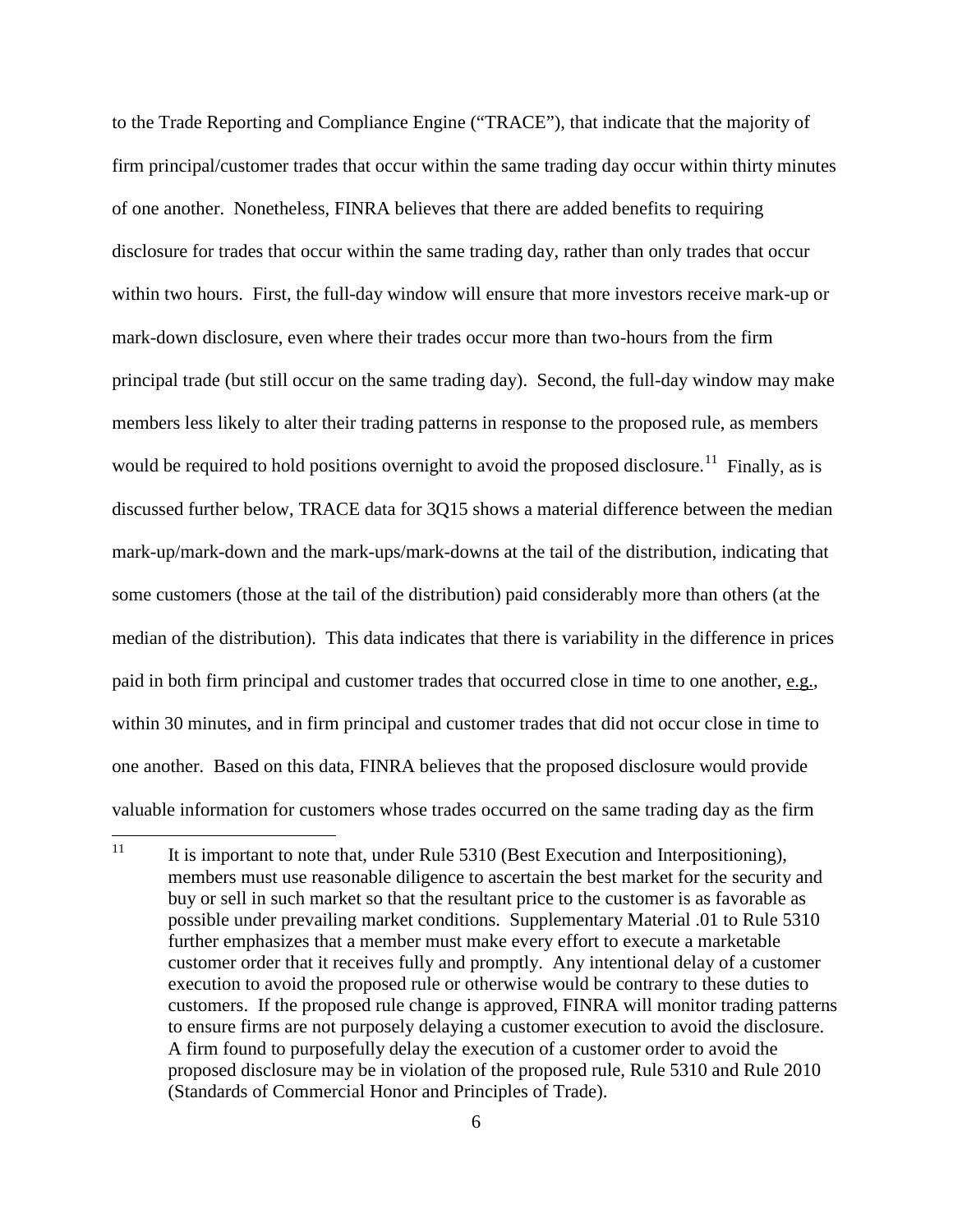to the Trade Reporting and Compliance Engine ("TRACE"), that indicate that the majority of firm principal/customer trades that occur within the same trading day occur within thirty minutes of one another. Nonetheless, FINRA believes that there are added benefits to requiring disclosure for trades that occur within the same trading day, rather than only trades that occur within two hours. First, the full-day window will ensure that more investors receive mark-up or mark-down disclosure, even where their trades occur more than two-hours from the firm principal trade (but still occur on the same trading day). Second, the full-day window may make members less likely to alter their trading patterns in response to the proposed rule, as members would be required to hold positions overnight to avoid the proposed disclosure.<sup>11</sup> Finally, as is discussed further below, TRACE data for 3Q15 shows a material difference between the median mark-up/mark-down and the mark-ups/mark-downs at the tail of the distribution, indicating that some customers (those at the tail of the distribution) paid considerably more than others (at the median of the distribution). This data indicates that there is variability in the difference in prices paid in both firm principal and customer trades that occurred close in time to one another, e.g., within 30 minutes, and in firm principal and customer trades that did not occur close in time to one another. Based on this data, FINRA believes that the proposed disclosure would provide valuable information for customers whose trades occurred on the same trading day as the firm

<sup>&</sup>lt;sup>11</sup> It is important to note that, under Rule 5310 (Best Execution and Interpositioning), members must use reasonable diligence to ascertain the best market for the security and buy or sell in such market so that the resultant price to the customer is as favorable as possible under prevailing market conditions. Supplementary Material .01 to Rule 5310 further emphasizes that a member must make every effort to execute a marketable customer order that it receives fully and promptly. Any intentional delay of a customer execution to avoid the proposed rule or otherwise would be contrary to these duties to customers. If the proposed rule change is approved, FINRA will monitor trading patterns to ensure firms are not purposely delaying a customer execution to avoid the disclosure. A firm found to purposefully delay the execution of a customer order to avoid the proposed disclosure may be in violation of the proposed rule, Rule 5310 and Rule 2010 (Standards of Commercial Honor and Principles of Trade).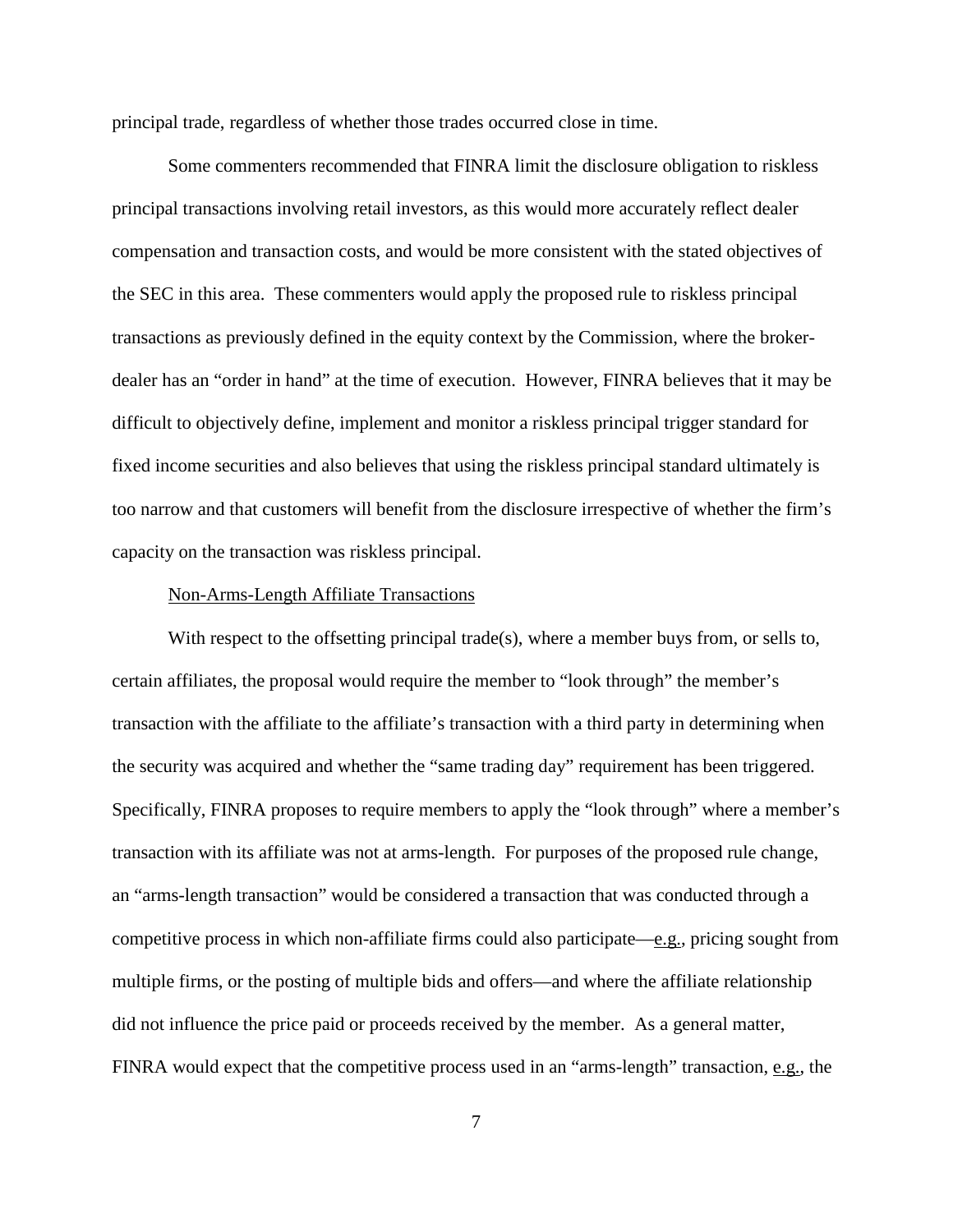principal trade, regardless of whether those trades occurred close in time.

Some commenters recommended that FINRA limit the disclosure obligation to riskless principal transactions involving retail investors, as this would more accurately reflect dealer compensation and transaction costs, and would be more consistent with the stated objectives of the SEC in this area. These commenters would apply the proposed rule to riskless principal transactions as previously defined in the equity context by the Commission, where the brokerdealer has an "order in hand" at the time of execution. However, FINRA believes that it may be difficult to objectively define, implement and monitor a riskless principal trigger standard for fixed income securities and also believes that using the riskless principal standard ultimately is too narrow and that customers will benefit from the disclosure irrespective of whether the firm's capacity on the transaction was riskless principal.

#### Non-Arms-Length Affiliate Transactions

With respect to the offsetting principal trade(s), where a member buys from, or sells to, certain affiliates, the proposal would require the member to "look through" the member's transaction with the affiliate to the affiliate's transaction with a third party in determining when the security was acquired and whether the "same trading day" requirement has been triggered. Specifically, FINRA proposes to require members to apply the "look through" where a member's transaction with its affiliate was not at arms-length. For purposes of the proposed rule change, an "arms-length transaction" would be considered a transaction that was conducted through a competitive process in which non-affiliate firms could also participate—e.g., pricing sought from multiple firms, or the posting of multiple bids and offers—and where the affiliate relationship did not influence the price paid or proceeds received by the member. As a general matter, FINRA would expect that the competitive process used in an "arms-length" transaction, e.g., the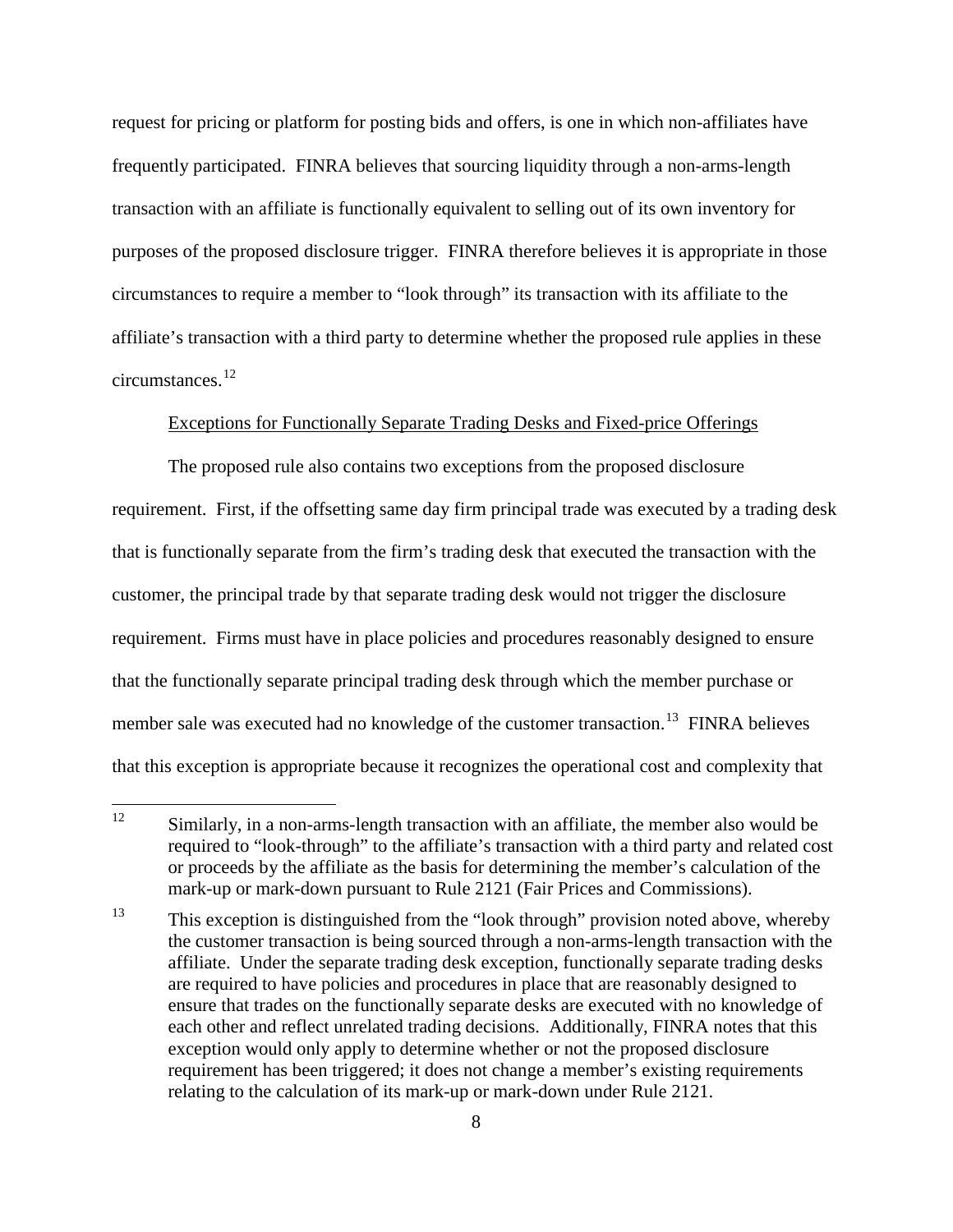request for pricing or platform for posting bids and offers, is one in which non-affiliates have frequently participated. FINRA believes that sourcing liquidity through a non-arms-length transaction with an affiliate is functionally equivalent to selling out of its own inventory for purposes of the proposed disclosure trigger. FINRA therefore believes it is appropriate in those circumstances to require a member to "look through" its transaction with its affiliate to the affiliate's transaction with a third party to determine whether the proposed rule applies in these circumstances.<sup>12</sup>

### Exceptions for Functionally Separate Trading Desks and Fixed-price Offerings

The proposed rule also contains two exceptions from the proposed disclosure requirement. First, if the offsetting same day firm principal trade was executed by a trading desk that is functionally separate from the firm's trading desk that executed the transaction with the customer, the principal trade by that separate trading desk would not trigger the disclosure requirement. Firms must have in place policies and procedures reasonably designed to ensure that the functionally separate principal trading desk through which the member purchase or member sale was executed had no knowledge of the customer transaction.<sup>13</sup> FINRA believes that this exception is appropriate because it recognizes the operational cost and complexity that

 $12$  Similarly, in a non-arms-length transaction with an affiliate, the member also would be required to "look-through" to the affiliate's transaction with a third party and related cost or proceeds by the affiliate as the basis for determining the member's calculation of the mark-up or mark-down pursuant to Rule 2121 (Fair Prices and Commissions).

 $13$  This exception is distinguished from the "look through" provision noted above, whereby the customer transaction is being sourced through a non-arms-length transaction with the affiliate. Under the separate trading desk exception, functionally separate trading desks are required to have policies and procedures in place that are reasonably designed to ensure that trades on the functionally separate desks are executed with no knowledge of each other and reflect unrelated trading decisions. Additionally, FINRA notes that this exception would only apply to determine whether or not the proposed disclosure requirement has been triggered; it does not change a member's existing requirements relating to the calculation of its mark-up or mark-down under Rule 2121.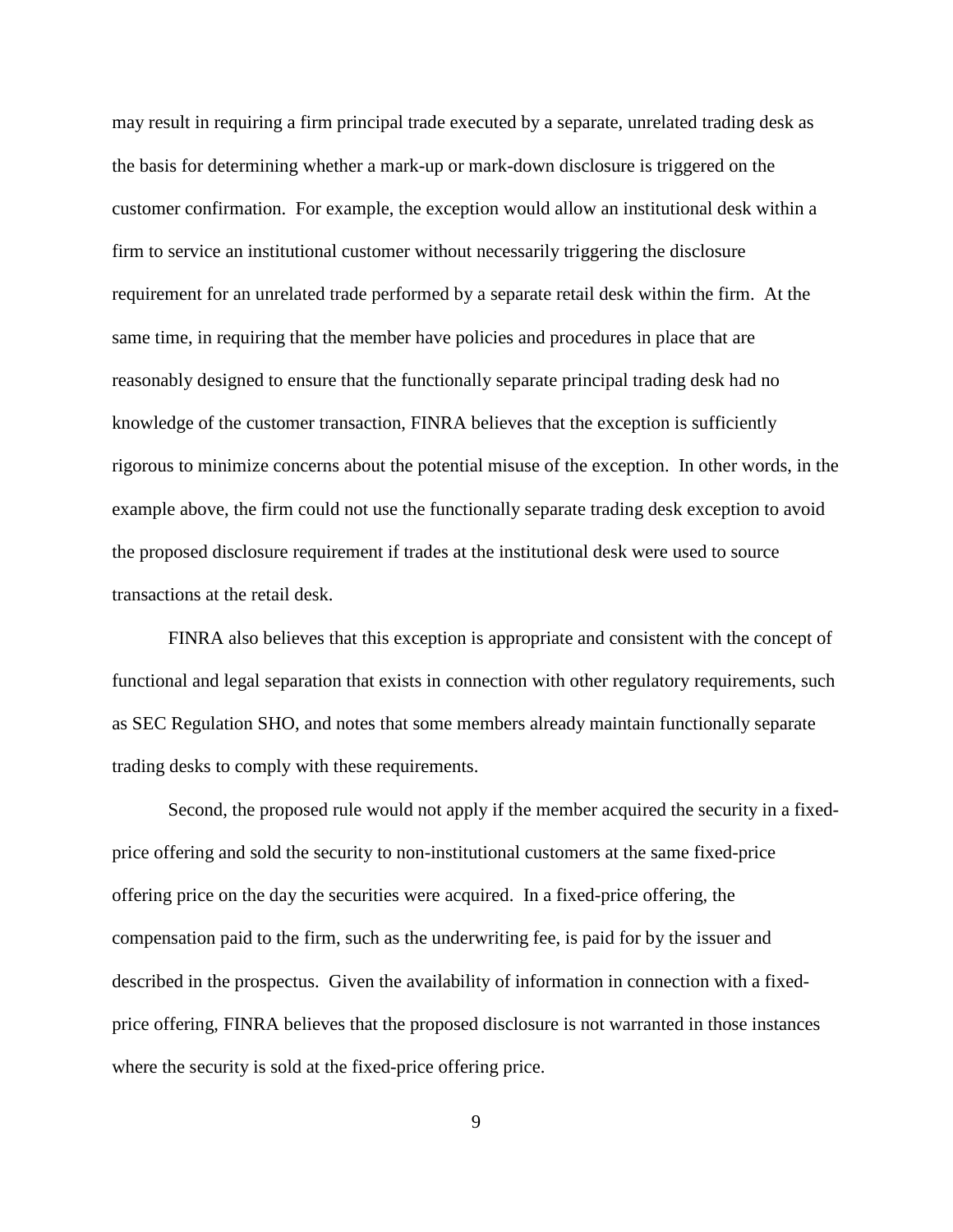may result in requiring a firm principal trade executed by a separate, unrelated trading desk as the basis for determining whether a mark-up or mark-down disclosure is triggered on the customer confirmation. For example, the exception would allow an institutional desk within a firm to service an institutional customer without necessarily triggering the disclosure requirement for an unrelated trade performed by a separate retail desk within the firm. At the same time, in requiring that the member have policies and procedures in place that are reasonably designed to ensure that the functionally separate principal trading desk had no knowledge of the customer transaction, FINRA believes that the exception is sufficiently rigorous to minimize concerns about the potential misuse of the exception. In other words, in the example above, the firm could not use the functionally separate trading desk exception to avoid the proposed disclosure requirement if trades at the institutional desk were used to source transactions at the retail desk.

FINRA also believes that this exception is appropriate and consistent with the concept of functional and legal separation that exists in connection with other regulatory requirements, such as SEC Regulation SHO, and notes that some members already maintain functionally separate trading desks to comply with these requirements.

Second, the proposed rule would not apply if the member acquired the security in a fixedprice offering and sold the security to non-institutional customers at the same fixed-price offering price on the day the securities were acquired. In a fixed-price offering, the compensation paid to the firm, such as the underwriting fee, is paid for by the issuer and described in the prospectus. Given the availability of information in connection with a fixedprice offering, FINRA believes that the proposed disclosure is not warranted in those instances where the security is sold at the fixed-price offering price.

9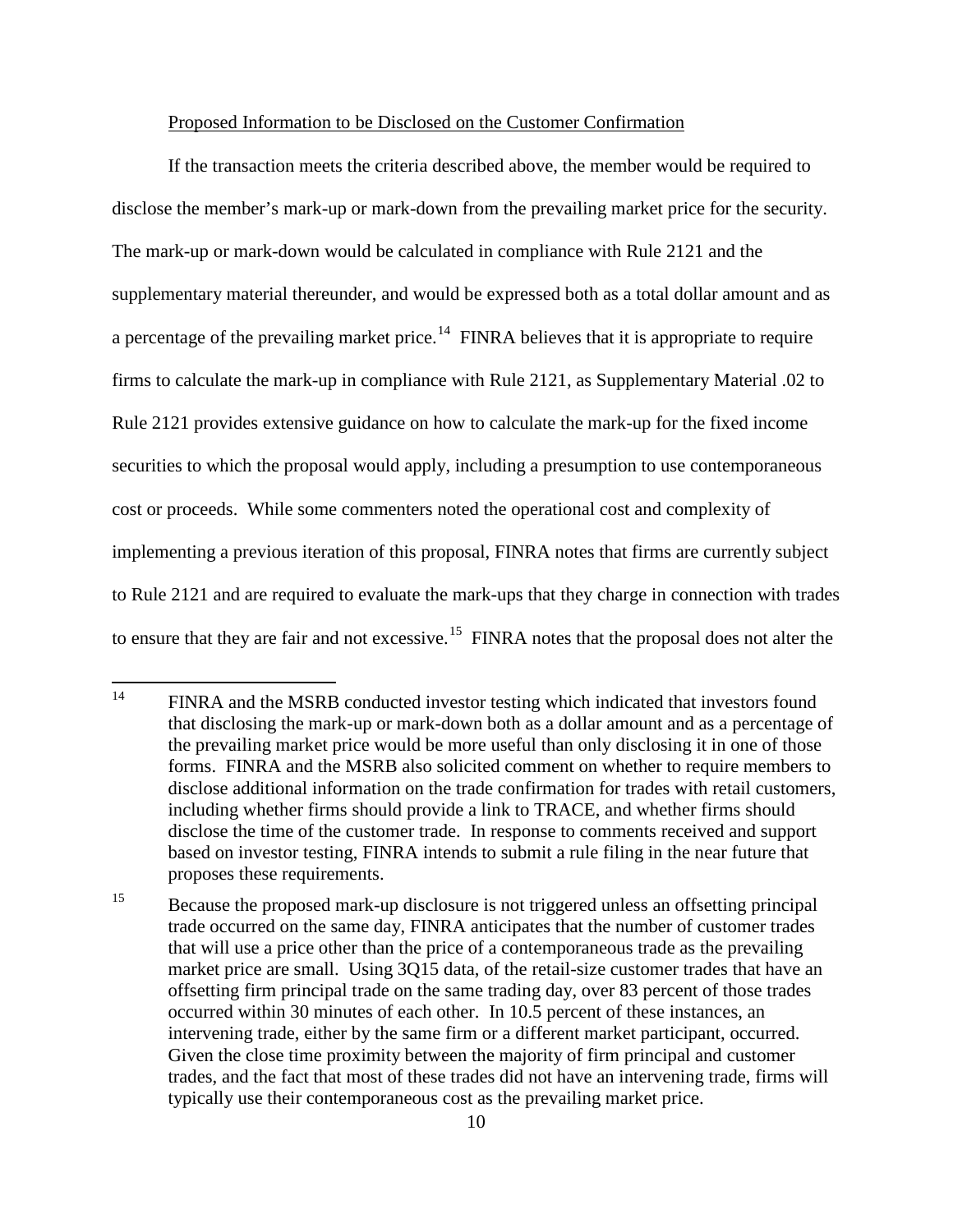#### Proposed Information to be Disclosed on the Customer Confirmation

If the transaction meets the criteria described above, the member would be required to disclose the member's mark-up or mark-down from the prevailing market price for the security. The mark-up or mark-down would be calculated in compliance with Rule 2121 and the supplementary material thereunder, and would be expressed both as a total dollar amount and as a percentage of the prevailing market price.<sup>14</sup> FINRA believes that it is appropriate to require firms to calculate the mark-up in compliance with Rule 2121, as Supplementary Material .02 to Rule 2121 provides extensive guidance on how to calculate the mark-up for the fixed income securities to which the proposal would apply, including a presumption to use contemporaneous cost or proceeds. While some commenters noted the operational cost and complexity of implementing a previous iteration of this proposal, FINRA notes that firms are currently subject to Rule 2121 and are required to evaluate the mark-ups that they charge in connection with trades to ensure that they are fair and not excessive.<sup>15</sup> FINRA notes that the proposal does not alter the

<sup>&</sup>lt;sup>14</sup> FINRA and the MSRB conducted investor testing which indicated that investors found that disclosing the mark-up or mark-down both as a dollar amount and as a percentage of the prevailing market price would be more useful than only disclosing it in one of those forms. FINRA and the MSRB also solicited comment on whether to require members to disclose additional information on the trade confirmation for trades with retail customers, including whether firms should provide a link to TRACE, and whether firms should disclose the time of the customer trade. In response to comments received and support based on investor testing, FINRA intends to submit a rule filing in the near future that proposes these requirements.

<sup>&</sup>lt;sup>15</sup> Because the proposed mark-up disclosure is not triggered unless an offsetting principal trade occurred on the same day, FINRA anticipates that the number of customer trades that will use a price other than the price of a contemporaneous trade as the prevailing market price are small. Using 3Q15 data, of the retail-size customer trades that have an offsetting firm principal trade on the same trading day, over 83 percent of those trades occurred within 30 minutes of each other. In 10.5 percent of these instances, an intervening trade, either by the same firm or a different market participant, occurred. Given the close time proximity between the majority of firm principal and customer trades, and the fact that most of these trades did not have an intervening trade, firms will typically use their contemporaneous cost as the prevailing market price.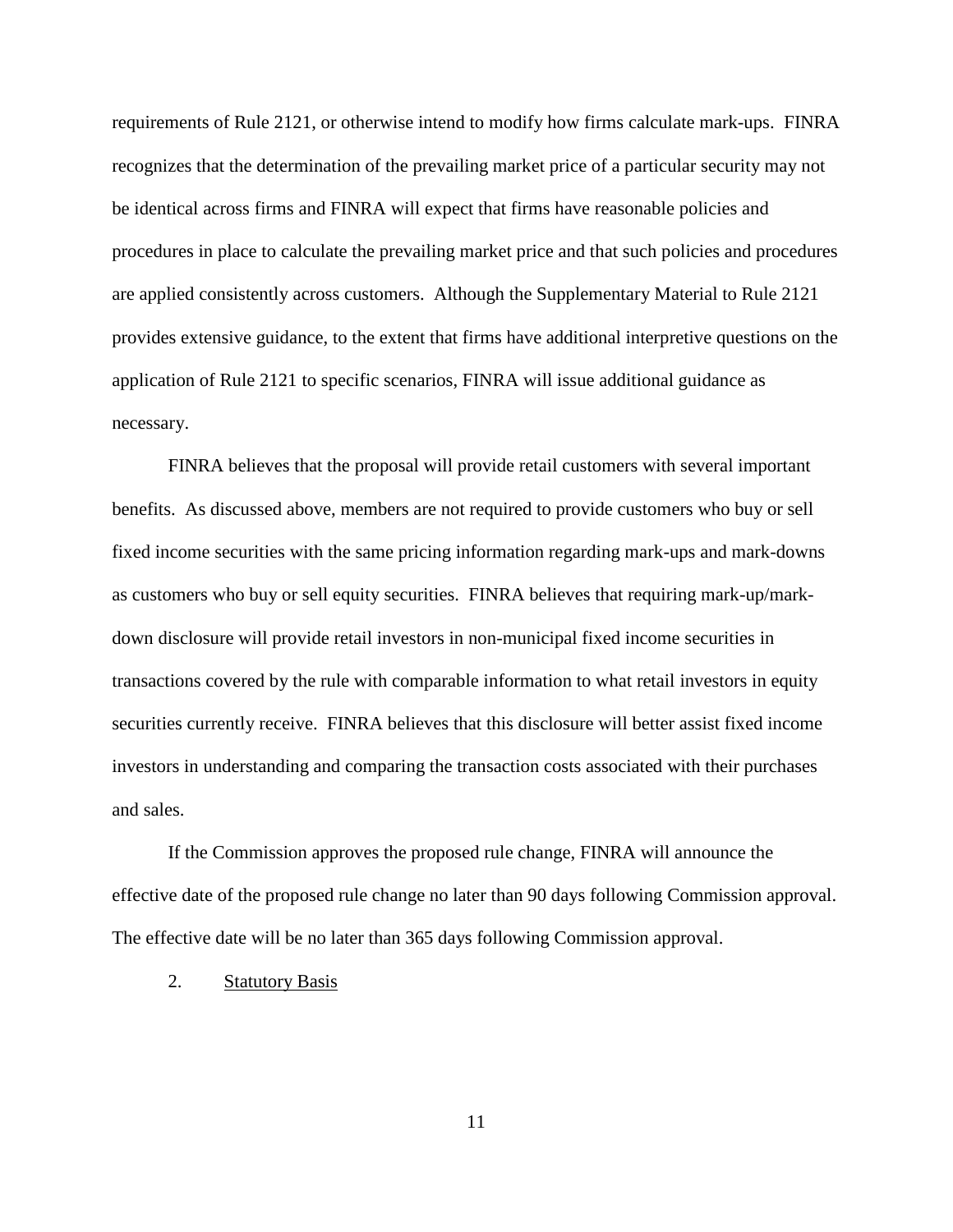requirements of Rule 2121, or otherwise intend to modify how firms calculate mark-ups. FINRA recognizes that the determination of the prevailing market price of a particular security may not be identical across firms and FINRA will expect that firms have reasonable policies and procedures in place to calculate the prevailing market price and that such policies and procedures are applied consistently across customers. Although the Supplementary Material to Rule 2121 provides extensive guidance, to the extent that firms have additional interpretive questions on the application of Rule 2121 to specific scenarios, FINRA will issue additional guidance as necessary.

FINRA believes that the proposal will provide retail customers with several important benefits. As discussed above, members are not required to provide customers who buy or sell fixed income securities with the same pricing information regarding mark-ups and mark-downs as customers who buy or sell equity securities. FINRA believes that requiring mark-up/markdown disclosure will provide retail investors in non-municipal fixed income securities in transactions covered by the rule with comparable information to what retail investors in equity securities currently receive. FINRA believes that this disclosure will better assist fixed income investors in understanding and comparing the transaction costs associated with their purchases and sales.

If the Commission approves the proposed rule change, FINRA will announce the effective date of the proposed rule change no later than 90 days following Commission approval. The effective date will be no later than 365 days following Commission approval.

2. Statutory Basis

11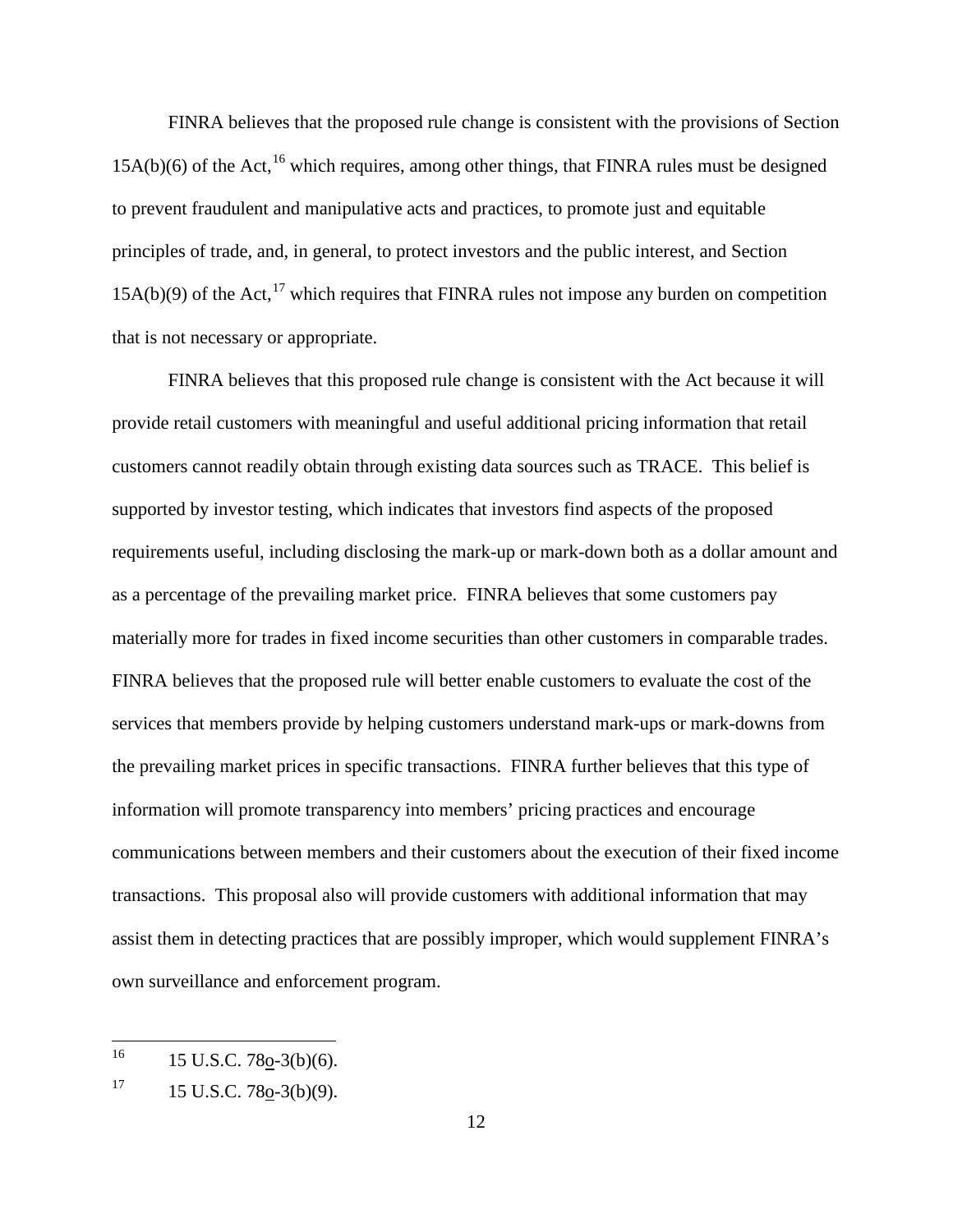FINRA believes that the proposed rule change is consistent with the provisions of Section  $15A(b)(6)$  of the Act, <sup>16</sup> which requires, among other things, that FINRA rules must be designed to prevent fraudulent and manipulative acts and practices, to promote just and equitable principles of trade, and, in general, to protect investors and the public interest, and Section  $15A(b)(9)$  of the Act,<sup>17</sup> which requires that FINRA rules not impose any burden on competition that is not necessary or appropriate.

FINRA believes that this proposed rule change is consistent with the Act because it will provide retail customers with meaningful and useful additional pricing information that retail customers cannot readily obtain through existing data sources such as TRACE. This belief is supported by investor testing, which indicates that investors find aspects of the proposed requirements useful, including disclosing the mark-up or mark-down both as a dollar amount and as a percentage of the prevailing market price. FINRA believes that some customers pay materially more for trades in fixed income securities than other customers in comparable trades. FINRA believes that the proposed rule will better enable customers to evaluate the cost of the services that members provide by helping customers understand mark-ups or mark-downs from the prevailing market prices in specific transactions. FINRA further believes that this type of information will promote transparency into members' pricing practices and encourage communications between members and their customers about the execution of their fixed income transactions. This proposal also will provide customers with additional information that may assist them in detecting practices that are possibly improper, which would supplement FINRA's own surveillance and enforcement program.

 $^{16}$  15 U.S.C. 78o-3(b)(6).

 $17 \qquad 15 \text{ U.S.C. } 78\text{o-3(b)}(9).$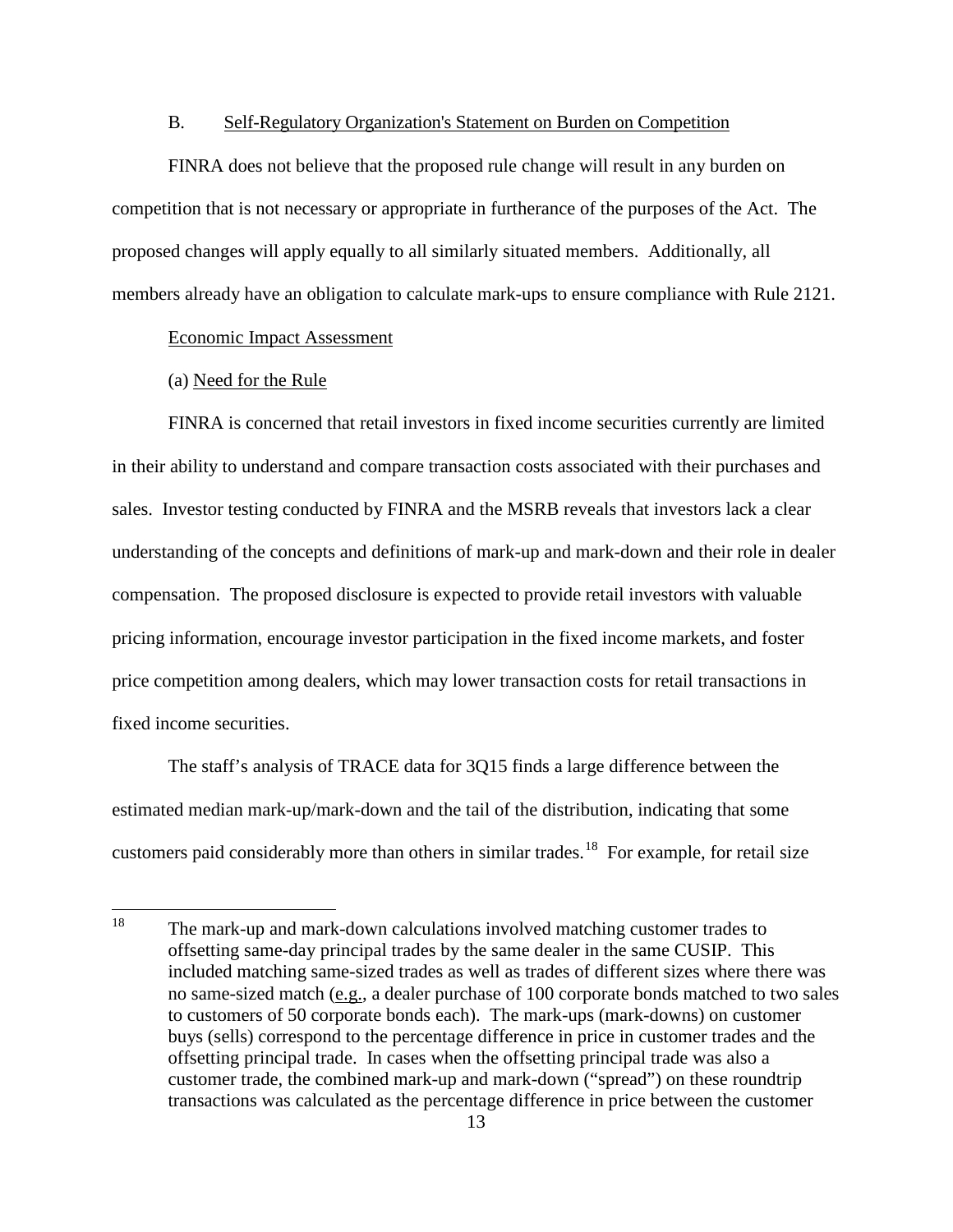### B. Self-Regulatory Organization's Statement on Burden on Competition

FINRA does not believe that the proposed rule change will result in any burden on competition that is not necessary or appropriate in furtherance of the purposes of the Act. The proposed changes will apply equally to all similarly situated members. Additionally, all members already have an obligation to calculate mark-ups to ensure compliance with Rule 2121.

#### Economic Impact Assessment

# (a) Need for the Rule

FINRA is concerned that retail investors in fixed income securities currently are limited in their ability to understand and compare transaction costs associated with their purchases and sales. Investor testing conducted by FINRA and the MSRB reveals that investors lack a clear understanding of the concepts and definitions of mark-up and mark-down and their role in dealer compensation. The proposed disclosure is expected to provide retail investors with valuable pricing information, encourage investor participation in the fixed income markets, and foster price competition among dealers, which may lower transaction costs for retail transactions in fixed income securities.

The staff's analysis of TRACE data for 3Q15 finds a large difference between the estimated median mark-up/mark-down and the tail of the distribution, indicating that some customers paid considerably more than others in similar trades.<sup>18</sup> For example, for retail size

<sup>&</sup>lt;sup>18</sup> The mark-up and mark-down calculations involved matching customer trades to offsetting same-day principal trades by the same dealer in the same CUSIP. This included matching same-sized trades as well as trades of different sizes where there was no same-sized match (e.g., a dealer purchase of 100 corporate bonds matched to two sales to customers of 50 corporate bonds each). The mark-ups (mark-downs) on customer buys (sells) correspond to the percentage difference in price in customer trades and the offsetting principal trade. In cases when the offsetting principal trade was also a customer trade, the combined mark-up and mark-down ("spread") on these roundtrip transactions was calculated as the percentage difference in price between the customer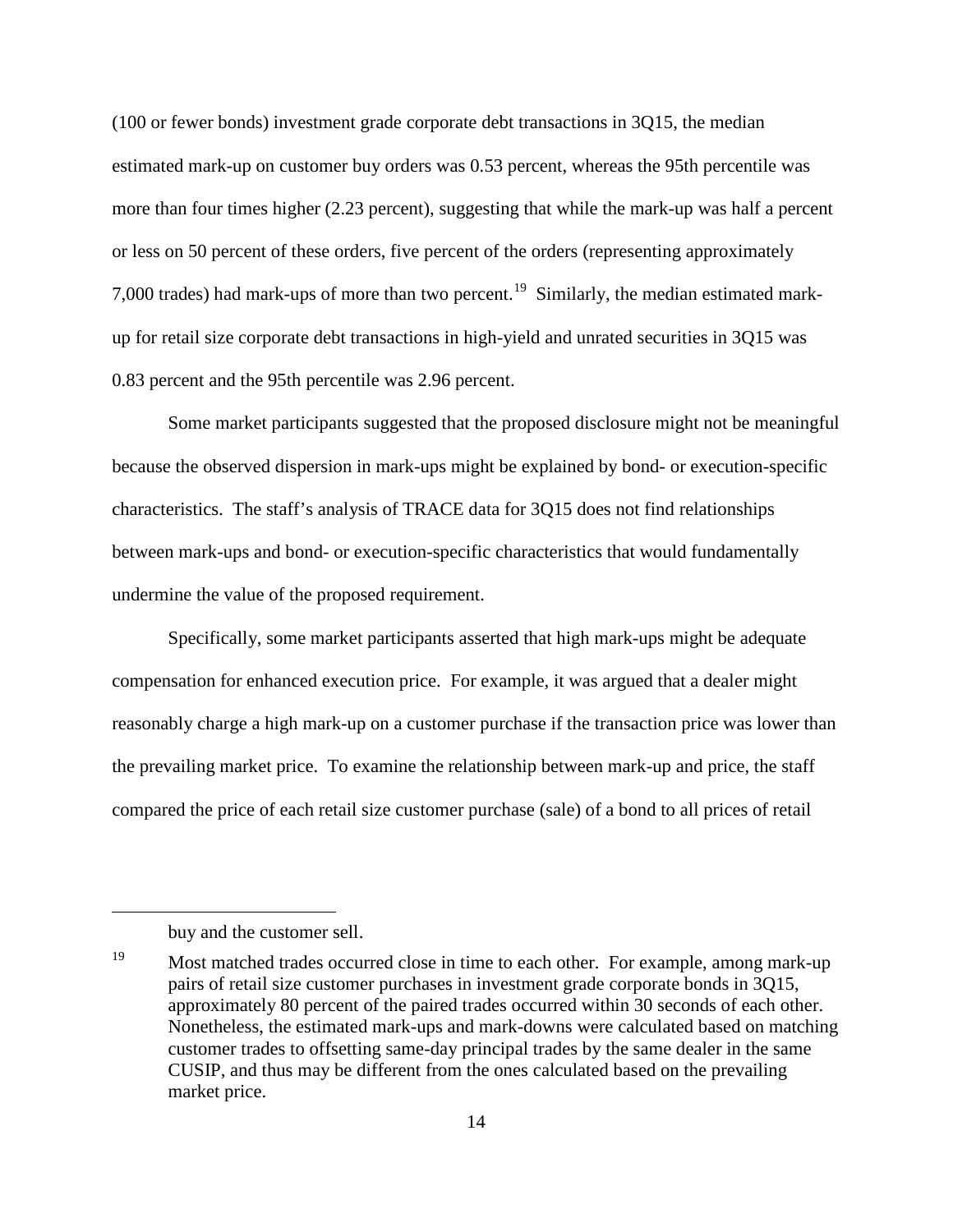(100 or fewer bonds) investment grade corporate debt transactions in 3Q15, the median estimated mark-up on customer buy orders was 0.53 percent, whereas the 95th percentile was more than four times higher (2.23 percent), suggesting that while the mark-up was half a percent or less on 50 percent of these orders, five percent of the orders (representing approximately 7,000 trades) had mark-ups of more than two percent.<sup>19</sup> Similarly, the median estimated markup for retail size corporate debt transactions in high-yield and unrated securities in 3Q15 was 0.83 percent and the 95th percentile was 2.96 percent.

Some market participants suggested that the proposed disclosure might not be meaningful because the observed dispersion in mark-ups might be explained by bond- or execution-specific characteristics. The staff's analysis of TRACE data for 3Q15 does not find relationships between mark-ups and bond- or execution-specific characteristics that would fundamentally undermine the value of the proposed requirement.

Specifically, some market participants asserted that high mark-ups might be adequate compensation for enhanced execution price. For example, it was argued that a dealer might reasonably charge a high mark-up on a customer purchase if the transaction price was lower than the prevailing market price. To examine the relationship between mark-up and price, the staff compared the price of each retail size customer purchase (sale) of a bond to all prices of retail

 $\overline{a}$ 

buy and the customer sell.

<sup>&</sup>lt;sup>19</sup> Most matched trades occurred close in time to each other. For example, among mark-up pairs of retail size customer purchases in investment grade corporate bonds in 3Q15, approximately 80 percent of the paired trades occurred within 30 seconds of each other. Nonetheless, the estimated mark-ups and mark-downs were calculated based on matching customer trades to offsetting same-day principal trades by the same dealer in the same CUSIP, and thus may be different from the ones calculated based on the prevailing market price.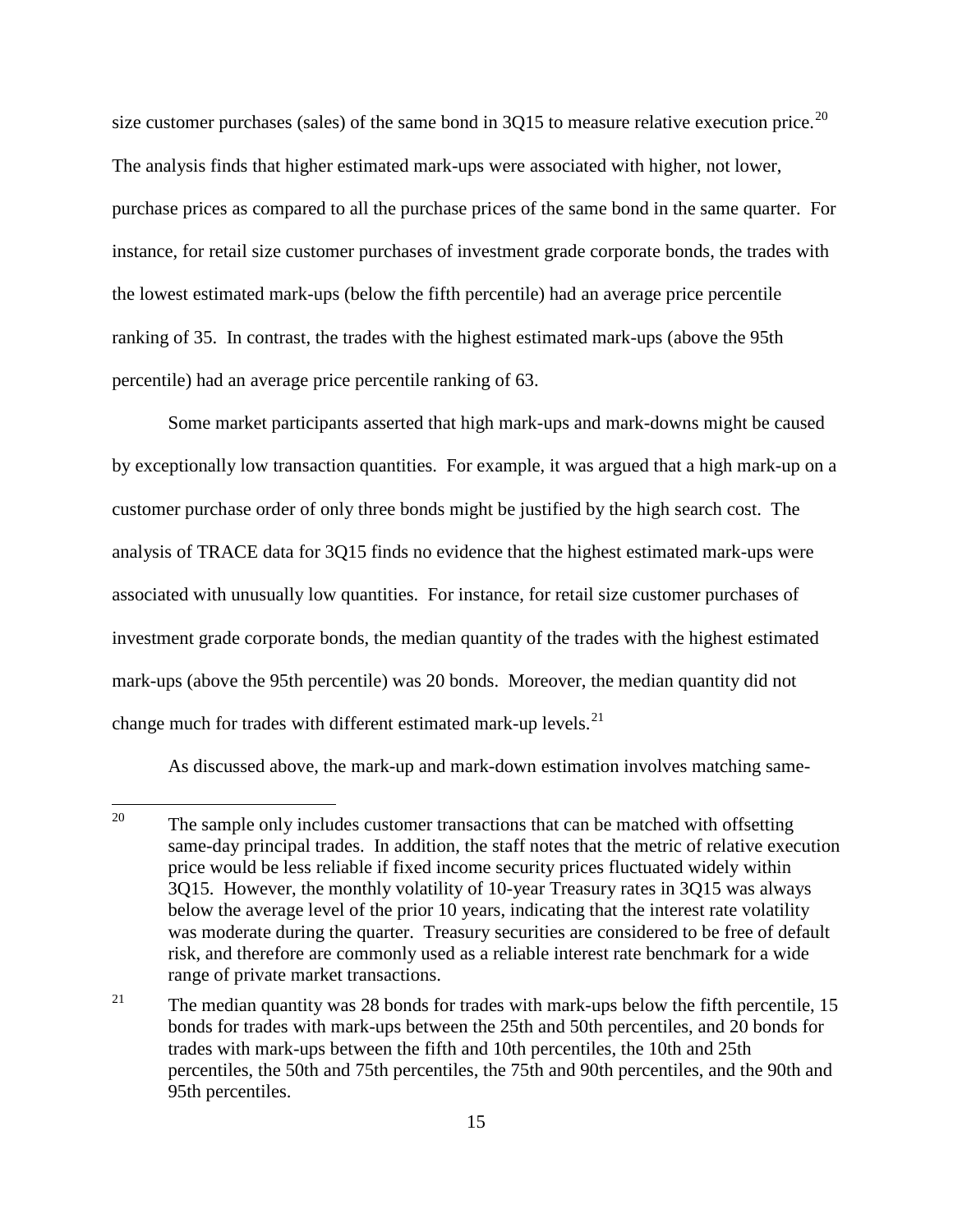size customer purchases (sales) of the same bond in  $3Q15$  to measure relative execution price.<sup>20</sup> The analysis finds that higher estimated mark-ups were associated with higher, not lower, purchase prices as compared to all the purchase prices of the same bond in the same quarter. For instance, for retail size customer purchases of investment grade corporate bonds, the trades with the lowest estimated mark-ups (below the fifth percentile) had an average price percentile ranking of 35. In contrast, the trades with the highest estimated mark-ups (above the 95th percentile) had an average price percentile ranking of 63.

Some market participants asserted that high mark-ups and mark-downs might be caused by exceptionally low transaction quantities. For example, it was argued that a high mark-up on a customer purchase order of only three bonds might be justified by the high search cost. The analysis of TRACE data for 3Q15 finds no evidence that the highest estimated mark-ups were associated with unusually low quantities. For instance, for retail size customer purchases of investment grade corporate bonds, the median quantity of the trades with the highest estimated mark-ups (above the 95th percentile) was 20 bonds. Moreover, the median quantity did not change much for trades with different estimated mark-up levels.<sup>21</sup>

As discussed above, the mark-up and mark-down estimation involves matching same-

<sup>&</sup>lt;sup>20</sup> The sample only includes customer transactions that can be matched with offsetting same-day principal trades. In addition, the staff notes that the metric of relative execution price would be less reliable if fixed income security prices fluctuated widely within 3Q15. However, the monthly volatility of 10-year Treasury rates in 3Q15 was always below the average level of the prior 10 years, indicating that the interest rate volatility was moderate during the quarter. Treasury securities are considered to be free of default risk, and therefore are commonly used as a reliable interest rate benchmark for a wide range of private market transactions.

<sup>&</sup>lt;sup>21</sup> The median quantity was 28 bonds for trades with mark-ups below the fifth percentile, 15 bonds for trades with mark-ups between the 25th and 50th percentiles, and 20 bonds for trades with mark-ups between the fifth and 10th percentiles, the 10th and 25th percentiles, the 50th and 75th percentiles, the 75th and 90th percentiles, and the 90th and 95th percentiles.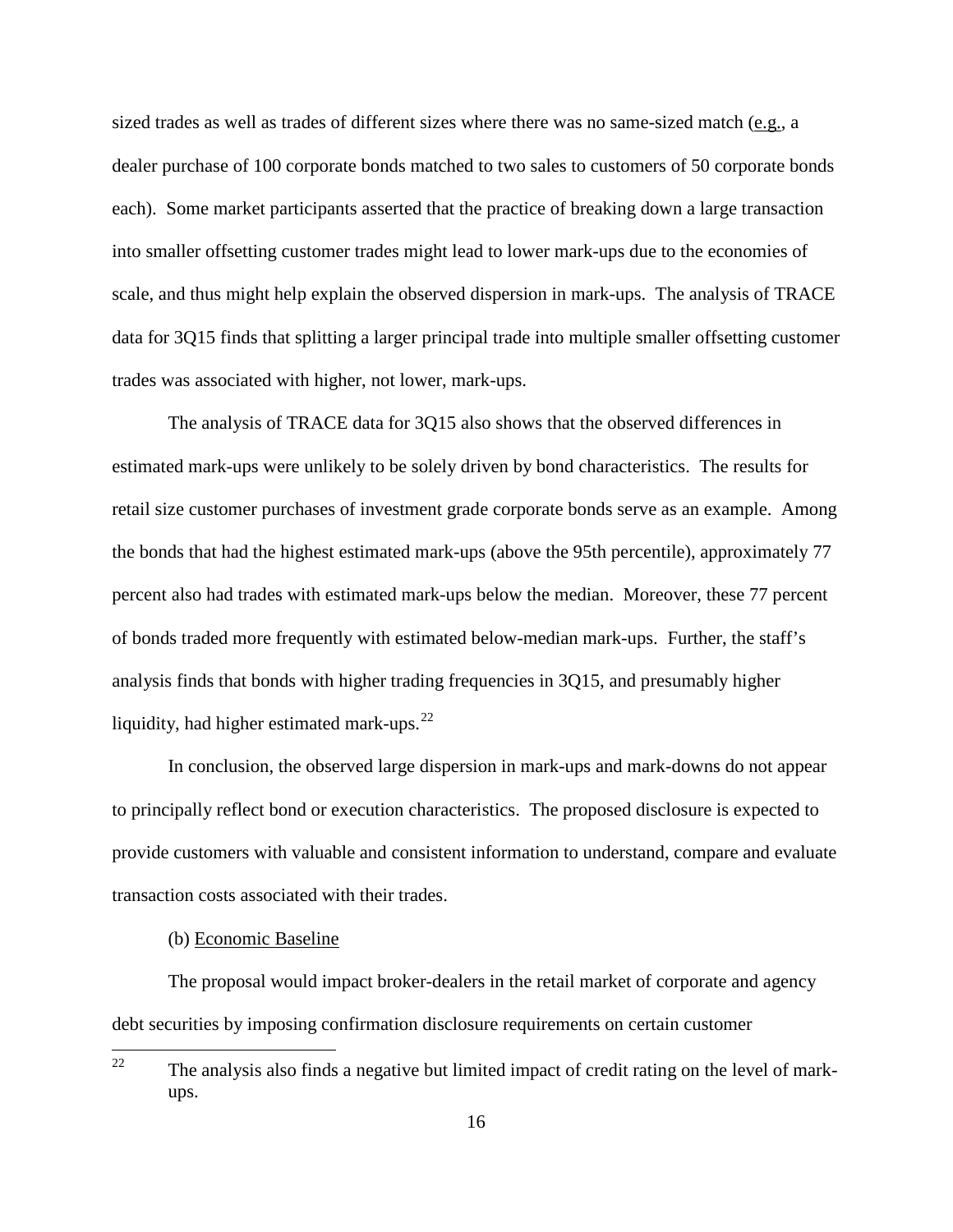sized trades as well as trades of different sizes where there was no same-sized match (e.g., a dealer purchase of 100 corporate bonds matched to two sales to customers of 50 corporate bonds each). Some market participants asserted that the practice of breaking down a large transaction into smaller offsetting customer trades might lead to lower mark-ups due to the economies of scale, and thus might help explain the observed dispersion in mark-ups. The analysis of TRACE data for 3Q15 finds that splitting a larger principal trade into multiple smaller offsetting customer trades was associated with higher, not lower, mark-ups.

The analysis of TRACE data for 3Q15 also shows that the observed differences in estimated mark-ups were unlikely to be solely driven by bond characteristics. The results for retail size customer purchases of investment grade corporate bonds serve as an example. Among the bonds that had the highest estimated mark-ups (above the 95th percentile), approximately 77 percent also had trades with estimated mark-ups below the median. Moreover, these 77 percent of bonds traded more frequently with estimated below-median mark-ups. Further, the staff's analysis finds that bonds with higher trading frequencies in 3Q15, and presumably higher liquidity, had higher estimated mark-ups.<sup>22</sup>

In conclusion, the observed large dispersion in mark-ups and mark-downs do not appear to principally reflect bond or execution characteristics. The proposed disclosure is expected to provide customers with valuable and consistent information to understand, compare and evaluate transaction costs associated with their trades.

### (b) Economic Baseline

The proposal would impact broker-dealers in the retail market of corporate and agency debt securities by imposing confirmation disclosure requirements on certain customer

<sup>&</sup>lt;sup>22</sup> The analysis also finds a negative but limited impact of credit rating on the level of markups.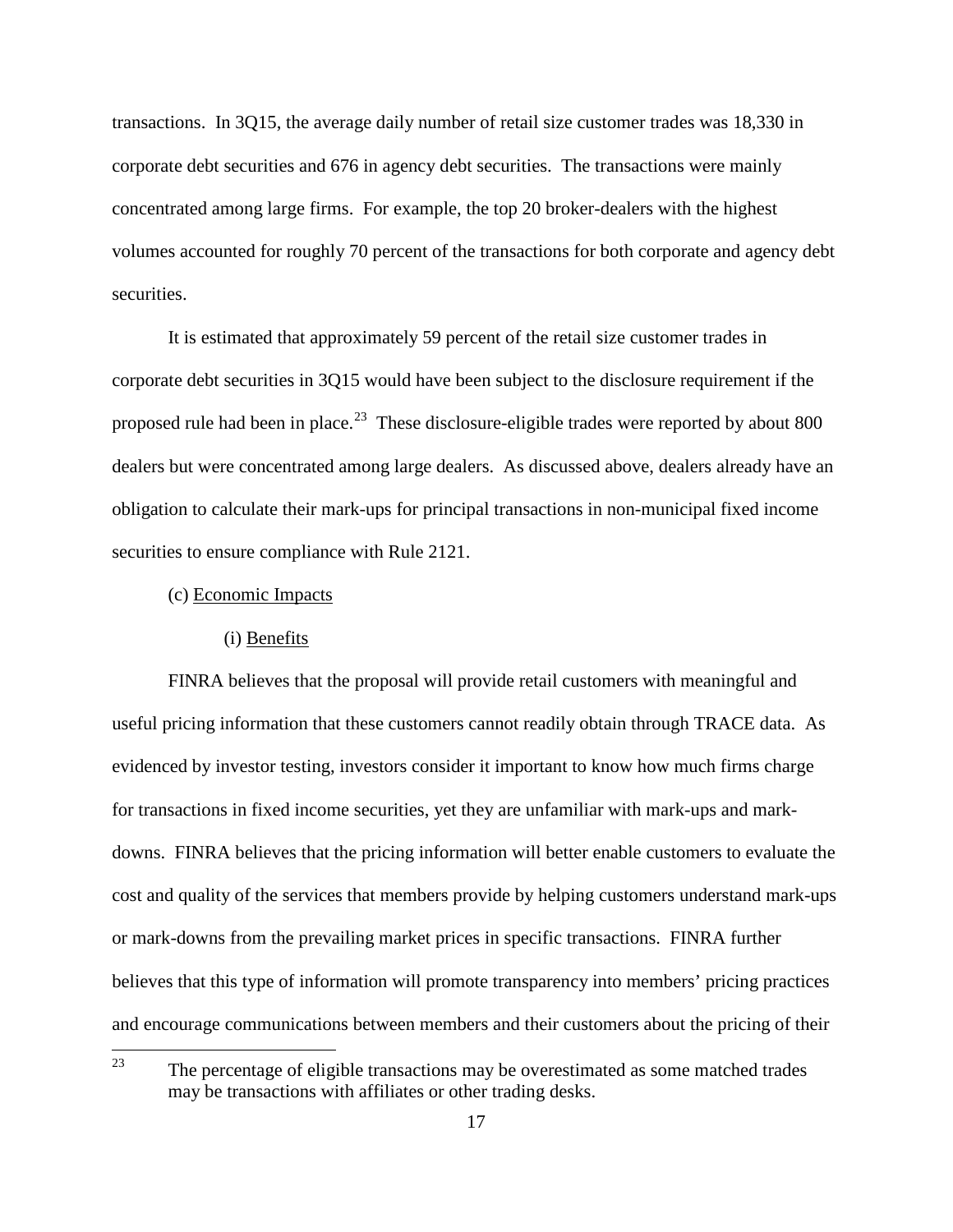transactions. In 3Q15, the average daily number of retail size customer trades was 18,330 in corporate debt securities and 676 in agency debt securities. The transactions were mainly concentrated among large firms. For example, the top 20 broker-dealers with the highest volumes accounted for roughly 70 percent of the transactions for both corporate and agency debt securities.

It is estimated that approximately 59 percent of the retail size customer trades in corporate debt securities in 3Q15 would have been subject to the disclosure requirement if the proposed rule had been in place.<sup>23</sup> These disclosure-eligible trades were reported by about 800 dealers but were concentrated among large dealers. As discussed above, dealers already have an obligation to calculate their mark-ups for principal transactions in non-municipal fixed income securities to ensure compliance with Rule 2121.

(c) Economic Impacts

#### (i) Benefits

FINRA believes that the proposal will provide retail customers with meaningful and useful pricing information that these customers cannot readily obtain through TRACE data. As evidenced by investor testing, investors consider it important to know how much firms charge for transactions in fixed income securities, yet they are unfamiliar with mark-ups and markdowns. FINRA believes that the pricing information will better enable customers to evaluate the cost and quality of the services that members provide by helping customers understand mark-ups or mark-downs from the prevailing market prices in specific transactions. FINRA further believes that this type of information will promote transparency into members' pricing practices and encourage communications between members and their customers about the pricing of their

 $23$  The percentage of eligible transactions may be overestimated as some matched trades may be transactions with affiliates or other trading desks.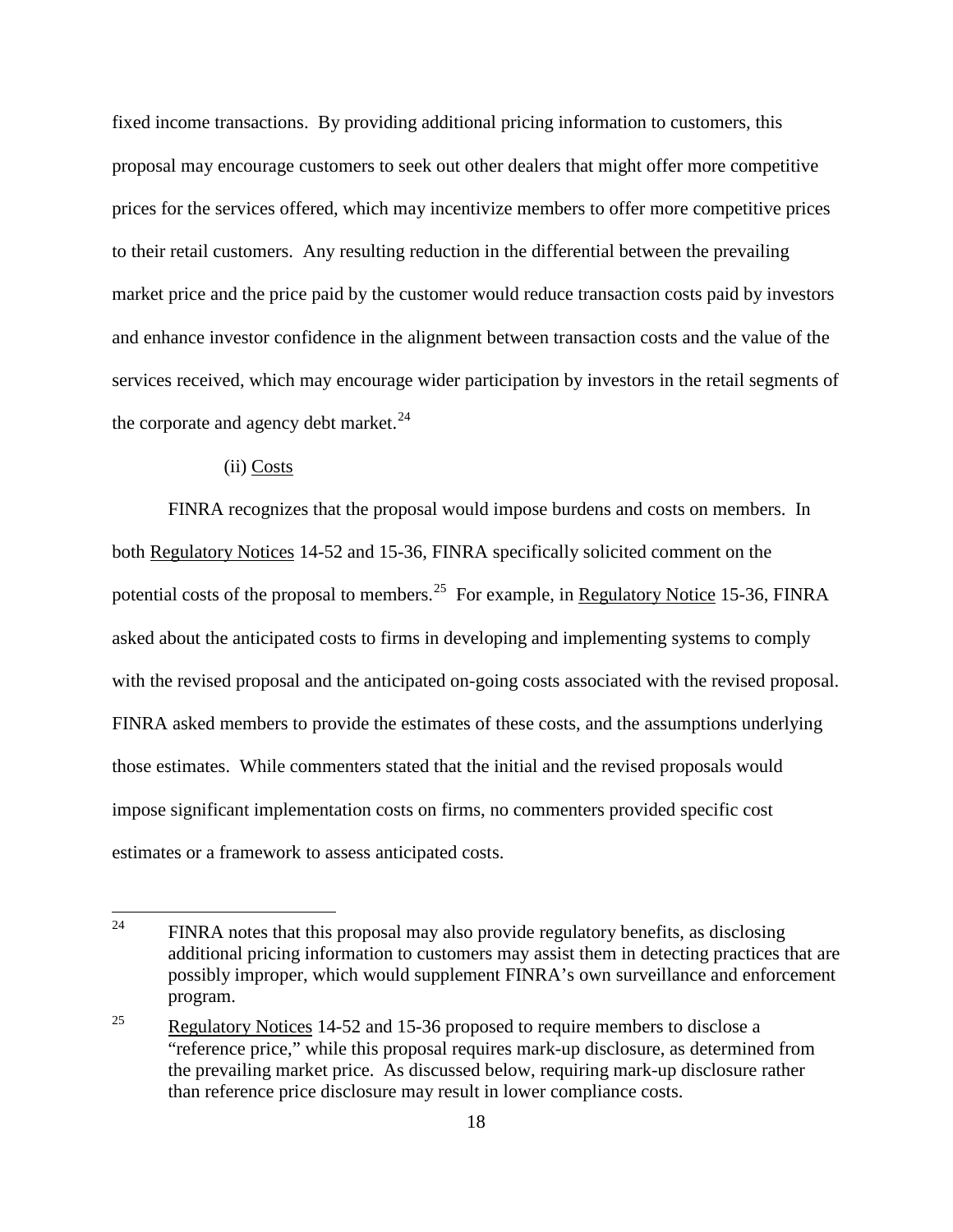fixed income transactions. By providing additional pricing information to customers, this proposal may encourage customers to seek out other dealers that might offer more competitive prices for the services offered, which may incentivize members to offer more competitive prices to their retail customers. Any resulting reduction in the differential between the prevailing market price and the price paid by the customer would reduce transaction costs paid by investors and enhance investor confidence in the alignment between transaction costs and the value of the services received, which may encourage wider participation by investors in the retail segments of the corporate and agency debt market.<sup>24</sup>

### (ii) Costs

FINRA recognizes that the proposal would impose burdens and costs on members. In both Regulatory Notices 14-52 and 15-36, FINRA specifically solicited comment on the potential costs of the proposal to members.<sup>25</sup> For example, in Regulatory Notice 15-36, FINRA asked about the anticipated costs to firms in developing and implementing systems to comply with the revised proposal and the anticipated on-going costs associated with the revised proposal. FINRA asked members to provide the estimates of these costs, and the assumptions underlying those estimates. While commenters stated that the initial and the revised proposals would impose significant implementation costs on firms, no commenters provided specific cost estimates or a framework to assess anticipated costs.

<sup>&</sup>lt;sup>24</sup> FINRA notes that this proposal may also provide regulatory benefits, as disclosing additional pricing information to customers may assist them in detecting practices that are possibly improper, which would supplement FINRA's own surveillance and enforcement program.

<sup>&</sup>lt;sup>25</sup> Regulatory Notices 14-52 and 15-36 proposed to require members to disclose a "reference price," while this proposal requires mark-up disclosure, as determined from the prevailing market price. As discussed below, requiring mark-up disclosure rather than reference price disclosure may result in lower compliance costs.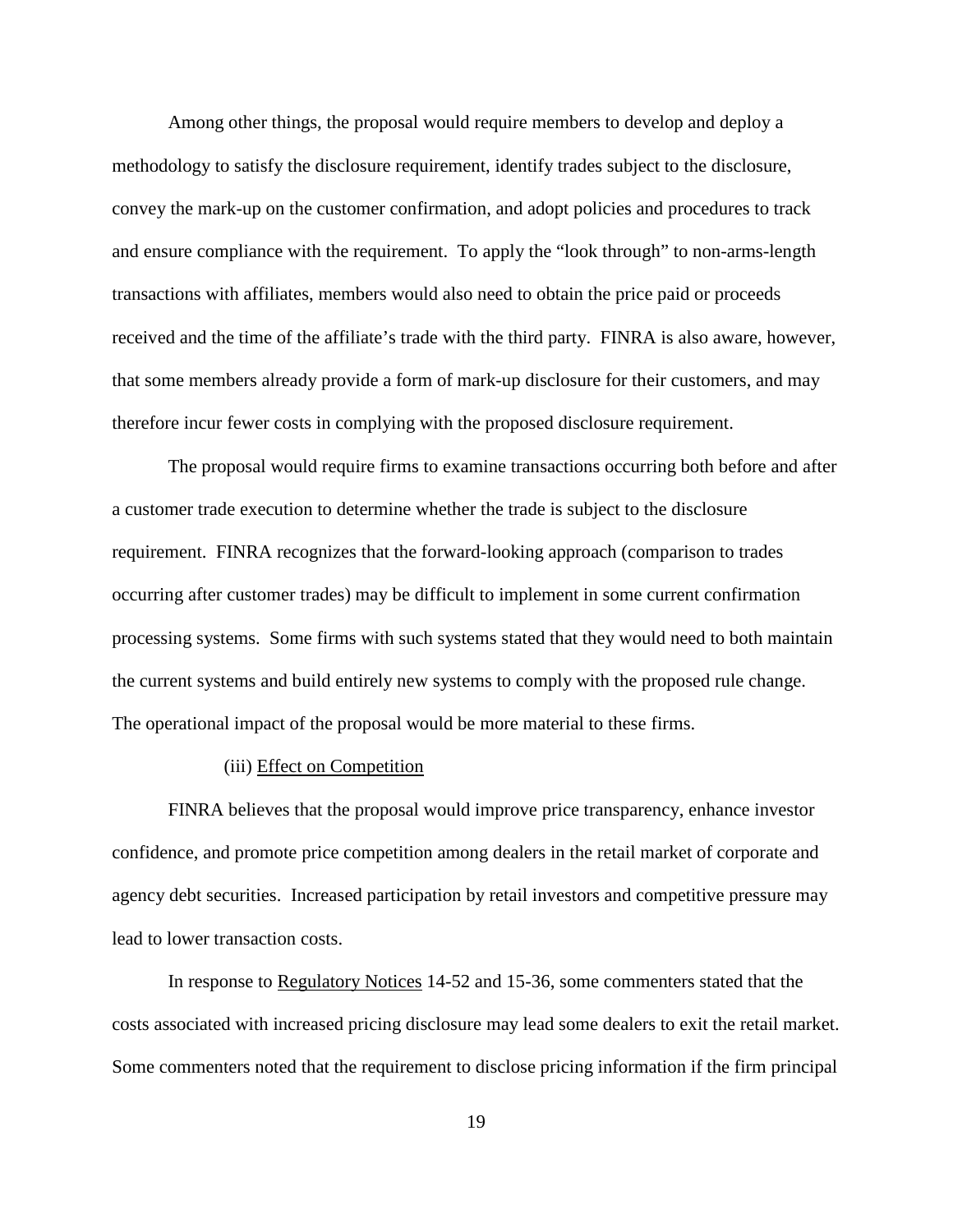Among other things, the proposal would require members to develop and deploy a methodology to satisfy the disclosure requirement, identify trades subject to the disclosure, convey the mark-up on the customer confirmation, and adopt policies and procedures to track and ensure compliance with the requirement. To apply the "look through" to non-arms-length transactions with affiliates, members would also need to obtain the price paid or proceeds received and the time of the affiliate's trade with the third party. FINRA is also aware, however, that some members already provide a form of mark-up disclosure for their customers, and may therefore incur fewer costs in complying with the proposed disclosure requirement.

The proposal would require firms to examine transactions occurring both before and after a customer trade execution to determine whether the trade is subject to the disclosure requirement. FINRA recognizes that the forward-looking approach (comparison to trades occurring after customer trades) may be difficult to implement in some current confirmation processing systems. Some firms with such systems stated that they would need to both maintain the current systems and build entirely new systems to comply with the proposed rule change. The operational impact of the proposal would be more material to these firms.

### (iii) Effect on Competition

FINRA believes that the proposal would improve price transparency, enhance investor confidence, and promote price competition among dealers in the retail market of corporate and agency debt securities. Increased participation by retail investors and competitive pressure may lead to lower transaction costs.

In response to Regulatory Notices 14-52 and 15-36, some commenters stated that the costs associated with increased pricing disclosure may lead some dealers to exit the retail market. Some commenters noted that the requirement to disclose pricing information if the firm principal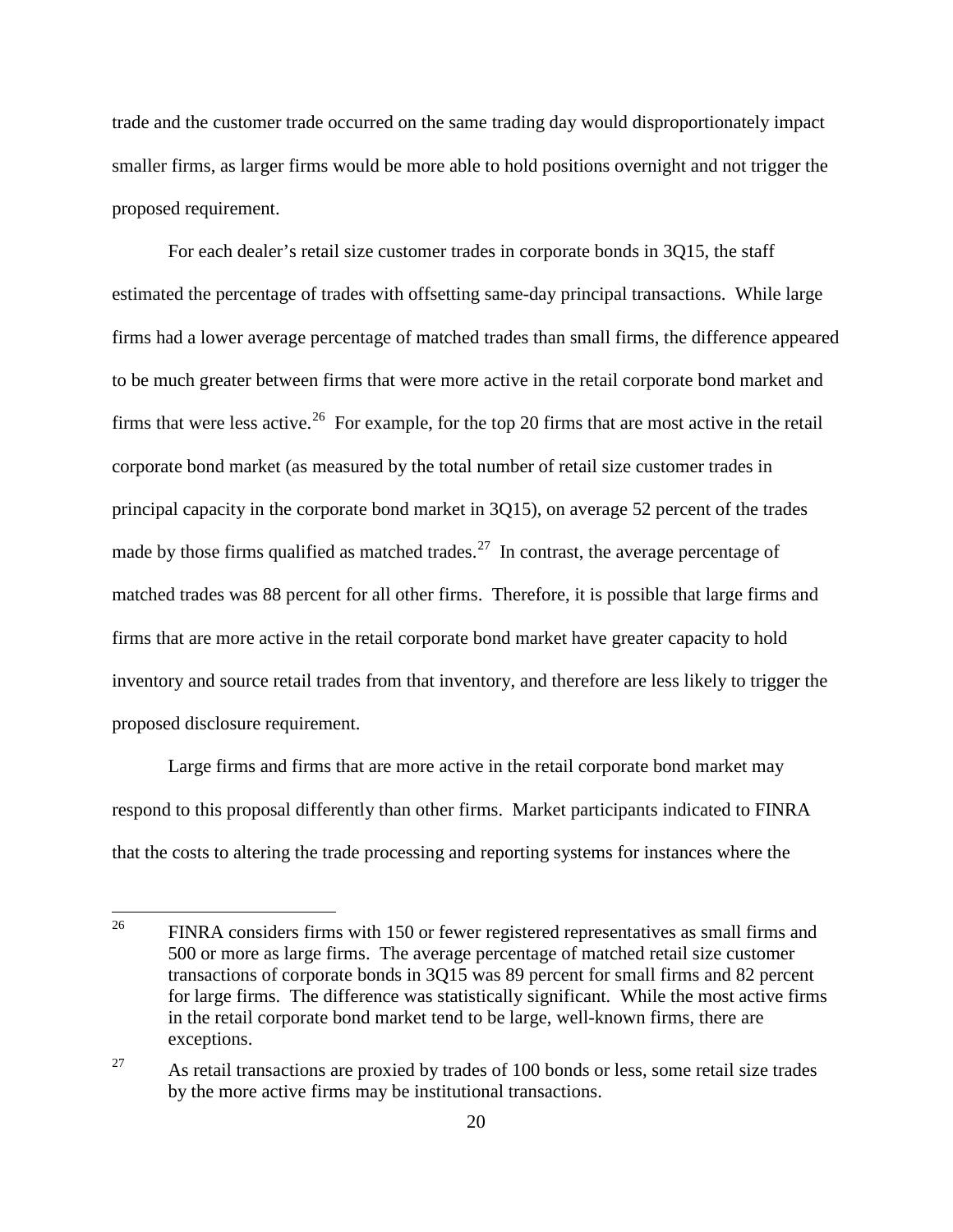trade and the customer trade occurred on the same trading day would disproportionately impact smaller firms, as larger firms would be more able to hold positions overnight and not trigger the proposed requirement.

For each dealer's retail size customer trades in corporate bonds in 3Q15, the staff estimated the percentage of trades with offsetting same-day principal transactions. While large firms had a lower average percentage of matched trades than small firms, the difference appeared to be much greater between firms that were more active in the retail corporate bond market and firms that were less active.<sup>26</sup> For example, for the top 20 firms that are most active in the retail corporate bond market (as measured by the total number of retail size customer trades in principal capacity in the corporate bond market in 3Q15), on average 52 percent of the trades made by those firms qualified as matched trades.<sup>27</sup> In contrast, the average percentage of matched trades was 88 percent for all other firms. Therefore, it is possible that large firms and firms that are more active in the retail corporate bond market have greater capacity to hold inventory and source retail trades from that inventory, and therefore are less likely to trigger the proposed disclosure requirement.

Large firms and firms that are more active in the retail corporate bond market may respond to this proposal differently than other firms. Market participants indicated to FINRA that the costs to altering the trade processing and reporting systems for instances where the

<sup>&</sup>lt;sup>26</sup> FINRA considers firms with 150 or fewer registered representatives as small firms and 500 or more as large firms. The average percentage of matched retail size customer transactions of corporate bonds in 3Q15 was 89 percent for small firms and 82 percent for large firms. The difference was statistically significant. While the most active firms in the retail corporate bond market tend to be large, well-known firms, there are exceptions.

<sup>&</sup>lt;sup>27</sup> As retail transactions are proxied by trades of 100 bonds or less, some retail size trades by the more active firms may be institutional transactions.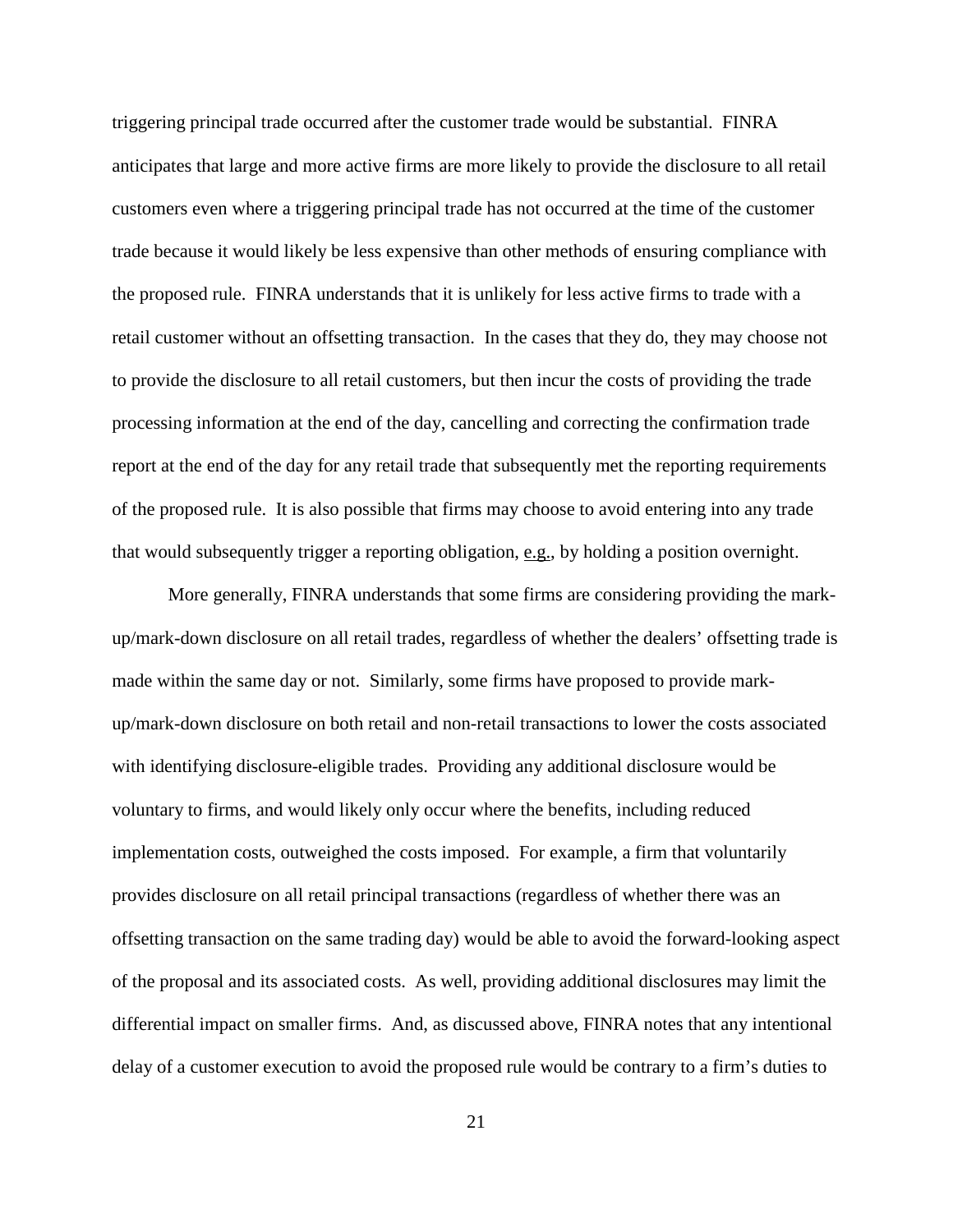triggering principal trade occurred after the customer trade would be substantial. FINRA anticipates that large and more active firms are more likely to provide the disclosure to all retail customers even where a triggering principal trade has not occurred at the time of the customer trade because it would likely be less expensive than other methods of ensuring compliance with the proposed rule. FINRA understands that it is unlikely for less active firms to trade with a retail customer without an offsetting transaction. In the cases that they do, they may choose not to provide the disclosure to all retail customers, but then incur the costs of providing the trade processing information at the end of the day, cancelling and correcting the confirmation trade report at the end of the day for any retail trade that subsequently met the reporting requirements of the proposed rule. It is also possible that firms may choose to avoid entering into any trade that would subsequently trigger a reporting obligation, e.g., by holding a position overnight.

More generally, FINRA understands that some firms are considering providing the markup/mark-down disclosure on all retail trades, regardless of whether the dealers' offsetting trade is made within the same day or not. Similarly, some firms have proposed to provide markup/mark-down disclosure on both retail and non-retail transactions to lower the costs associated with identifying disclosure-eligible trades. Providing any additional disclosure would be voluntary to firms, and would likely only occur where the benefits, including reduced implementation costs, outweighed the costs imposed. For example, a firm that voluntarily provides disclosure on all retail principal transactions (regardless of whether there was an offsetting transaction on the same trading day) would be able to avoid the forward-looking aspect of the proposal and its associated costs. As well, providing additional disclosures may limit the differential impact on smaller firms. And, as discussed above, FINRA notes that any intentional delay of a customer execution to avoid the proposed rule would be contrary to a firm's duties to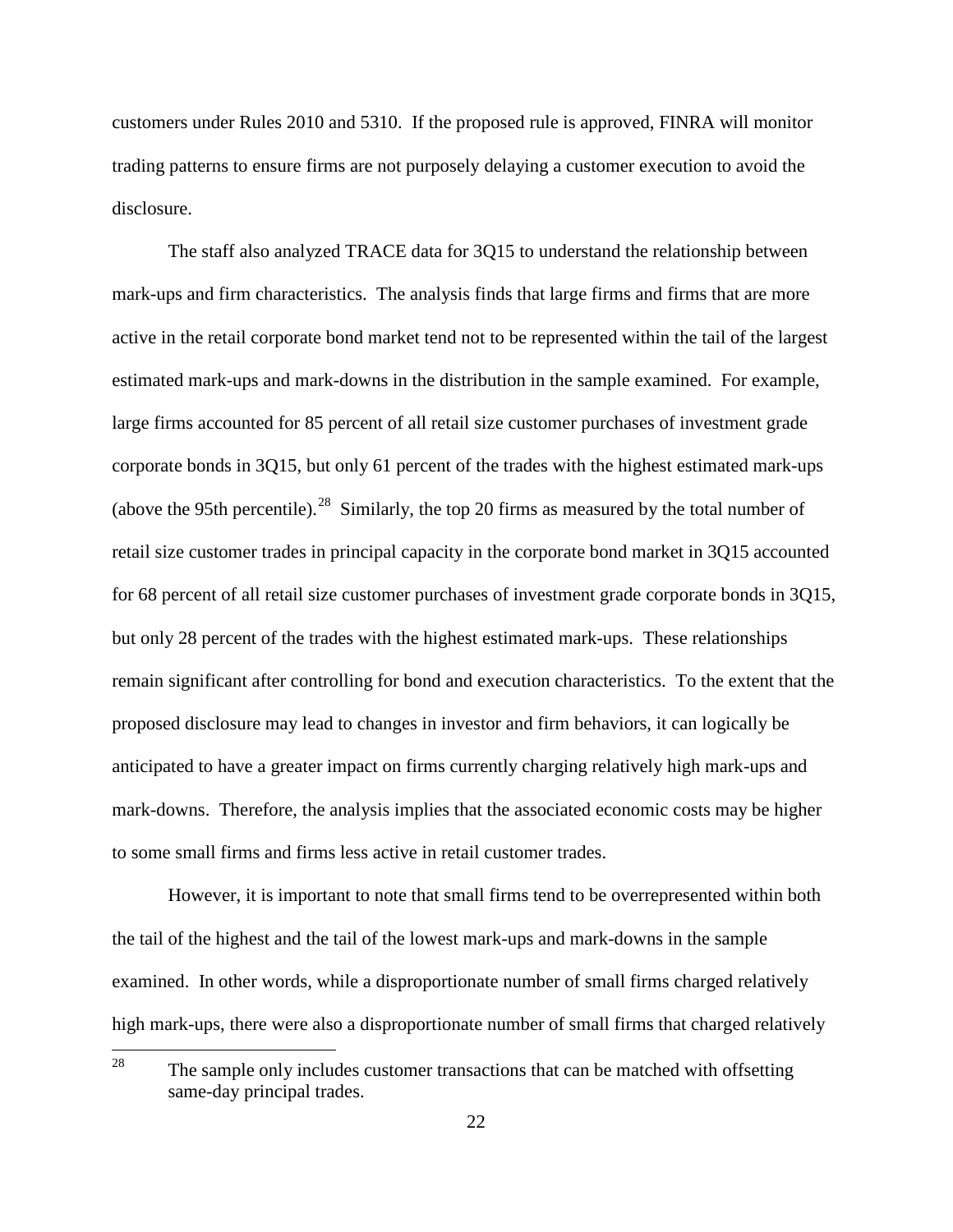customers under Rules 2010 and 5310. If the proposed rule is approved, FINRA will monitor trading patterns to ensure firms are not purposely delaying a customer execution to avoid the disclosure.

The staff also analyzed TRACE data for 3Q15 to understand the relationship between mark-ups and firm characteristics. The analysis finds that large firms and firms that are more active in the retail corporate bond market tend not to be represented within the tail of the largest estimated mark-ups and mark-downs in the distribution in the sample examined. For example, large firms accounted for 85 percent of all retail size customer purchases of investment grade corporate bonds in 3Q15, but only 61 percent of the trades with the highest estimated mark-ups (above the 95th percentile).<sup>28</sup> Similarly, the top 20 firms as measured by the total number of retail size customer trades in principal capacity in the corporate bond market in 3Q15 accounted for 68 percent of all retail size customer purchases of investment grade corporate bonds in 3Q15, but only 28 percent of the trades with the highest estimated mark-ups. These relationships remain significant after controlling for bond and execution characteristics. To the extent that the proposed disclosure may lead to changes in investor and firm behaviors, it can logically be anticipated to have a greater impact on firms currently charging relatively high mark-ups and mark-downs. Therefore, the analysis implies that the associated economic costs may be higher to some small firms and firms less active in retail customer trades.

However, it is important to note that small firms tend to be overrepresented within both the tail of the highest and the tail of the lowest mark-ups and mark-downs in the sample examined. In other words, while a disproportionate number of small firms charged relatively high mark-ups, there were also a disproportionate number of small firms that charged relatively

<sup>&</sup>lt;sup>28</sup> The sample only includes customer transactions that can be matched with offsetting same-day principal trades.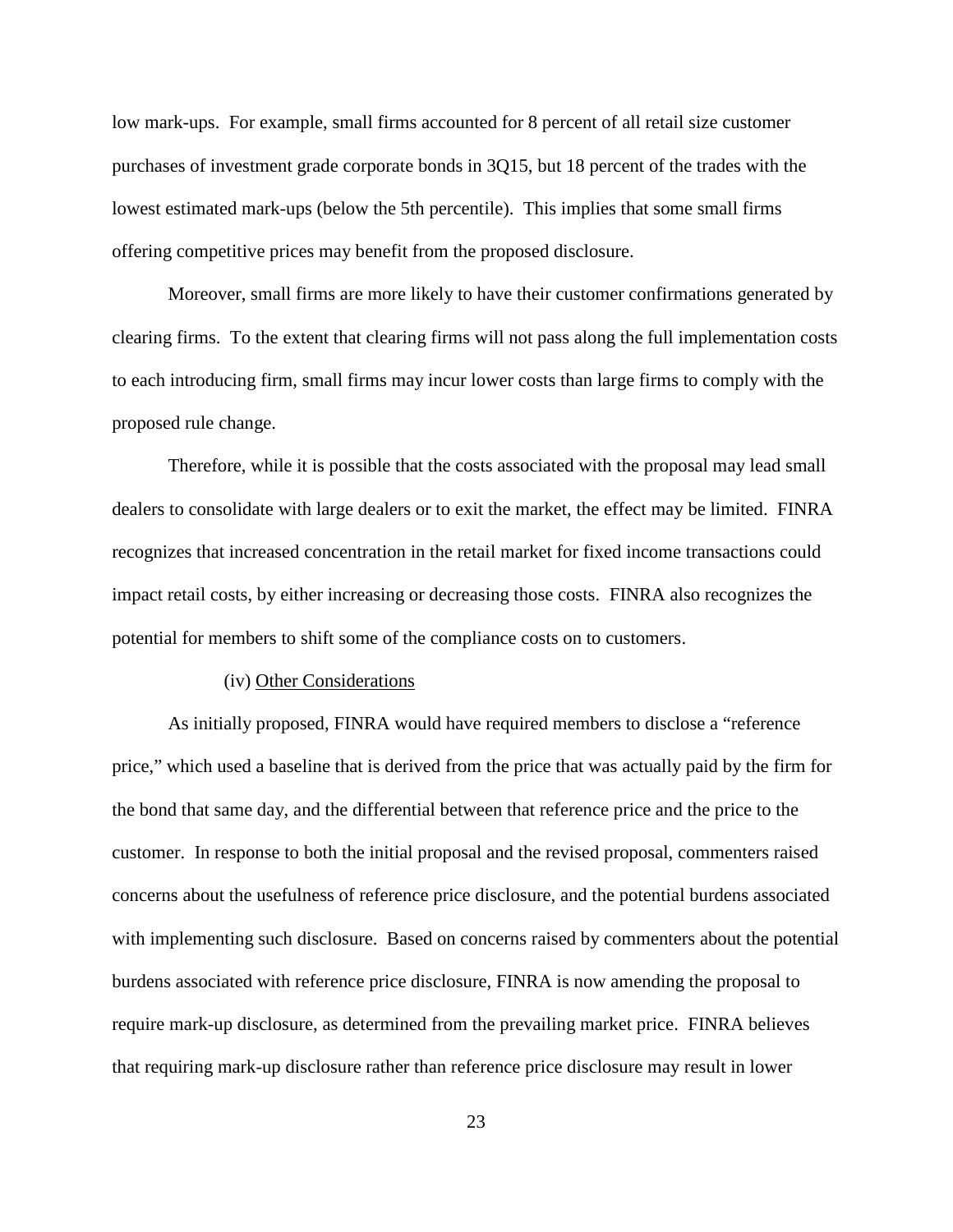low mark-ups. For example, small firms accounted for 8 percent of all retail size customer purchases of investment grade corporate bonds in 3Q15, but 18 percent of the trades with the lowest estimated mark-ups (below the 5th percentile). This implies that some small firms offering competitive prices may benefit from the proposed disclosure.

Moreover, small firms are more likely to have their customer confirmations generated by clearing firms. To the extent that clearing firms will not pass along the full implementation costs to each introducing firm, small firms may incur lower costs than large firms to comply with the proposed rule change.

Therefore, while it is possible that the costs associated with the proposal may lead small dealers to consolidate with large dealers or to exit the market, the effect may be limited. FINRA recognizes that increased concentration in the retail market for fixed income transactions could impact retail costs, by either increasing or decreasing those costs. FINRA also recognizes the potential for members to shift some of the compliance costs on to customers.

#### (iv) Other Considerations

As initially proposed, FINRA would have required members to disclose a "reference price," which used a baseline that is derived from the price that was actually paid by the firm for the bond that same day, and the differential between that reference price and the price to the customer. In response to both the initial proposal and the revised proposal, commenters raised concerns about the usefulness of reference price disclosure, and the potential burdens associated with implementing such disclosure. Based on concerns raised by commenters about the potential burdens associated with reference price disclosure, FINRA is now amending the proposal to require mark-up disclosure, as determined from the prevailing market price. FINRA believes that requiring mark-up disclosure rather than reference price disclosure may result in lower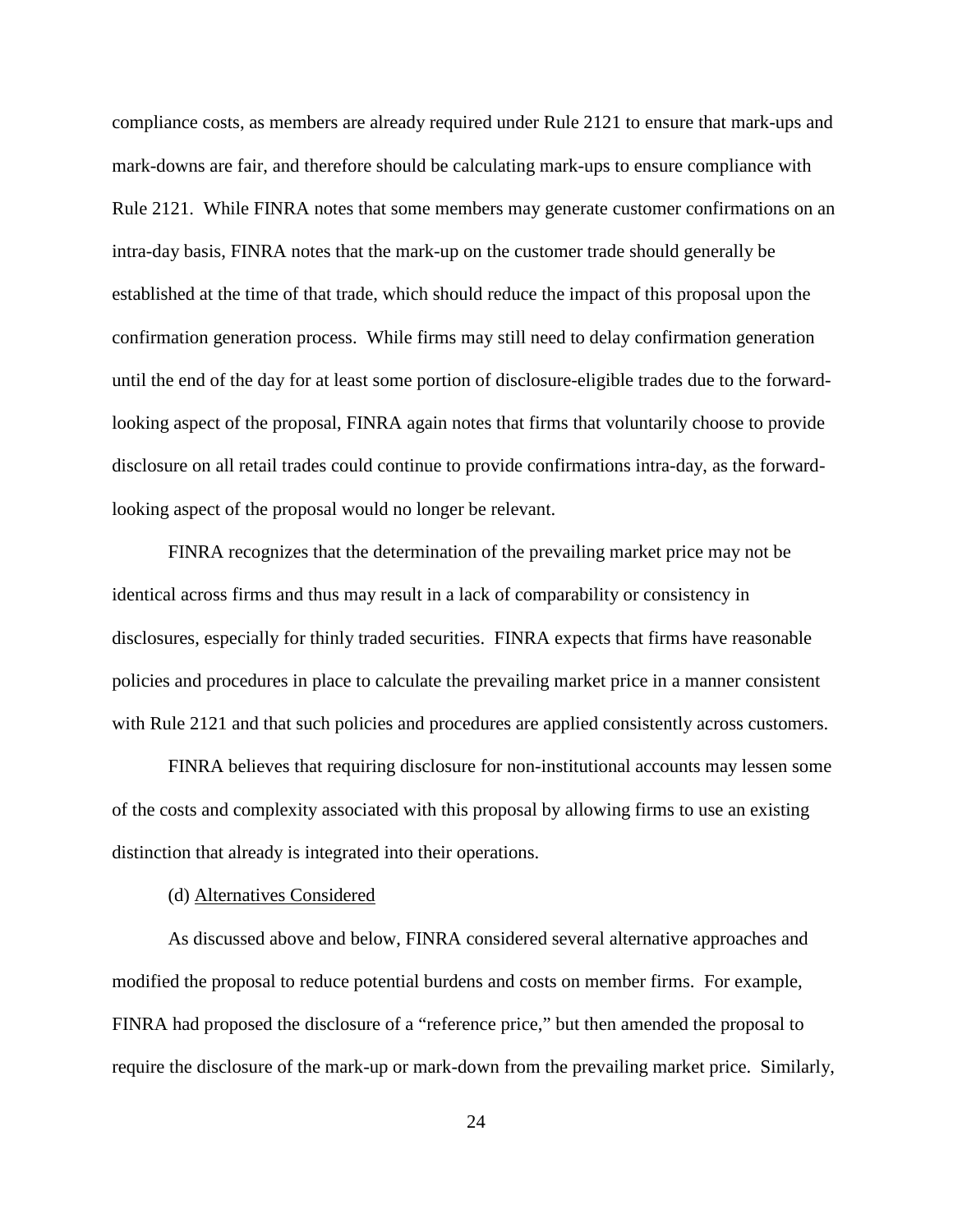compliance costs, as members are already required under Rule 2121 to ensure that mark-ups and mark-downs are fair, and therefore should be calculating mark-ups to ensure compliance with Rule 2121. While FINRA notes that some members may generate customer confirmations on an intra-day basis, FINRA notes that the mark-up on the customer trade should generally be established at the time of that trade, which should reduce the impact of this proposal upon the confirmation generation process. While firms may still need to delay confirmation generation until the end of the day for at least some portion of disclosure-eligible trades due to the forwardlooking aspect of the proposal, FINRA again notes that firms that voluntarily choose to provide disclosure on all retail trades could continue to provide confirmations intra-day, as the forwardlooking aspect of the proposal would no longer be relevant.

FINRA recognizes that the determination of the prevailing market price may not be identical across firms and thus may result in a lack of comparability or consistency in disclosures, especially for thinly traded securities. FINRA expects that firms have reasonable policies and procedures in place to calculate the prevailing market price in a manner consistent with Rule 2121 and that such policies and procedures are applied consistently across customers.

FINRA believes that requiring disclosure for non-institutional accounts may lessen some of the costs and complexity associated with this proposal by allowing firms to use an existing distinction that already is integrated into their operations.

#### (d) Alternatives Considered

As discussed above and below, FINRA considered several alternative approaches and modified the proposal to reduce potential burdens and costs on member firms. For example, FINRA had proposed the disclosure of a "reference price," but then amended the proposal to require the disclosure of the mark-up or mark-down from the prevailing market price. Similarly,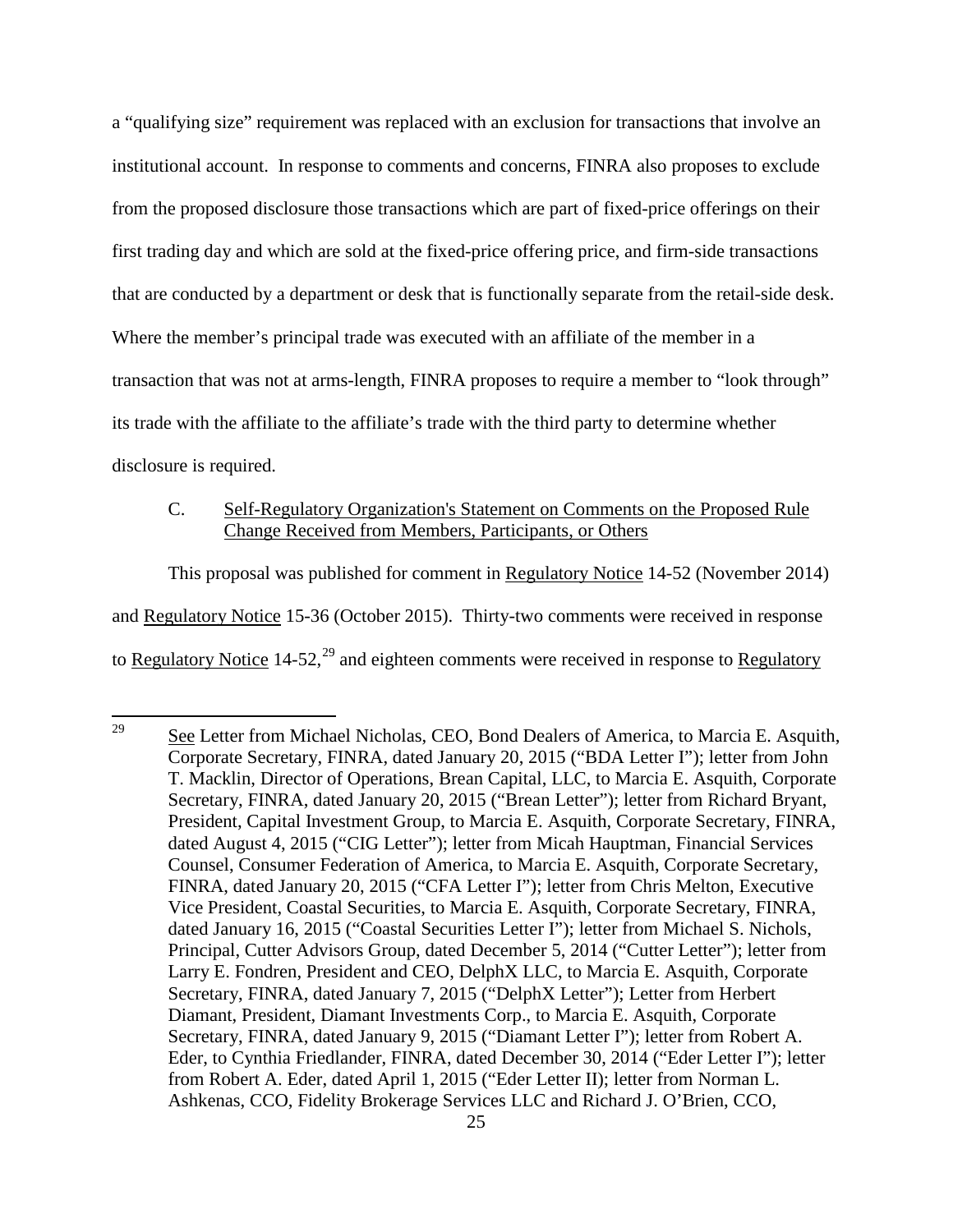a "qualifying size" requirement was replaced with an exclusion for transactions that involve an institutional account. In response to comments and concerns, FINRA also proposes to exclude from the proposed disclosure those transactions which are part of fixed-price offerings on their first trading day and which are sold at the fixed-price offering price, and firm-side transactions that are conducted by a department or desk that is functionally separate from the retail-side desk. Where the member's principal trade was executed with an affiliate of the member in a transaction that was not at arms-length, FINRA proposes to require a member to "look through" its trade with the affiliate to the affiliate's trade with the third party to determine whether disclosure is required.

# C. Self-Regulatory Organization's Statement on Comments on the Proposed Rule Change Received from Members, Participants, or Others

This proposal was published for comment in Regulatory Notice 14-52 (November 2014) and Regulatory Notice 15-36 (October 2015). Thirty-two comments were received in response to Regulatory Notice  $14-52$ ,  $^{29}$  and eighteen comments were received in response to Regulatory

 $29$  See Letter from Michael Nicholas, CEO, Bond Dealers of America, to Marcia E. Asquith, Corporate Secretary, FINRA, dated January 20, 2015 ("BDA Letter I"); letter from John T. Macklin, Director of Operations, Brean Capital, LLC, to Marcia E. Asquith, Corporate Secretary, FINRA, dated January 20, 2015 ("Brean Letter"); letter from Richard Bryant, President, Capital Investment Group, to Marcia E. Asquith, Corporate Secretary, FINRA, dated August 4, 2015 ("CIG Letter"); letter from Micah Hauptman, Financial Services Counsel, Consumer Federation of America, to Marcia E. Asquith, Corporate Secretary, FINRA, dated January 20, 2015 ("CFA Letter I"); letter from Chris Melton, Executive Vice President, Coastal Securities, to Marcia E. Asquith, Corporate Secretary, FINRA, dated January 16, 2015 ("Coastal Securities Letter I"); letter from Michael S. Nichols, Principal, Cutter Advisors Group, dated December 5, 2014 ("Cutter Letter"); letter from Larry E. Fondren, President and CEO, DelphX LLC, to Marcia E. Asquith, Corporate Secretary, FINRA, dated January 7, 2015 ("DelphX Letter"); Letter from Herbert Diamant, President, Diamant Investments Corp., to Marcia E. Asquith, Corporate Secretary, FINRA, dated January 9, 2015 ("Diamant Letter I"); letter from Robert A. Eder, to Cynthia Friedlander, FINRA, dated December 30, 2014 ("Eder Letter I"); letter from Robert A. Eder, dated April 1, 2015 ("Eder Letter II); letter from Norman L. Ashkenas, CCO, Fidelity Brokerage Services LLC and Richard J. O'Brien, CCO,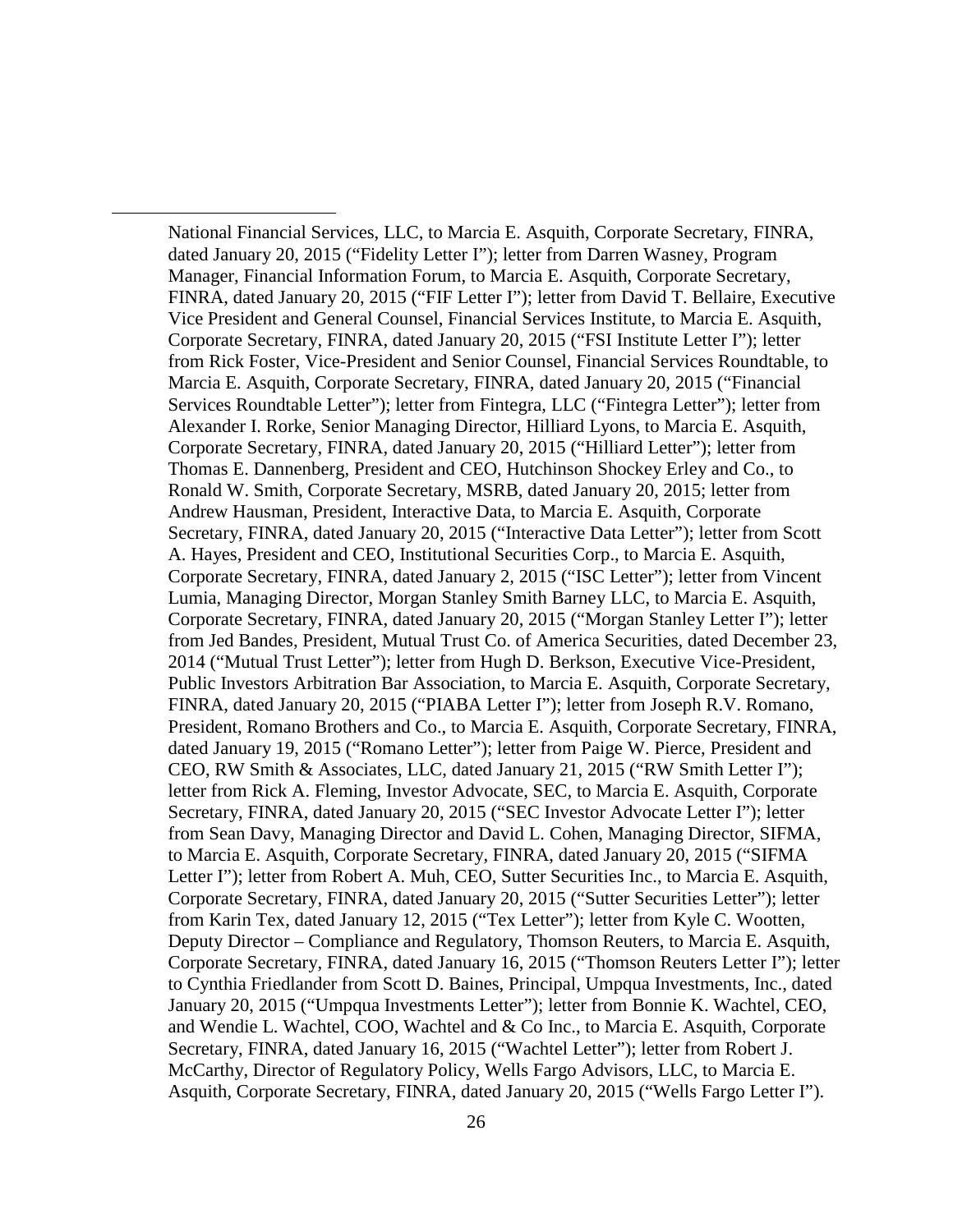National Financial Services, LLC, to Marcia E. Asquith, Corporate Secretary, FINRA, dated January 20, 2015 ("Fidelity Letter I"); letter from Darren Wasney, Program Manager, Financial Information Forum, to Marcia E. Asquith, Corporate Secretary, FINRA, dated January 20, 2015 ("FIF Letter I"); letter from David T. Bellaire, Executive Vice President and General Counsel, Financial Services Institute, to Marcia E. Asquith, Corporate Secretary, FINRA, dated January 20, 2015 ("FSI Institute Letter I"); letter from Rick Foster, Vice-President and Senior Counsel, Financial Services Roundtable, to Marcia E. Asquith, Corporate Secretary, FINRA, dated January 20, 2015 ("Financial Services Roundtable Letter"); letter from Fintegra, LLC ("Fintegra Letter"); letter from Alexander I. Rorke, Senior Managing Director, Hilliard Lyons, to Marcia E. Asquith, Corporate Secretary, FINRA, dated January 20, 2015 ("Hilliard Letter"); letter from Thomas E. Dannenberg, President and CEO, Hutchinson Shockey Erley and Co., to Ronald W. Smith, Corporate Secretary, MSRB, dated January 20, 2015; letter from Andrew Hausman, President, Interactive Data, to Marcia E. Asquith, Corporate Secretary, FINRA, dated January 20, 2015 ("Interactive Data Letter"); letter from Scott A. Hayes, President and CEO, Institutional Securities Corp., to Marcia E. Asquith, Corporate Secretary, FINRA, dated January 2, 2015 ("ISC Letter"); letter from Vincent Lumia, Managing Director, Morgan Stanley Smith Barney LLC, to Marcia E. Asquith, Corporate Secretary, FINRA, dated January 20, 2015 ("Morgan Stanley Letter I"); letter from Jed Bandes, President, Mutual Trust Co. of America Securities, dated December 23, 2014 ("Mutual Trust Letter"); letter from Hugh D. Berkson, Executive Vice-President, Public Investors Arbitration Bar Association, to Marcia E. Asquith, Corporate Secretary, FINRA, dated January 20, 2015 ("PIABA Letter I"); letter from Joseph R.V. Romano, President, Romano Brothers and Co., to Marcia E. Asquith, Corporate Secretary, FINRA, dated January 19, 2015 ("Romano Letter"); letter from Paige W. Pierce, President and CEO, RW Smith & Associates, LLC, dated January 21, 2015 ("RW Smith Letter I"); letter from Rick A. Fleming, Investor Advocate, SEC, to Marcia E. Asquith, Corporate Secretary, FINRA, dated January 20, 2015 ("SEC Investor Advocate Letter I"); letter from Sean Davy, Managing Director and David L. Cohen, Managing Director, SIFMA, to Marcia E. Asquith, Corporate Secretary, FINRA, dated January 20, 2015 ("SIFMA Letter I"); letter from Robert A. Muh, CEO, Sutter Securities Inc., to Marcia E. Asquith, Corporate Secretary, FINRA, dated January 20, 2015 ("Sutter Securities Letter"); letter from Karin Tex, dated January 12, 2015 ("Tex Letter"); letter from Kyle C. Wootten, Deputy Director – Compliance and Regulatory, Thomson Reuters, to Marcia E. Asquith, Corporate Secretary, FINRA, dated January 16, 2015 ("Thomson Reuters Letter I"); letter to Cynthia Friedlander from Scott D. Baines, Principal, Umpqua Investments, Inc., dated January 20, 2015 ("Umpqua Investments Letter"); letter from Bonnie K. Wachtel, CEO, and Wendie L. Wachtel, COO, Wachtel and & Co Inc., to Marcia E. Asquith, Corporate Secretary, FINRA, dated January 16, 2015 ("Wachtel Letter"); letter from Robert J. McCarthy, Director of Regulatory Policy, Wells Fargo Advisors, LLC, to Marcia E. Asquith, Corporate Secretary, FINRA, dated January 20, 2015 ("Wells Fargo Letter I").

 $\overline{a}$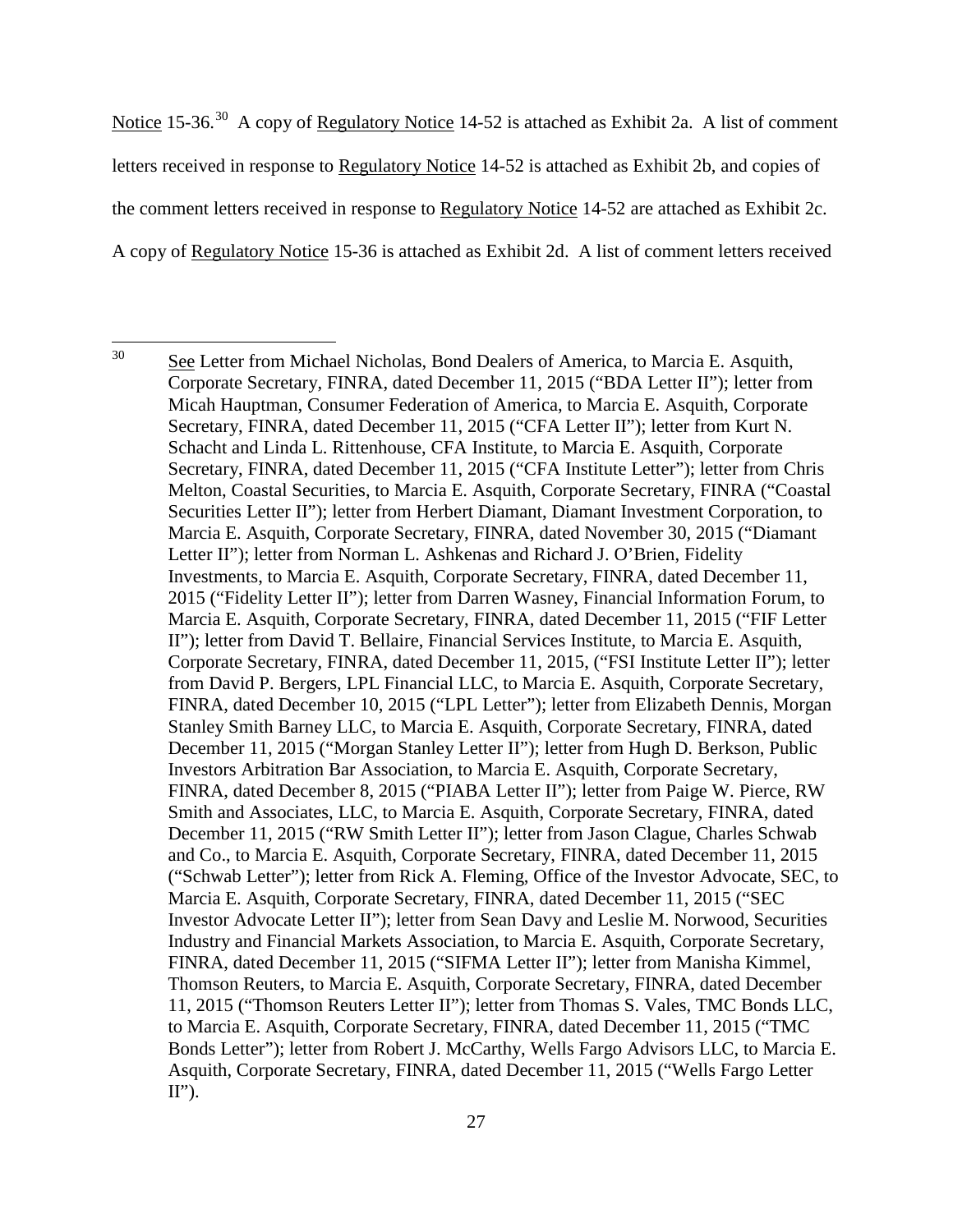Notice 15-36.<sup>30</sup> A copy of Regulatory Notice 14-52 is attached as Exhibit 2a. A list of comment letters received in response to Regulatory Notice 14-52 is attached as Exhibit 2b, and copies of the comment letters received in response to Regulatory Notice 14-52 are attached as Exhibit 2c. A copy of Regulatory Notice 15-36 is attached as Exhibit 2d. A list of comment letters received

<sup>&</sup>lt;sup>30</sup> See Letter from Michael Nicholas, Bond Dealers of America, to Marcia E. Asquith, Corporate Secretary, FINRA, dated December 11, 2015 ("BDA Letter II"); letter from Micah Hauptman, Consumer Federation of America, to Marcia E. Asquith, Corporate Secretary, FINRA, dated December 11, 2015 ("CFA Letter II"); letter from Kurt N. Schacht and Linda L. Rittenhouse, CFA Institute, to Marcia E. Asquith, Corporate Secretary, FINRA, dated December 11, 2015 ("CFA Institute Letter"); letter from Chris Melton, Coastal Securities, to Marcia E. Asquith, Corporate Secretary, FINRA ("Coastal Securities Letter II"); letter from Herbert Diamant, Diamant Investment Corporation, to Marcia E. Asquith, Corporate Secretary, FINRA, dated November 30, 2015 ("Diamant Letter II"); letter from Norman L. Ashkenas and Richard J. O'Brien, Fidelity Investments, to Marcia E. Asquith, Corporate Secretary, FINRA, dated December 11, 2015 ("Fidelity Letter II"); letter from Darren Wasney, Financial Information Forum, to Marcia E. Asquith, Corporate Secretary, FINRA, dated December 11, 2015 ("FIF Letter II"); letter from David T. Bellaire, Financial Services Institute, to Marcia E. Asquith, Corporate Secretary, FINRA, dated December 11, 2015, ("FSI Institute Letter II"); letter from David P. Bergers, LPL Financial LLC, to Marcia E. Asquith, Corporate Secretary, FINRA, dated December 10, 2015 ("LPL Letter"); letter from Elizabeth Dennis, Morgan Stanley Smith Barney LLC, to Marcia E. Asquith, Corporate Secretary, FINRA, dated December 11, 2015 ("Morgan Stanley Letter II"); letter from Hugh D. Berkson, Public Investors Arbitration Bar Association, to Marcia E. Asquith, Corporate Secretary, FINRA, dated December 8, 2015 ("PIABA Letter II"); letter from Paige W. Pierce, RW Smith and Associates, LLC, to Marcia E. Asquith, Corporate Secretary, FINRA, dated December 11, 2015 ("RW Smith Letter II"); letter from Jason Clague, Charles Schwab and Co., to Marcia E. Asquith, Corporate Secretary, FINRA, dated December 11, 2015 ("Schwab Letter"); letter from Rick A. Fleming, Office of the Investor Advocate, SEC, to Marcia E. Asquith, Corporate Secretary, FINRA, dated December 11, 2015 ("SEC Investor Advocate Letter II"); letter from Sean Davy and Leslie M. Norwood, Securities Industry and Financial Markets Association, to Marcia E. Asquith, Corporate Secretary, FINRA, dated December 11, 2015 ("SIFMA Letter II"); letter from Manisha Kimmel, Thomson Reuters, to Marcia E. Asquith, Corporate Secretary, FINRA, dated December 11, 2015 ("Thomson Reuters Letter II"); letter from Thomas S. Vales, TMC Bonds LLC, to Marcia E. Asquith, Corporate Secretary, FINRA, dated December 11, 2015 ("TMC Bonds Letter"); letter from Robert J. McCarthy, Wells Fargo Advisors LLC, to Marcia E. Asquith, Corporate Secretary, FINRA, dated December 11, 2015 ("Wells Fargo Letter  $II$ ").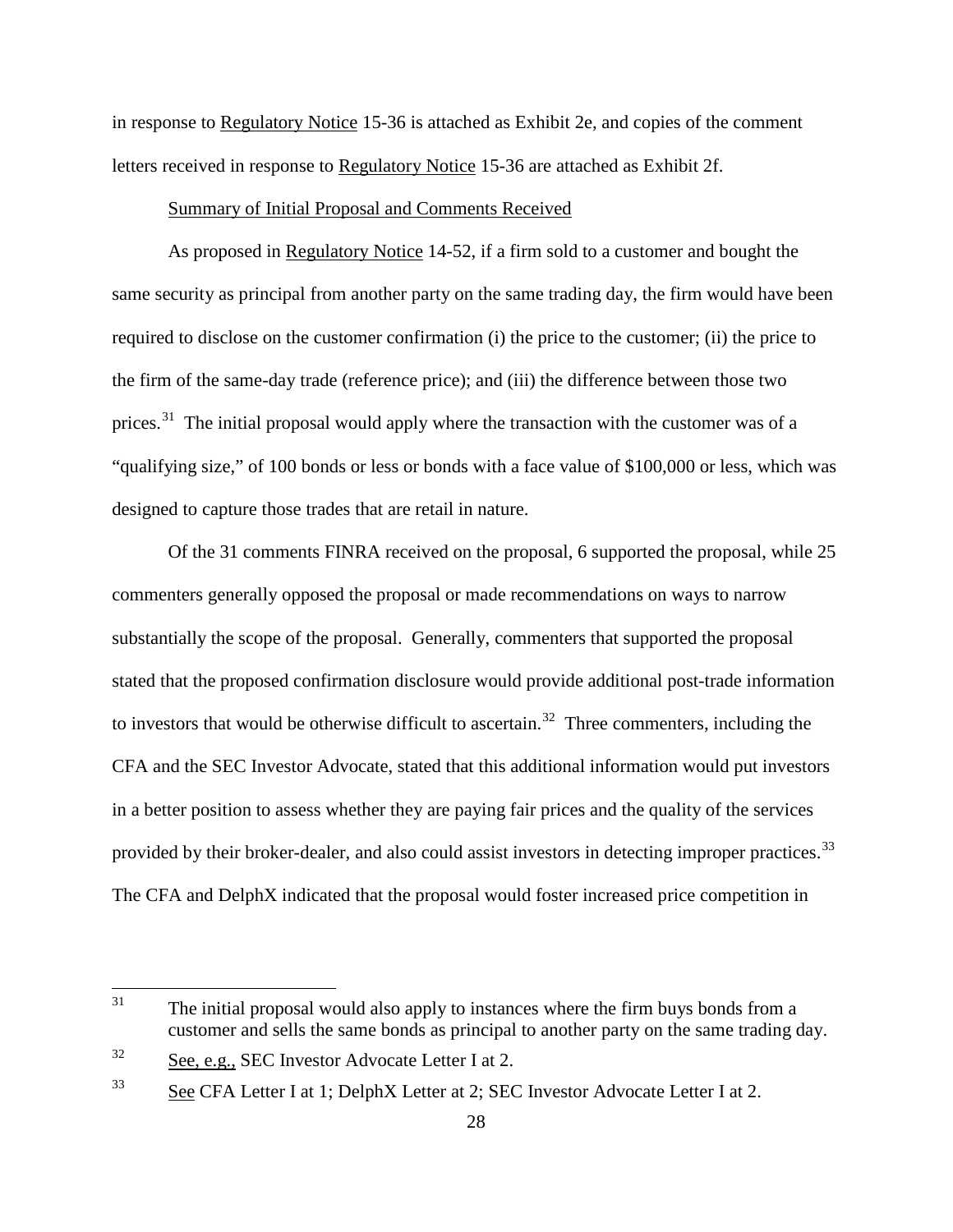in response to Regulatory Notice 15-36 is attached as Exhibit 2e, and copies of the comment letters received in response to Regulatory Notice 15-36 are attached as Exhibit 2f.

#### Summary of Initial Proposal and Comments Received

As proposed in Regulatory Notice 14-52, if a firm sold to a customer and bought the same security as principal from another party on the same trading day, the firm would have been required to disclose on the customer confirmation (i) the price to the customer; (ii) the price to the firm of the same-day trade (reference price); and (iii) the difference between those two prices.<sup>31</sup> The initial proposal would apply where the transaction with the customer was of a "qualifying size," of 100 bonds or less or bonds with a face value of \$100,000 or less, which was designed to capture those trades that are retail in nature.

Of the 31 comments FINRA received on the proposal, 6 supported the proposal, while 25 commenters generally opposed the proposal or made recommendations on ways to narrow substantially the scope of the proposal. Generally, commenters that supported the proposal stated that the proposed confirmation disclosure would provide additional post-trade information to investors that would be otherwise difficult to ascertain.<sup>32</sup> Three commenters, including the CFA and the SEC Investor Advocate, stated that this additional information would put investors in a better position to assess whether they are paying fair prices and the quality of the services provided by their broker-dealer, and also could assist investors in detecting improper practices.<sup>33</sup> The CFA and DelphX indicated that the proposal would foster increased price competition in

<sup>&</sup>lt;sup>31</sup> The initial proposal would also apply to instances where the firm buys bonds from a customer and sells the same bonds as principal to another party on the same trading day.

 $32$  See, e.g., SEC Investor Advocate Letter I at 2.

<sup>33</sup> See CFA Letter I at 1; DelphX Letter at 2; SEC Investor Advocate Letter I at 2.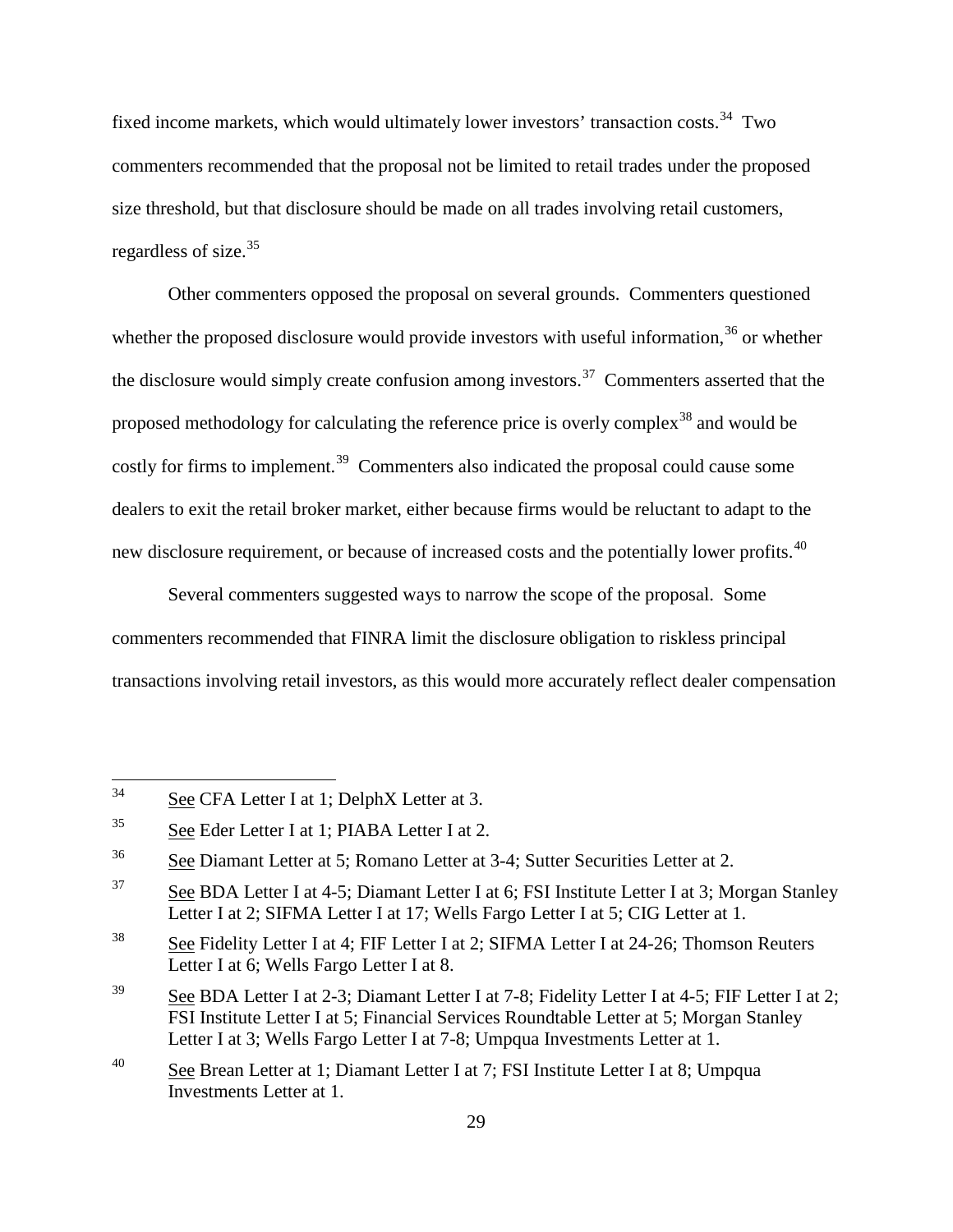fixed income markets, which would ultimately lower investors' transaction costs.<sup>34</sup> Two commenters recommended that the proposal not be limited to retail trades under the proposed size threshold, but that disclosure should be made on all trades involving retail customers, regardless of size.<sup>35</sup>

Other commenters opposed the proposal on several grounds. Commenters questioned whether the proposed disclosure would provide investors with useful information.<sup>36</sup> or whether the disclosure would simply create confusion among investors.<sup>37</sup> Commenters asserted that the proposed methodology for calculating the reference price is overly complex<sup>38</sup> and would be costly for firms to implement.<sup>39</sup> Commenters also indicated the proposal could cause some dealers to exit the retail broker market, either because firms would be reluctant to adapt to the new disclosure requirement, or because of increased costs and the potentially lower profits.<sup>40</sup>

Several commenters suggested ways to narrow the scope of the proposal. Some commenters recommended that FINRA limit the disclosure obligation to riskless principal transactions involving retail investors, as this would more accurately reflect dealer compensation

 <sup>34</sup> See CFA Letter I at 1; DelphX Letter at 3.

<sup>35</sup> See Eder Letter I at 1; PIABA Letter I at 2.

<sup>36</sup> See Diamant Letter at 5; Romano Letter at 3-4; Sutter Securities Letter at 2.

<sup>&</sup>lt;sup>37</sup> See BDA Letter I at 4-5; Diamant Letter I at 6; FSI Institute Letter I at 3; Morgan Stanley Letter I at 2; SIFMA Letter I at 17; Wells Fargo Letter I at 5; CIG Letter at 1.

<sup>&</sup>lt;sup>38</sup> See Fidelity Letter I at 4; FIF Letter I at 2; SIFMA Letter I at 24-26; Thomson Reuters Letter I at 6; Wells Fargo Letter I at 8.

<sup>&</sup>lt;sup>39</sup> See BDA Letter I at 2-3; Diamant Letter I at 7-8; Fidelity Letter I at 4-5; FIF Letter I at 2; FSI Institute Letter I at 5; Financial Services Roundtable Letter at 5; Morgan Stanley Letter I at 3; Wells Fargo Letter I at 7-8; Umpqua Investments Letter at 1.

<sup>&</sup>lt;sup>40</sup> See Brean Letter at 1; Diamant Letter I at 7; FSI Institute Letter I at 8; Umpqua Investments Letter at 1.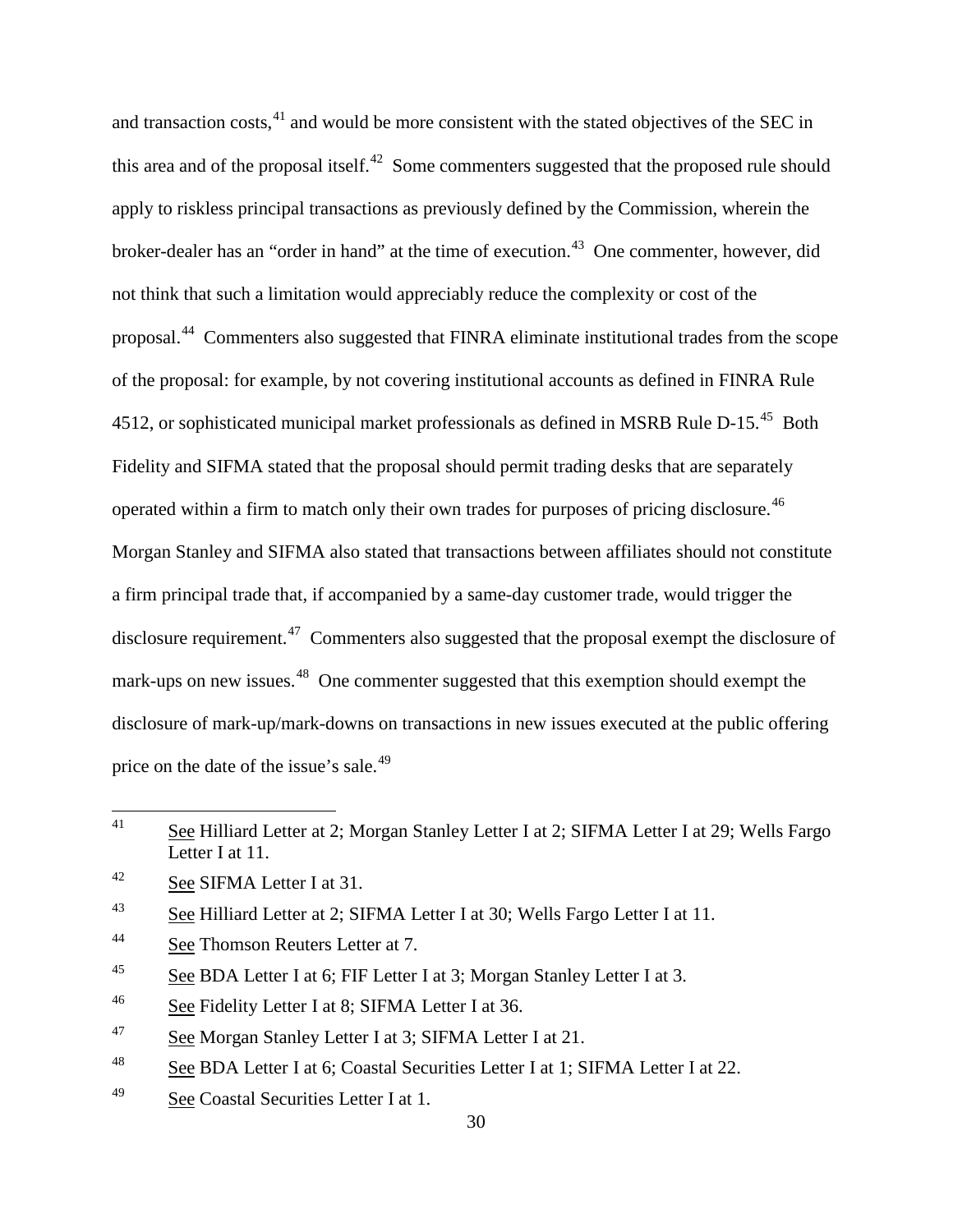and transaction costs,<sup>41</sup> and would be more consistent with the stated objectives of the SEC in this area and of the proposal itself.<sup>42</sup> Some commenters suggested that the proposed rule should apply to riskless principal transactions as previously defined by the Commission, wherein the broker-dealer has an "order in hand" at the time of execution.<sup>43</sup> One commenter, however, did not think that such a limitation would appreciably reduce the complexity or cost of the proposal.44 Commenters also suggested that FINRA eliminate institutional trades from the scope of the proposal: for example, by not covering institutional accounts as defined in FINRA Rule 4512, or sophisticated municipal market professionals as defined in MSRB Rule D-15.<sup>45</sup> Both Fidelity and SIFMA stated that the proposal should permit trading desks that are separately operated within a firm to match only their own trades for purposes of pricing disclosure.<sup>46</sup> Morgan Stanley and SIFMA also stated that transactions between affiliates should not constitute a firm principal trade that, if accompanied by a same-day customer trade, would trigger the disclosure requirement.<sup>47</sup> Commenters also suggested that the proposal exempt the disclosure of mark-ups on new issues.<sup>48</sup> One commenter suggested that this exemption should exempt the disclosure of mark-up/mark-downs on transactions in new issues executed at the public offering price on the date of the issue's sale.<sup>49</sup>

- <sup>44</sup> See Thomson Reuters Letter at 7.
- <sup>45</sup> See BDA Letter I at 6; FIF Letter I at 3; Morgan Stanley Letter I at 3.
- <sup>46</sup> See Fidelity Letter I at 8; SIFMA Letter I at 36.
- <sup>47</sup> See Morgan Stanley Letter I at 3; SIFMA Letter I at 21.
- <sup>48</sup> See BDA Letter I at 6; Coastal Securities Letter I at 1; SIFMA Letter I at 22.
- <sup>49</sup> See Coastal Securities Letter I at 1.

<sup>&</sup>lt;sup>41</sup> See Hilliard Letter at 2; Morgan Stanley Letter I at 2; SIFMA Letter I at 29; Wells Fargo Letter I at 11.

<sup>42</sup> See SIFMA Letter I at 31.

<sup>&</sup>lt;sup>43</sup> See Hilliard Letter at 2; SIFMA Letter I at 30; Wells Fargo Letter I at 11.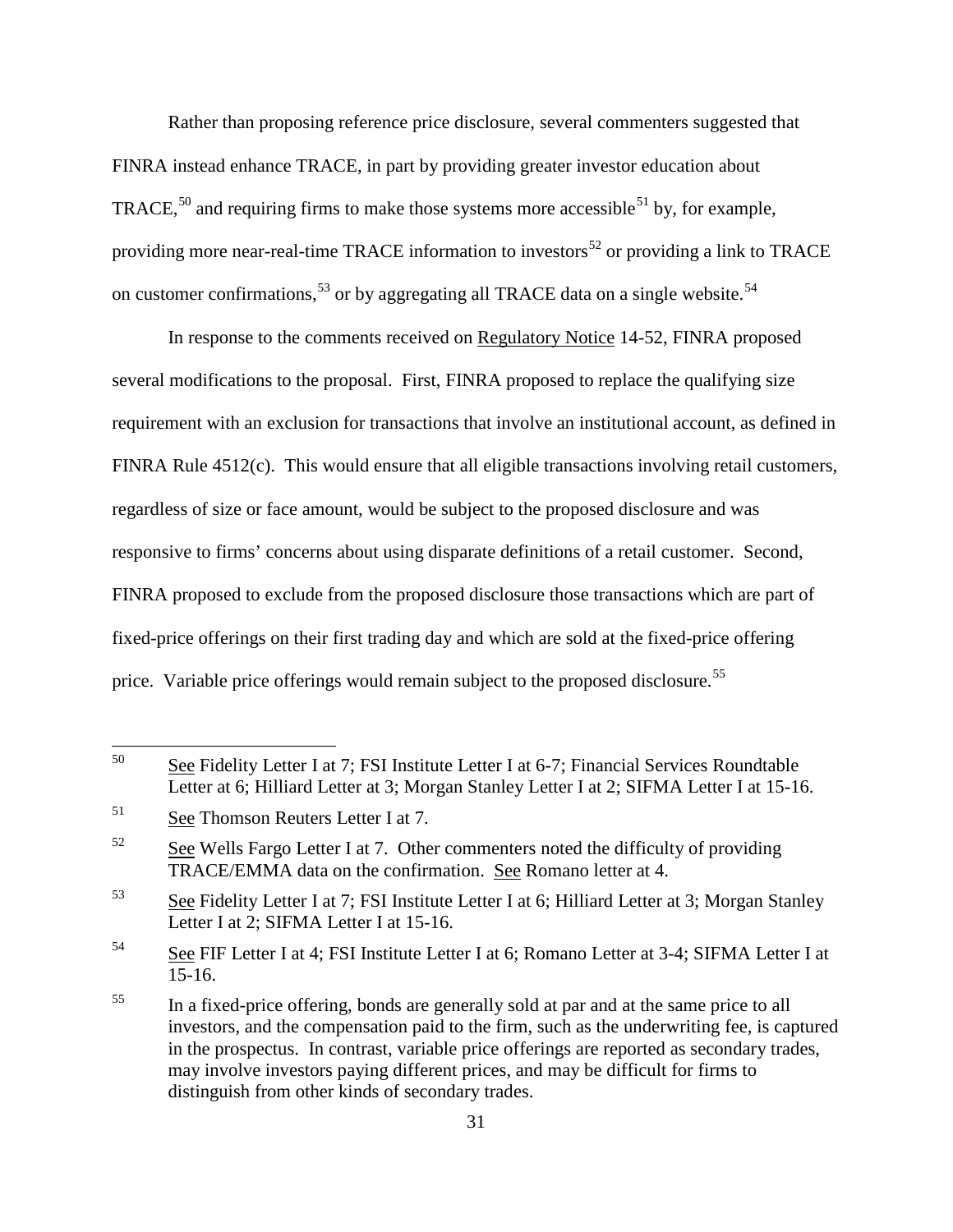Rather than proposing reference price disclosure, several commenters suggested that FINRA instead enhance TRACE, in part by providing greater investor education about TRACE,<sup>50</sup> and requiring firms to make those systems more accessible<sup>51</sup> by, for example, providing more near-real-time TRACE information to investors<sup>52</sup> or providing a link to TRACE on customer confirmations,  $53$  or by aggregating all TRACE data on a single website.  $54$ 

In response to the comments received on Regulatory Notice 14-52, FINRA proposed several modifications to the proposal. First, FINRA proposed to replace the qualifying size requirement with an exclusion for transactions that involve an institutional account, as defined in FINRA Rule 4512(c). This would ensure that all eligible transactions involving retail customers, regardless of size or face amount, would be subject to the proposed disclosure and was responsive to firms' concerns about using disparate definitions of a retail customer. Second, FINRA proposed to exclude from the proposed disclosure those transactions which are part of fixed-price offerings on their first trading day and which are sold at the fixed-price offering price. Variable price offerings would remain subject to the proposed disclosure.<sup>55</sup>

<sup>&</sup>lt;sup>50</sup> See Fidelity Letter I at 7; FSI Institute Letter I at 6-7; Financial Services Roundtable Letter at 6; Hilliard Letter at 3; Morgan Stanley Letter I at 2; SIFMA Letter I at 15-16.

<sup>51</sup> See Thomson Reuters Letter I at 7.

 $52$  See Wells Fargo Letter I at 7. Other commenters noted the difficulty of providing TRACE/EMMA data on the confirmation. See Romano letter at 4.

<sup>&</sup>lt;sup>53</sup> See Fidelity Letter I at 7; FSI Institute Letter I at 6; Hilliard Letter at 3; Morgan Stanley Letter I at 2; SIFMA Letter I at 15-16.

<sup>54</sup> See FIF Letter I at 4; FSI Institute Letter I at 6; Romano Letter at 3-4; SIFMA Letter I at 15-16.

<sup>&</sup>lt;sup>55</sup> In a fixed-price offering, bonds are generally sold at par and at the same price to all investors, and the compensation paid to the firm, such as the underwriting fee, is captured in the prospectus. In contrast, variable price offerings are reported as secondary trades, may involve investors paying different prices, and may be difficult for firms to distinguish from other kinds of secondary trades.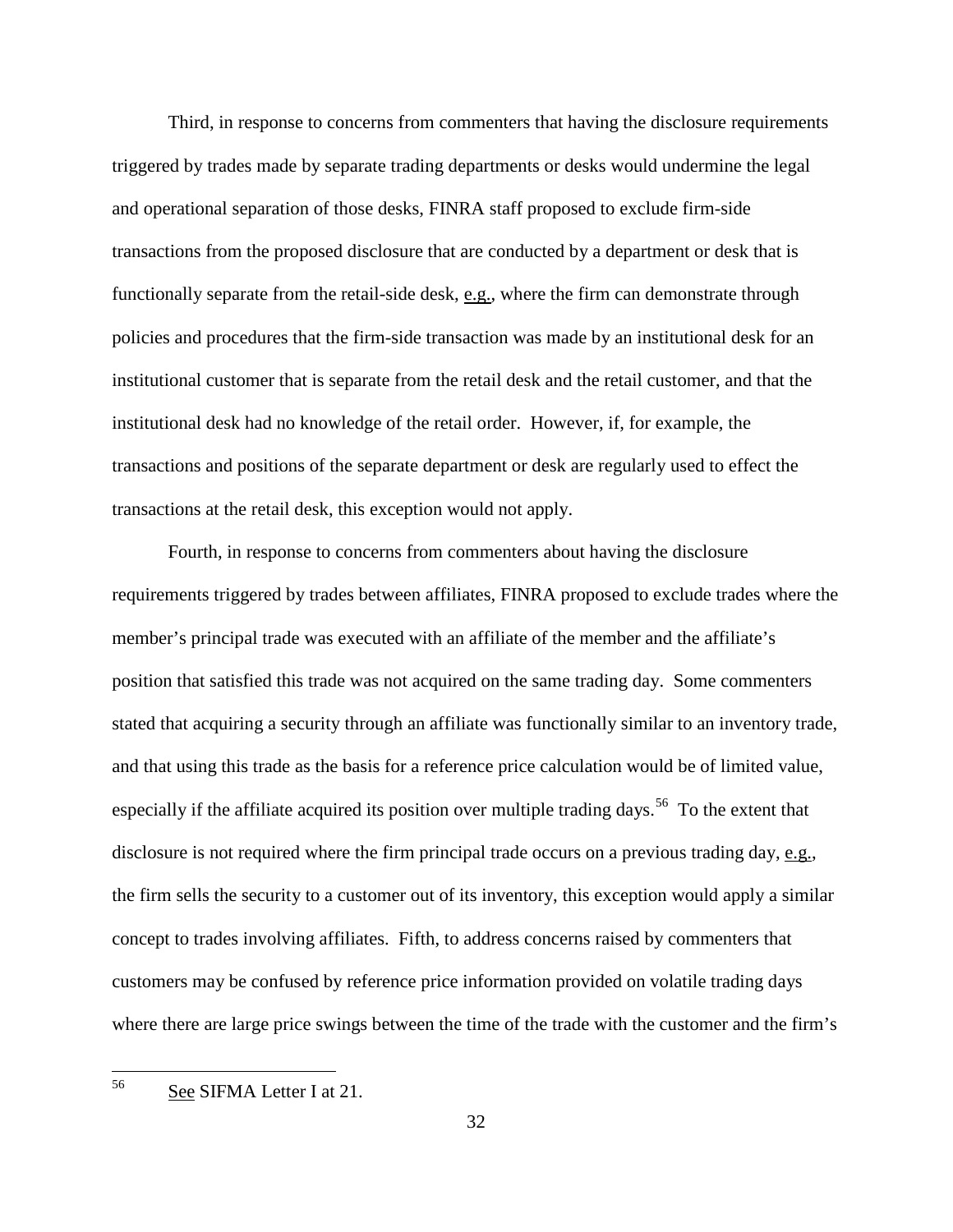Third, in response to concerns from commenters that having the disclosure requirements triggered by trades made by separate trading departments or desks would undermine the legal and operational separation of those desks, FINRA staff proposed to exclude firm-side transactions from the proposed disclosure that are conducted by a department or desk that is functionally separate from the retail-side desk, e.g., where the firm can demonstrate through policies and procedures that the firm-side transaction was made by an institutional desk for an institutional customer that is separate from the retail desk and the retail customer, and that the institutional desk had no knowledge of the retail order. However, if, for example, the transactions and positions of the separate department or desk are regularly used to effect the transactions at the retail desk, this exception would not apply.

Fourth, in response to concerns from commenters about having the disclosure requirements triggered by trades between affiliates, FINRA proposed to exclude trades where the member's principal trade was executed with an affiliate of the member and the affiliate's position that satisfied this trade was not acquired on the same trading day. Some commenters stated that acquiring a security through an affiliate was functionally similar to an inventory trade, and that using this trade as the basis for a reference price calculation would be of limited value, especially if the affiliate acquired its position over multiple trading days.<sup>56</sup> To the extent that disclosure is not required where the firm principal trade occurs on a previous trading day,  $e.g.,$ the firm sells the security to a customer out of its inventory, this exception would apply a similar concept to trades involving affiliates. Fifth, to address concerns raised by commenters that customers may be confused by reference price information provided on volatile trading days where there are large price swings between the time of the trade with the customer and the firm's

56 See SIFMA Letter I at 21.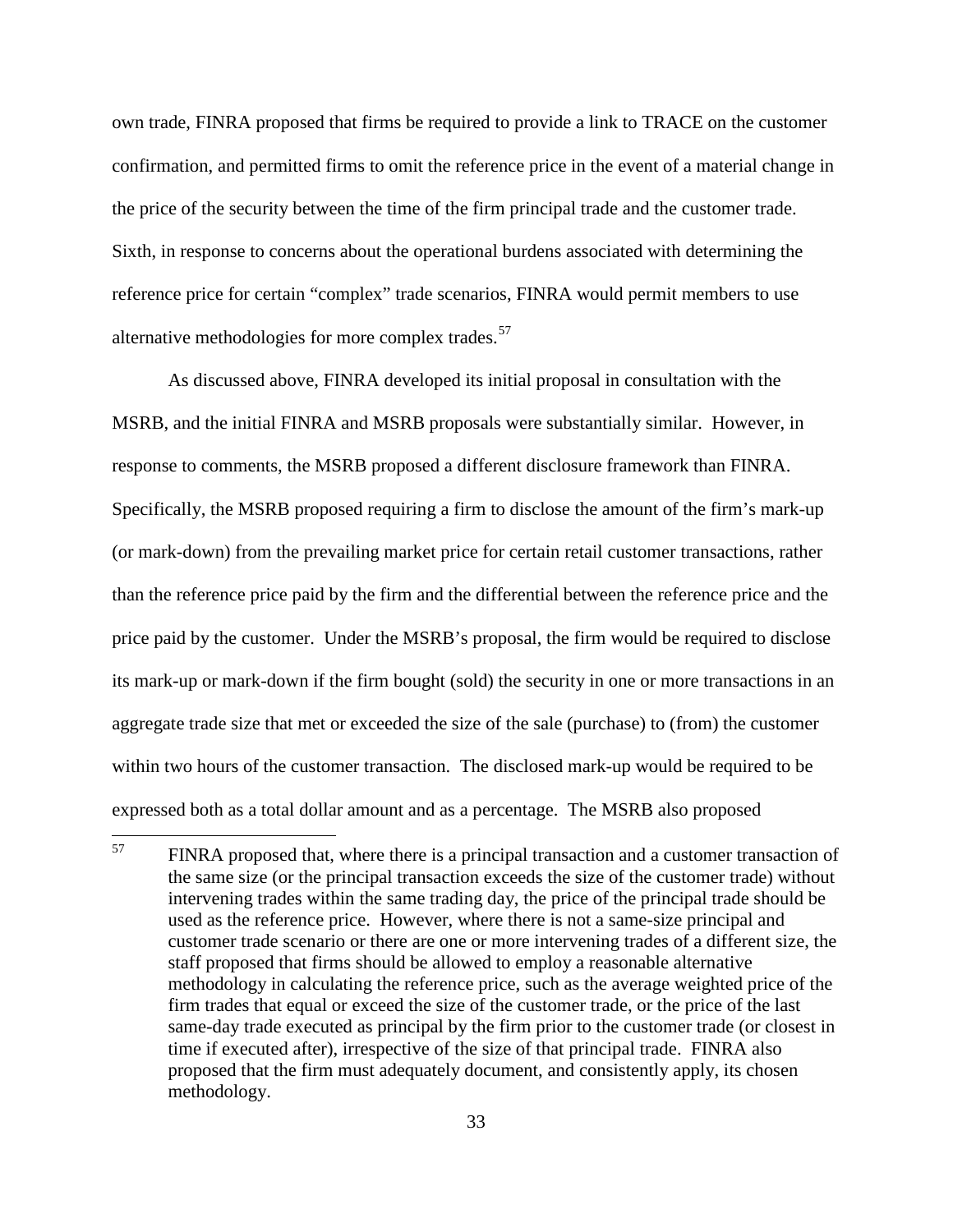own trade, FINRA proposed that firms be required to provide a link to TRACE on the customer confirmation, and permitted firms to omit the reference price in the event of a material change in the price of the security between the time of the firm principal trade and the customer trade. Sixth, in response to concerns about the operational burdens associated with determining the reference price for certain "complex" trade scenarios, FINRA would permit members to use alternative methodologies for more complex trades.<sup>57</sup>

As discussed above, FINRA developed its initial proposal in consultation with the MSRB, and the initial FINRA and MSRB proposals were substantially similar. However, in response to comments, the MSRB proposed a different disclosure framework than FINRA. Specifically, the MSRB proposed requiring a firm to disclose the amount of the firm's mark-up (or mark-down) from the prevailing market price for certain retail customer transactions, rather than the reference price paid by the firm and the differential between the reference price and the price paid by the customer. Under the MSRB's proposal, the firm would be required to disclose its mark-up or mark-down if the firm bought (sold) the security in one or more transactions in an aggregate trade size that met or exceeded the size of the sale (purchase) to (from) the customer within two hours of the customer transaction. The disclosed mark-up would be required to be expressed both as a total dollar amount and as a percentage. The MSRB also proposed

<sup>&</sup>lt;sup>57</sup> FINRA proposed that, where there is a principal transaction and a customer transaction of the same size (or the principal transaction exceeds the size of the customer trade) without intervening trades within the same trading day, the price of the principal trade should be used as the reference price. However, where there is not a same-size principal and customer trade scenario or there are one or more intervening trades of a different size, the staff proposed that firms should be allowed to employ a reasonable alternative methodology in calculating the reference price, such as the average weighted price of the firm trades that equal or exceed the size of the customer trade, or the price of the last same-day trade executed as principal by the firm prior to the customer trade (or closest in time if executed after), irrespective of the size of that principal trade. FINRA also proposed that the firm must adequately document, and consistently apply, its chosen methodology.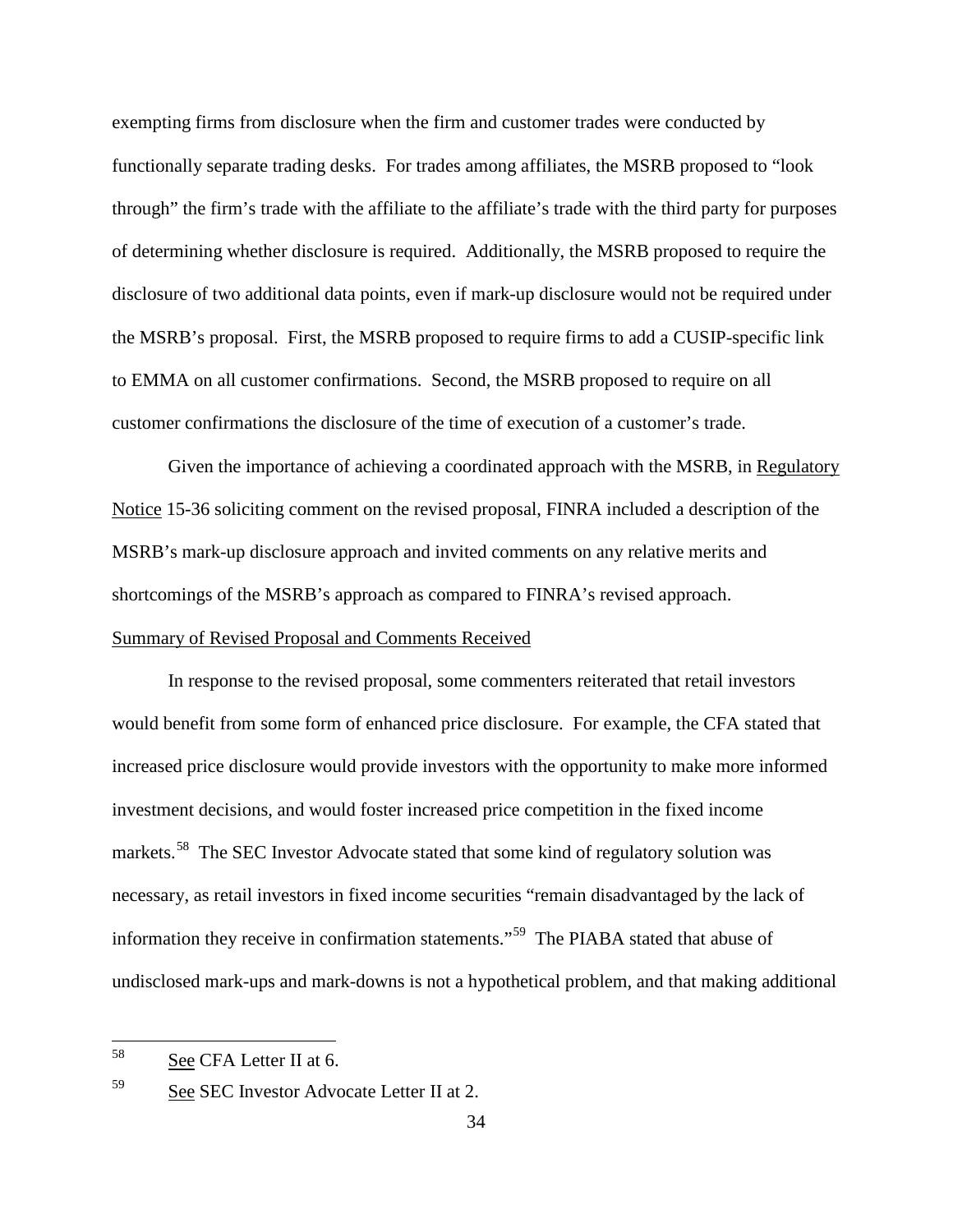exempting firms from disclosure when the firm and customer trades were conducted by functionally separate trading desks. For trades among affiliates, the MSRB proposed to "look through" the firm's trade with the affiliate to the affiliate's trade with the third party for purposes of determining whether disclosure is required. Additionally, the MSRB proposed to require the disclosure of two additional data points, even if mark-up disclosure would not be required under the MSRB's proposal. First, the MSRB proposed to require firms to add a CUSIP-specific link to EMMA on all customer confirmations. Second, the MSRB proposed to require on all customer confirmations the disclosure of the time of execution of a customer's trade.

Given the importance of achieving a coordinated approach with the MSRB, in Regulatory Notice 15-36 soliciting comment on the revised proposal, FINRA included a description of the MSRB's mark-up disclosure approach and invited comments on any relative merits and shortcomings of the MSRB's approach as compared to FINRA's revised approach.

### Summary of Revised Proposal and Comments Received

In response to the revised proposal, some commenters reiterated that retail investors would benefit from some form of enhanced price disclosure. For example, the CFA stated that increased price disclosure would provide investors with the opportunity to make more informed investment decisions, and would foster increased price competition in the fixed income markets.<sup>58</sup> The SEC Investor Advocate stated that some kind of regulatory solution was necessary, as retail investors in fixed income securities "remain disadvantaged by the lack of information they receive in confirmation statements."59 The PIABA stated that abuse of undisclosed mark-ups and mark-downs is not a hypothetical problem, and that making additional

 <sup>58</sup> See CFA Letter II at 6.

<sup>59</sup> See SEC Investor Advocate Letter II at 2.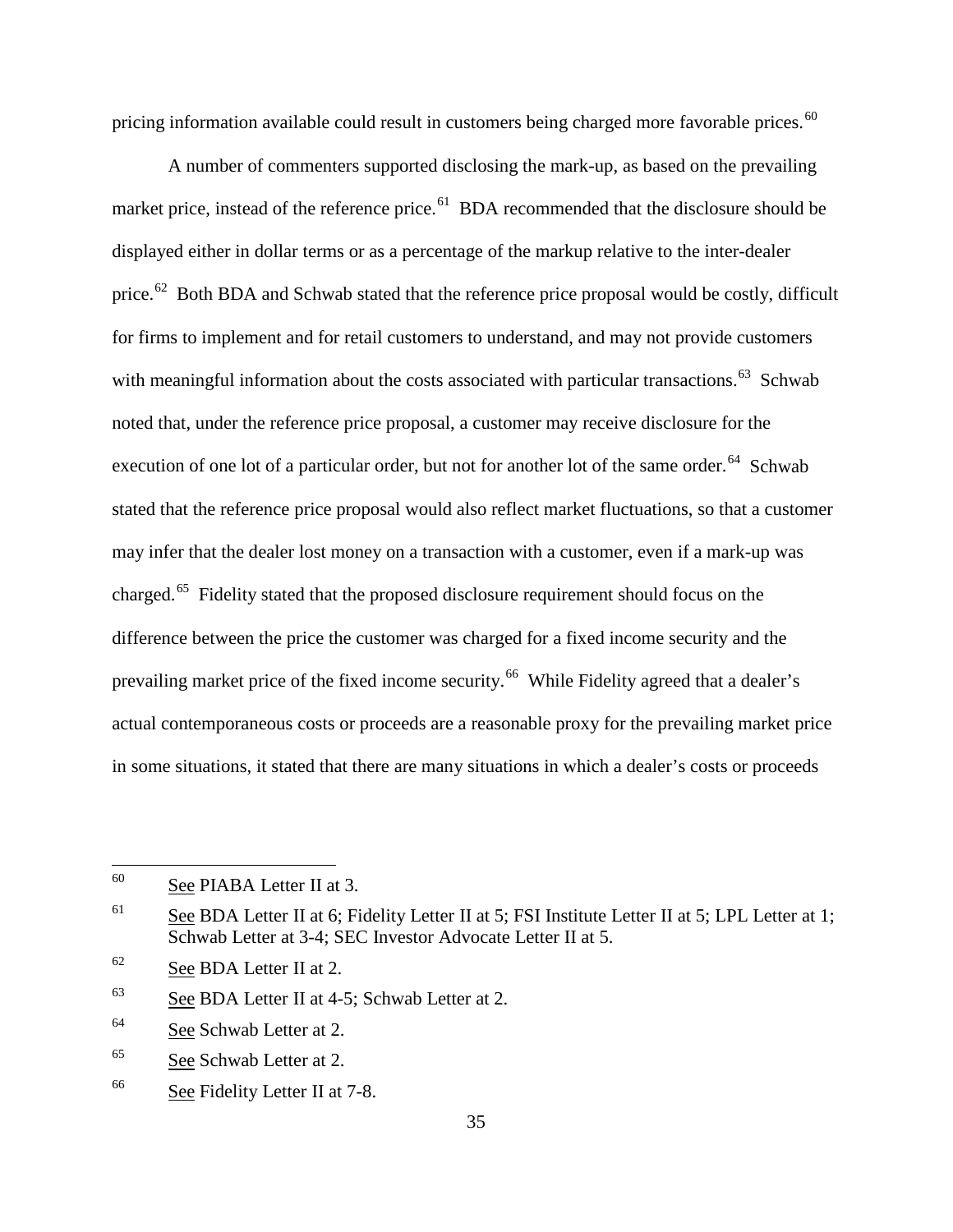pricing information available could result in customers being charged more favorable prices.<sup>60</sup>

A number of commenters supported disclosing the mark-up, as based on the prevailing market price, instead of the reference price. $^{61}$  BDA recommended that the disclosure should be displayed either in dollar terms or as a percentage of the markup relative to the inter-dealer price.<sup>62</sup> Both BDA and Schwab stated that the reference price proposal would be costly, difficult for firms to implement and for retail customers to understand, and may not provide customers with meaningful information about the costs associated with particular transactions.<sup>63</sup> Schwab noted that, under the reference price proposal, a customer may receive disclosure for the execution of one lot of a particular order, but not for another lot of the same order.<sup>64</sup> Schwab stated that the reference price proposal would also reflect market fluctuations, so that a customer may infer that the dealer lost money on a transaction with a customer, even if a mark-up was charged.65 Fidelity stated that the proposed disclosure requirement should focus on the difference between the price the customer was charged for a fixed income security and the prevailing market price of the fixed income security.<sup>66</sup> While Fidelity agreed that a dealer's actual contemporaneous costs or proceeds are a reasonable proxy for the prevailing market price in some situations, it stated that there are many situations in which a dealer's costs or proceeds

 <sup>60</sup> See PIABA Letter II at 3.

<sup>&</sup>lt;sup>61</sup> See BDA Letter II at 6; Fidelity Letter II at 5; FSI Institute Letter II at 5; LPL Letter at 1; Schwab Letter at 3-4; SEC Investor Advocate Letter II at 5.

<sup>62</sup> See BDA Letter II at 2.

 $63$  See BDA Letter II at 4-5; Schwab Letter at 2.

<sup>64</sup> See Schwab Letter at 2.

<sup>65</sup> See Schwab Letter at 2.

<sup>66</sup> See Fidelity Letter II at 7-8.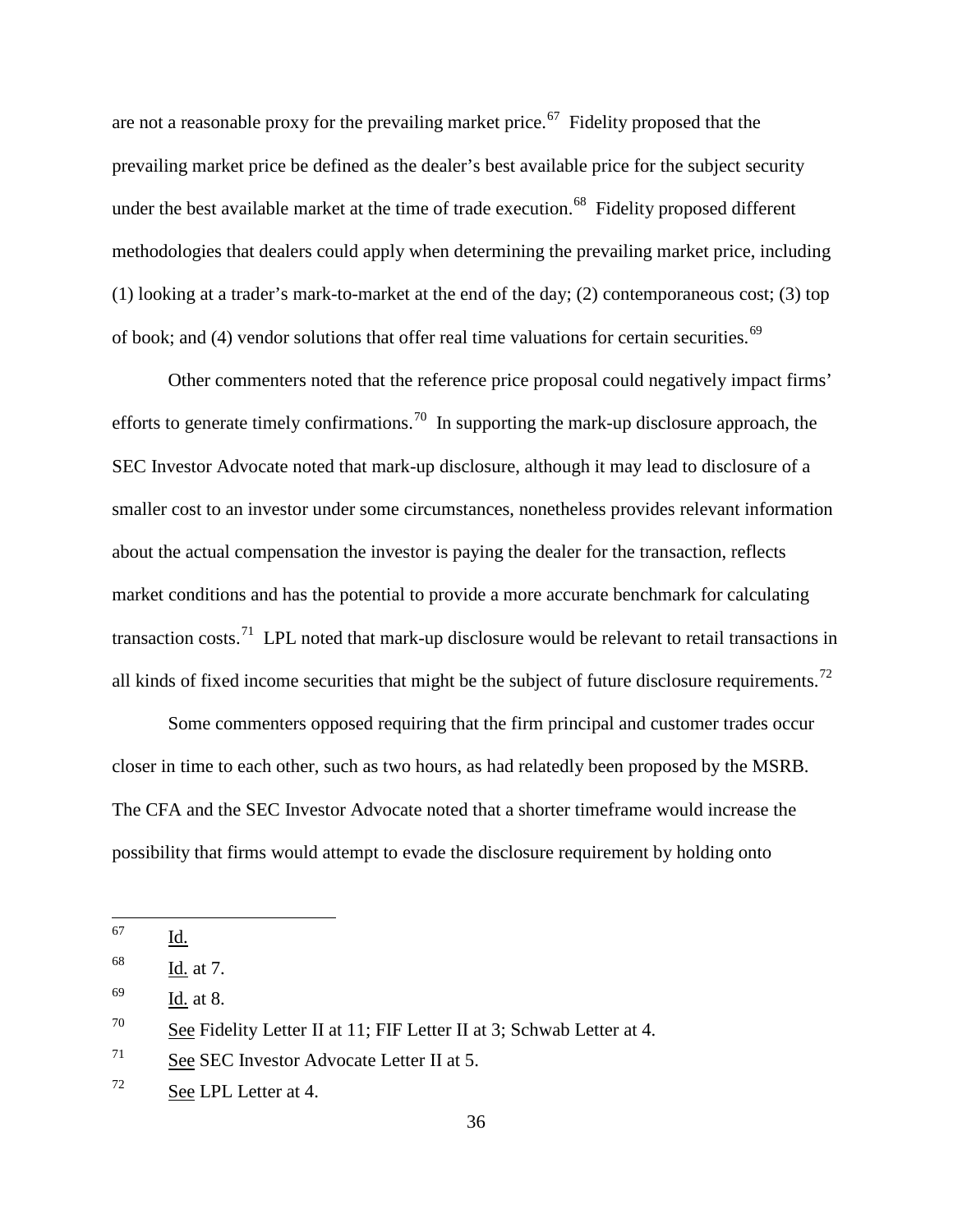are not a reasonable proxy for the prevailing market price.<sup>67</sup> Fidelity proposed that the prevailing market price be defined as the dealer's best available price for the subject security under the best available market at the time of trade execution.<sup>68</sup> Fidelity proposed different methodologies that dealers could apply when determining the prevailing market price, including (1) looking at a trader's mark-to-market at the end of the day; (2) contemporaneous cost; (3) top of book; and (4) vendor solutions that offer real time valuations for certain securities.<sup>69</sup>

Other commenters noted that the reference price proposal could negatively impact firms' efforts to generate timely confirmations.<sup>70</sup> In supporting the mark-up disclosure approach, the SEC Investor Advocate noted that mark-up disclosure, although it may lead to disclosure of a smaller cost to an investor under some circumstances, nonetheless provides relevant information about the actual compensation the investor is paying the dealer for the transaction, reflects market conditions and has the potential to provide a more accurate benchmark for calculating transaction costs.<sup>71</sup> LPL noted that mark-up disclosure would be relevant to retail transactions in all kinds of fixed income securities that might be the subject of future disclosure requirements.<sup>72</sup>

Some commenters opposed requiring that the firm principal and customer trades occur closer in time to each other, such as two hours, as had relatedly been proposed by the MSRB. The CFA and the SEC Investor Advocate noted that a shorter timeframe would increase the possibility that firms would attempt to evade the disclosure requirement by holding onto

 <sup>67</sup> Id.

<sup>68</sup> Id. at 7.

<sup>69</sup> Id. at 8.

<sup>&</sup>lt;sup>70</sup> See Fidelity Letter II at 11; FIF Letter II at 3; Schwab Letter at 4.

 $71$  See SEC Investor Advocate Letter II at 5.

 $72$  See LPL Letter at 4.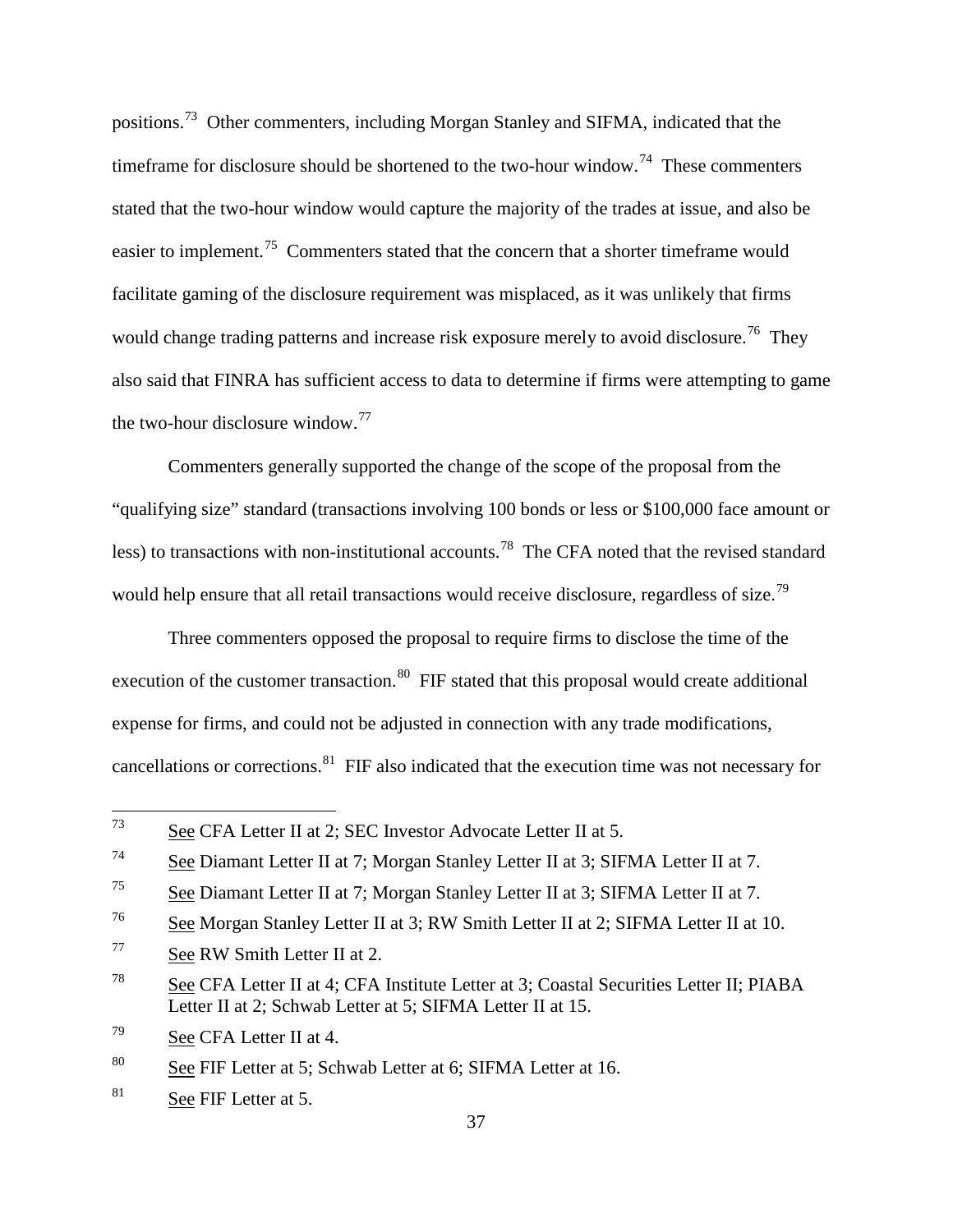positions.73 Other commenters, including Morgan Stanley and SIFMA, indicated that the timeframe for disclosure should be shortened to the two-hour window.<sup>74</sup> These commenters stated that the two-hour window would capture the majority of the trades at issue, and also be easier to implement.<sup>75</sup> Commenters stated that the concern that a shorter timeframe would facilitate gaming of the disclosure requirement was misplaced, as it was unlikely that firms would change trading patterns and increase risk exposure merely to avoid disclosure.<sup>76</sup> They also said that FINRA has sufficient access to data to determine if firms were attempting to game the two-hour disclosure window. $^{77}$ 

Commenters generally supported the change of the scope of the proposal from the "qualifying size" standard (transactions involving 100 bonds or less or \$100,000 face amount or less) to transactions with non-institutional accounts.78 The CFA noted that the revised standard would help ensure that all retail transactions would receive disclosure, regardless of size.<sup>79</sup>

Three commenters opposed the proposal to require firms to disclose the time of the execution of the customer transaction.<sup>80</sup> FIF stated that this proposal would create additional expense for firms, and could not be adjusted in connection with any trade modifications, cancellations or corrections. $81$  FIF also indicated that the execution time was not necessary for

 <sup>73</sup> See CFA Letter II at 2; SEC Investor Advocate Letter II at 5.

<sup>74</sup> See Diamant Letter II at 7; Morgan Stanley Letter II at 3; SIFMA Letter II at 7.

<sup>75</sup> See Diamant Letter II at 7; Morgan Stanley Letter II at 3; SIFMA Letter II at 7.

<sup>76</sup> See Morgan Stanley Letter II at 3; RW Smith Letter II at 2; SIFMA Letter II at 10.

<sup>77</sup> See RW Smith Letter II at 2.

<sup>78</sup> See CFA Letter II at 4; CFA Institute Letter at 3; Coastal Securities Letter II; PIABA Letter II at 2; Schwab Letter at 5; SIFMA Letter II at 15.

<sup>79</sup> See CFA Letter II at 4.

<sup>&</sup>lt;sup>80</sup> See FIF Letter at 5; Schwab Letter at 6; SIFMA Letter at 16.

 $81$  See FIF Letter at 5.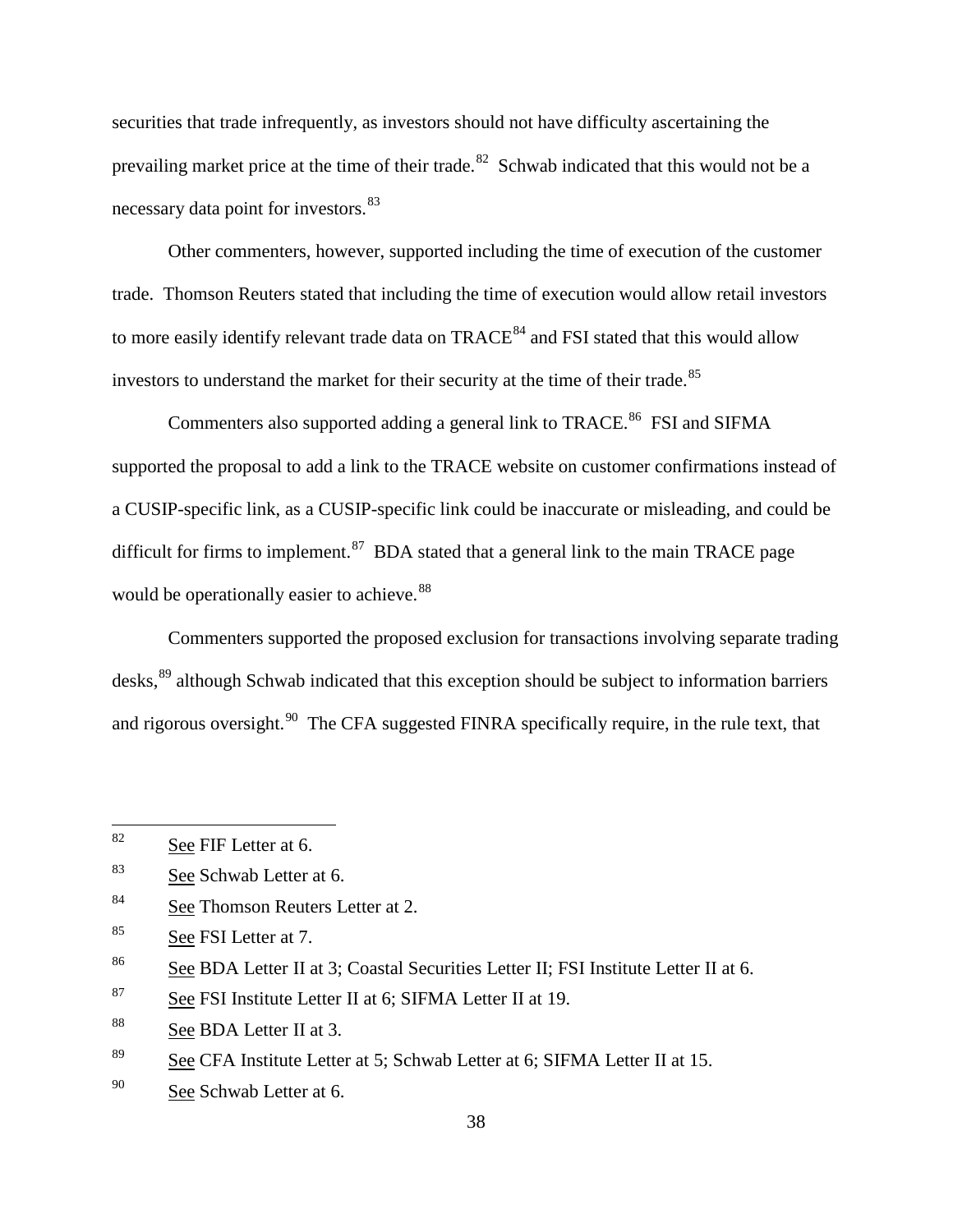securities that trade infrequently, as investors should not have difficulty ascertaining the prevailing market price at the time of their trade.<sup>82</sup> Schwab indicated that this would not be a necessary data point for investors.<sup>83</sup>

Other commenters, however, supported including the time of execution of the customer trade. Thomson Reuters stated that including the time of execution would allow retail investors to more easily identify relevant trade data on TRACE<sup>84</sup> and FSI stated that this would allow investors to understand the market for their security at the time of their trade.<sup>85</sup>

Commenters also supported adding a general link to TRACE.<sup>86</sup> FSI and SIFMA supported the proposal to add a link to the TRACE website on customer confirmations instead of a CUSIP-specific link, as a CUSIP-specific link could be inaccurate or misleading, and could be difficult for firms to implement.<sup>87</sup> BDA stated that a general link to the main TRACE page would be operationally easier to achieve.<sup>88</sup>

Commenters supported the proposed exclusion for transactions involving separate trading desks,<sup>89</sup> although Schwab indicated that this exception should be subject to information barriers and rigorous oversight.<sup>90</sup> The CFA suggested FINRA specifically require, in the rule text, that

<sup>84</sup> See Thomson Reuters Letter at 2.

 $82$  See FIF Letter at 6.

<sup>83</sup> See Schwab Letter at 6.

<sup>85</sup> See FSI Letter at 7.

<sup>86</sup> See BDA Letter II at 3; Coastal Securities Letter II; FSI Institute Letter II at 6.

 $87$  See FSI Institute Letter II at 6; SIFMA Letter II at 19.

<sup>88</sup> See BDA Letter II at 3.

<sup>89</sup> See CFA Institute Letter at 5; Schwab Letter at 6; SIFMA Letter II at 15.

<sup>90</sup> See Schwab Letter at 6.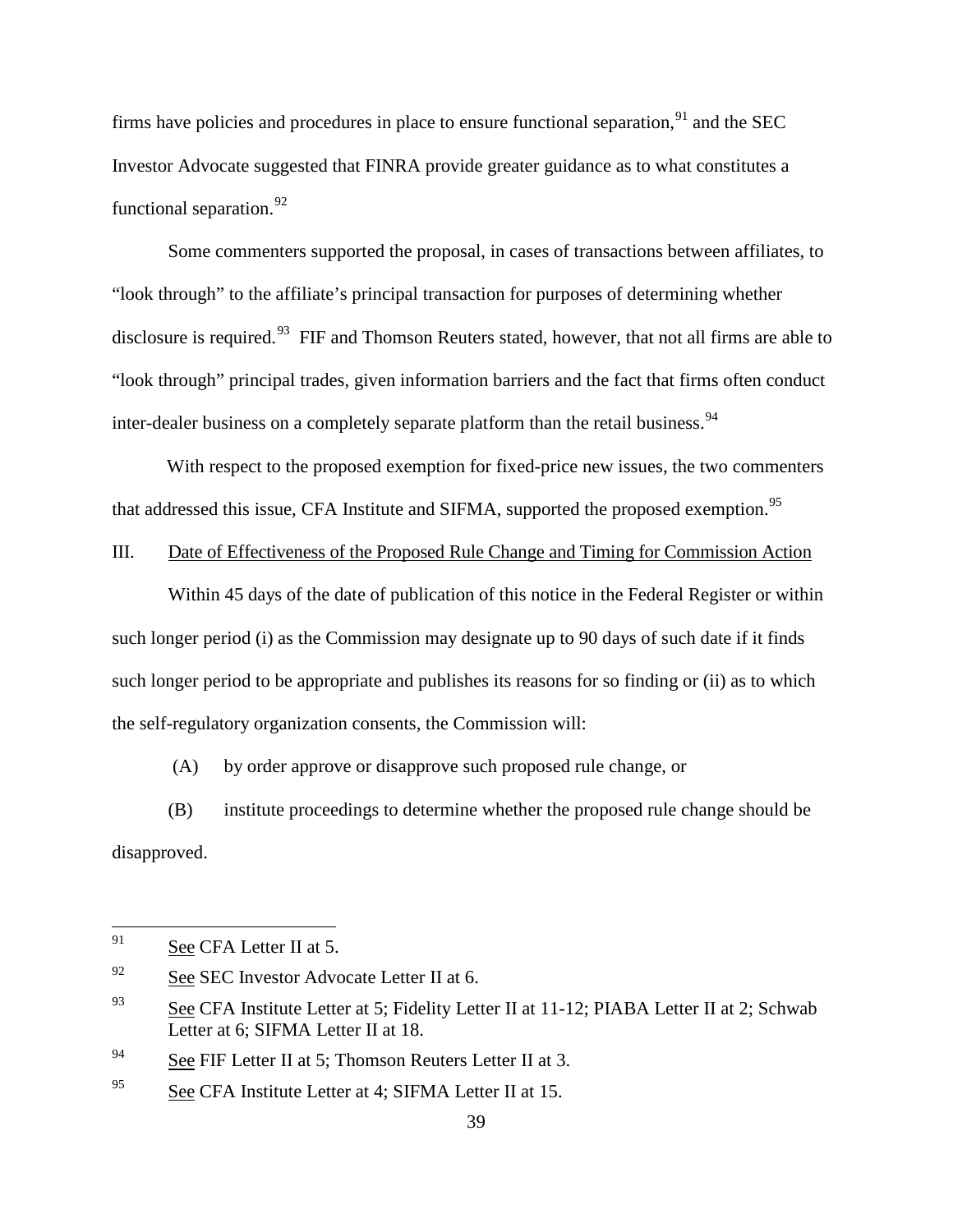firms have policies and procedures in place to ensure functional separation.<sup>91</sup> and the SEC Investor Advocate suggested that FINRA provide greater guidance as to what constitutes a functional separation.  $92$ 

Some commenters supported the proposal, in cases of transactions between affiliates, to "look through" to the affiliate's principal transaction for purposes of determining whether disclosure is required.<sup>93</sup> FIF and Thomson Reuters stated, however, that not all firms are able to "look through" principal trades, given information barriers and the fact that firms often conduct inter-dealer business on a completely separate platform than the retail business.<sup>94</sup>

With respect to the proposed exemption for fixed-price new issues, the two commenters that addressed this issue, CFA Institute and SIFMA, supported the proposed exemption.<sup>95</sup>

### III. Date of Effectiveness of the Proposed Rule Change and Timing for Commission Action

Within 45 days of the date of publication of this notice in the Federal Register or within such longer period (i) as the Commission may designate up to 90 days of such date if it finds such longer period to be appropriate and publishes its reasons for so finding or (ii) as to which the self-regulatory organization consents, the Commission will:

(A) by order approve or disapprove such proposed rule change, or

(B) institute proceedings to determine whether the proposed rule change should be disapproved.

<sup>94</sup> See FIF Letter II at 5; Thomson Reuters Letter II at 3.

 <sup>91</sup> See CFA Letter II at 5.

<sup>&</sup>lt;sup>92</sup> See SEC Investor Advocate Letter II at 6.

 $\frac{93}{2}$  See CFA Institute Letter at 5; Fidelity Letter II at 11-12; PIABA Letter II at 2; Schwab Letter at 6; SIFMA Letter II at 18.

<sup>95</sup> See CFA Institute Letter at 4; SIFMA Letter II at 15.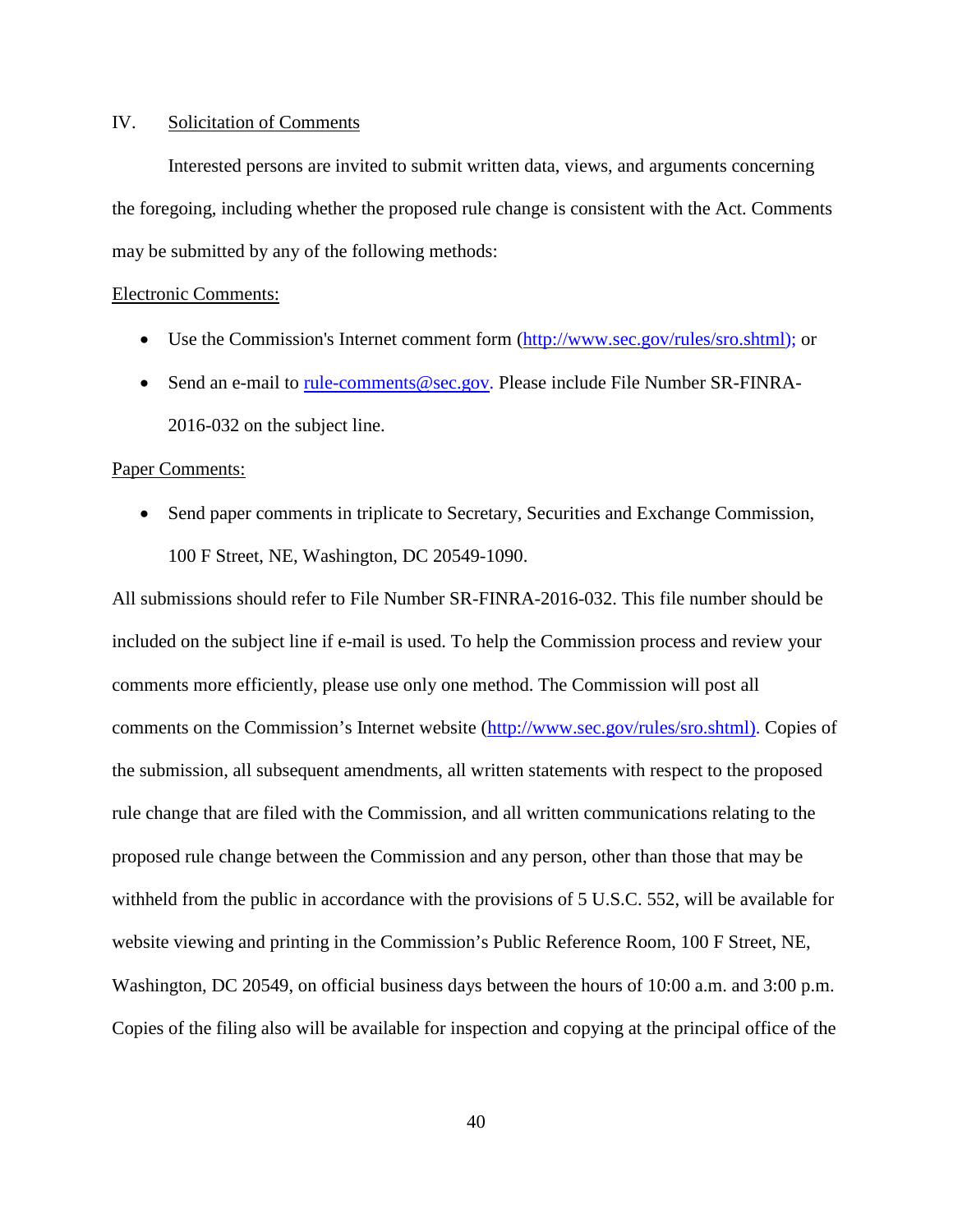### IV. Solicitation of Comments

Interested persons are invited to submit written data, views, and arguments concerning the foregoing, including whether the proposed rule change is consistent with the Act. Comments may be submitted by any of the following methods:

#### Electronic Comments:

- Use the Commission's Internet comment form (http://www.sec.gov/rules/sro.shtml); or
- Send an e-mail to rule-comments@sec.gov. Please include File Number SR-FINRA-2016-032 on the subject line.

#### Paper Comments:

• Send paper comments in triplicate to Secretary, Securities and Exchange Commission, 100 F Street, NE, Washington, DC 20549-1090.

All submissions should refer to File Number SR-FINRA-2016-032. This file number should be included on the subject line if e-mail is used. To help the Commission process and review your comments more efficiently, please use only one method. The Commission will post all comments on the Commission's Internet website (http://www.sec.gov/rules/sro.shtml). Copies of the submission, all subsequent amendments, all written statements with respect to the proposed rule change that are filed with the Commission, and all written communications relating to the proposed rule change between the Commission and any person, other than those that may be withheld from the public in accordance with the provisions of 5 U.S.C. 552, will be available for website viewing and printing in the Commission's Public Reference Room, 100 F Street, NE, Washington, DC 20549, on official business days between the hours of 10:00 a.m. and 3:00 p.m. Copies of the filing also will be available for inspection and copying at the principal office of the